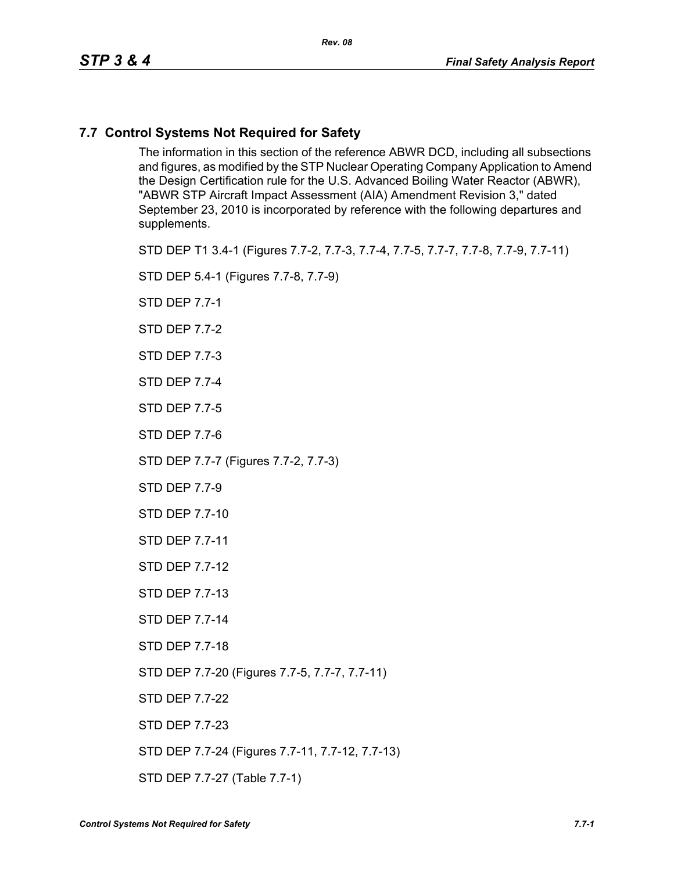## **7.7 Control Systems Not Required for Safety**

The information in this section of the reference ABWR DCD, including all subsections and figures, as modified by the STP Nuclear Operating Company Application to Amend the Design Certification rule for the U.S. Advanced Boiling Water Reactor (ABWR), "ABWR STP Aircraft Impact Assessment (AIA) Amendment Revision 3," dated September 23, 2010 is incorporated by reference with the following departures and supplements.

STD DEP T1 3.4-1 (Figures 7.7-2, 7.7-3, 7.7-4, 7.7-5, 7.7-7, 7.7-8, 7.7-9, 7.7-11)

STD DEP 5.4-1 (Figures 7.7-8, 7.7-9)

STD DEP 7.7-1

STD DEP 7.7-2

STD DEP 7.7-3

STD DEP 7.7-4

STD DEP 7.7-5

STD DEP 7.7-6

STD DEP 7.7-7 (Figures 7.7-2, 7.7-3)

STD DEP 7.7-9

STD DEP 7.7-10

STD DEP 7.7-11

STD DEP 7.7-12

STD DEP 7.7-13

STD DEP 7.7-14

STD DEP 7.7-18

STD DEP 7.7-20 (Figures 7.7-5, 7.7-7, 7.7-11)

STD DEP 7.7-22

STD DEP 7.7-23

STD DEP 7.7-24 (Figures 7.7-11, 7.7-12, 7.7-13)

STD DEP 7.7-27 (Table 7.7-1)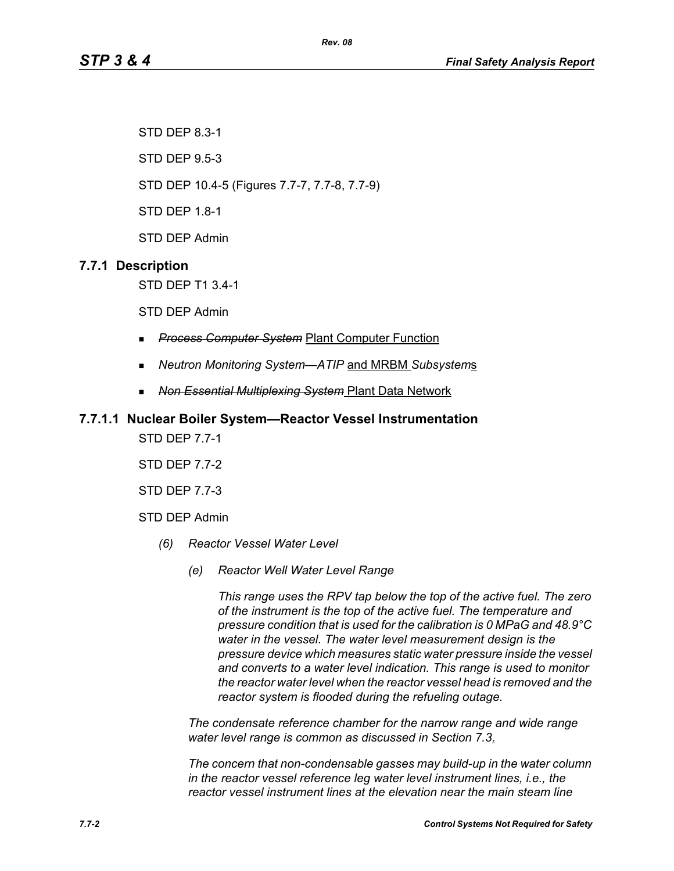*Rev. 08*

STD DEP 8.3-1

STD DEP 9.5-3

STD DEP 10.4-5 (Figures 7.7-7, 7.7-8, 7.7-9)

STD DEP 1.8-1

STD DEP Admin

## **7.7.1 Description**

STD DEP T1 3.4-1

STD DEP Admin

- *Process Computer System* Plant Computer Function
- *Neutron Monitoring System—ATIP* and MRBM *Subsystem*s
- *Non Essential Multiplexing System* Plant Data Network

#### **7.7.1.1 Nuclear Boiler System—Reactor Vessel Instrumentation**

STD DEP 7.7-1

STD DEP 7.7-2

STD DEP 7.7-3

STD DEP Admin

- *(6) Reactor Vessel Water Level*
	- *(e) Reactor Well Water Level Range*

*This range uses the RPV tap below the top of the active fuel. The zero of the instrument is the top of the active fuel. The temperature and pressure condition that is used for the calibration is 0 MPaG and 48.9°C water in the vessel. The water level measurement design is the pressure device which measures static water pressure inside the vessel and converts to a water level indication. This range is used to monitor the reactor water level when the reactor vessel head is removed and the reactor system is flooded during the refueling outage.*

*The condensate reference chamber for the narrow range and wide range water level range is common as discussed in Section 7.3*.

*The concern that non-condensable gasses may build-up in the water column in the reactor vessel reference leg water level instrument lines, i.e., the reactor vessel instrument lines at the elevation near the main steam line*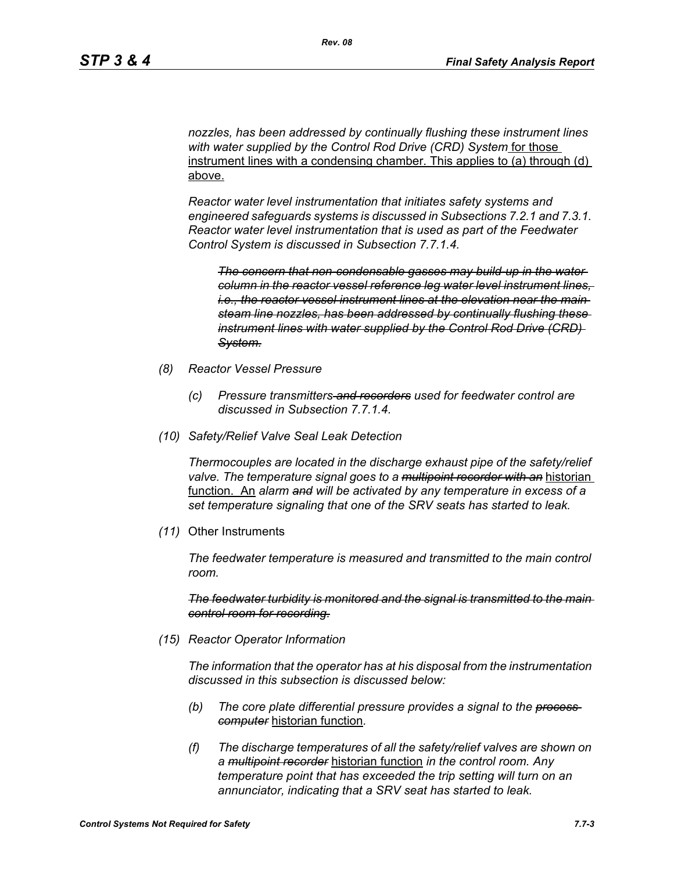*nozzles, has been addressed by continually flushing these instrument lines with water supplied by the Control Rod Drive (CRD) System* for those instrument lines with a condensing chamber. This applies to (a) through (d) above.

*Reactor water level instrumentation that initiates safety systems and engineered safeguards systems is discussed in Subsections 7.2.1 and 7.3.1. Reactor water level instrumentation that is used as part of the Feedwater Control System is discussed in Subsection 7.7.1.4.*

*The concern that non-condensable gasses may build-up in the water column in the reactor vessel reference leg water level instrument lines, i.e., the reactor vessel instrument lines at the elevation near the main steam line nozzles, has been addressed by continually flushing these instrument lines with water supplied by the Control Rod Drive (CRD) System.*

- *(8) Reactor Vessel Pressure*
	- *(c) Pressure transmitters and recorders used for feedwater control are discussed in Subsection 7.7.1.4.*
- *(10) Safety/Relief Valve Seal Leak Detection*

*Thermocouples are located in the discharge exhaust pipe of the safety/relief valve. The temperature signal goes to a multipoint recorder with an* historian function. An *alarm and will be activated by any temperature in excess of a set temperature signaling that one of the SRV seats has started to leak.*

*(11)* Other Instruments

*The feedwater temperature is measured and transmitted to the main control room.*

*The feedwater turbidity is monitored and the signal is transmitted to the main control room for recording.*

*(15) Reactor Operator Information*

*The information that the operator has at his disposal from the instrumentation discussed in this subsection is discussed below:*

- *(b) The core plate differential pressure provides a signal to the process computer* historian function*.*
- *(f) The discharge temperatures of all the safety/relief valves are shown on a multipoint recorder* historian function *in the control room. Any temperature point that has exceeded the trip setting will turn on an annunciator, indicating that a SRV seat has started to leak.*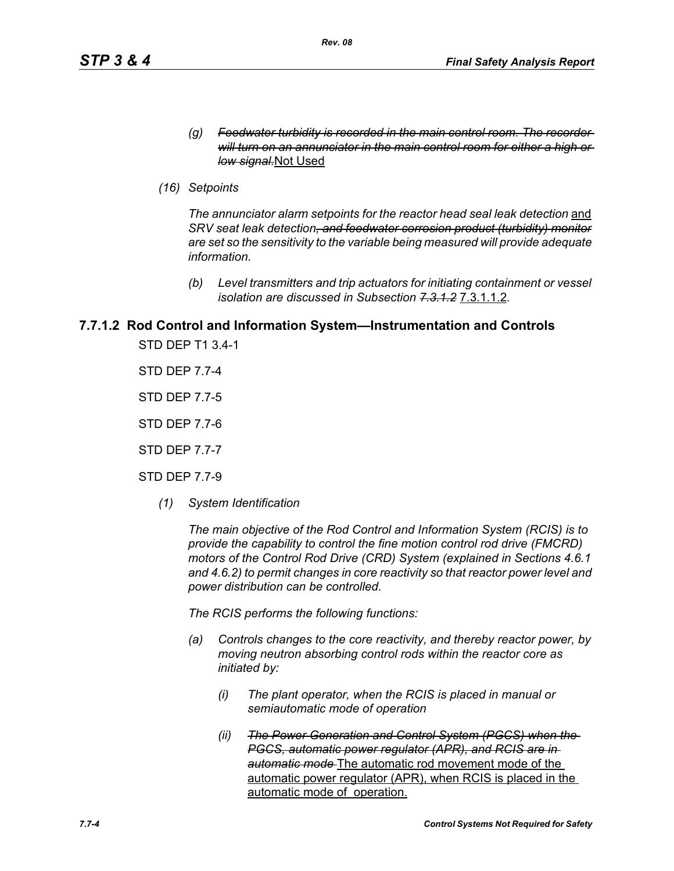- *(g) Feedwater turbidity is recorded in the main control room. The recorder will turn on an annunciator in the main control room for either a high or low signal.*Not Used
- *(16) Setpoints*

The annunciator alarm setpoints for the reactor head seal leak detection and *SRV seat leak detection, and feedwater corrosion product (turbidity) monitor are set so the sensitivity to the variable being measured will provide adequate information.*

*(b) Level transmitters and trip actuators for initiating containment or vessel isolation are discussed in Subsection 7.3.1.2* 7.3.1.1.2*.*

# **7.7.1.2 Rod Control and Information System—Instrumentation and Controls**

STD DEP T1 3.4-1

STD DEP 7.7-4

STD DEP 7.7-5

STD DEP 7.7-6

STD DEP 7.7-7

STD DEP 7.7-9

*(1) System Identification*

*The main objective of the Rod Control and Information System (RCIS) is to provide the capability to control the fine motion control rod drive (FMCRD) motors of the Control Rod Drive (CRD) System (explained in Sections 4.6.1 and 4.6.2) to permit changes in core reactivity so that reactor power level and power distribution can be controlled.* 

*The RCIS performs the following functions:*

- *(a) Controls changes to the core reactivity, and thereby reactor power, by moving neutron absorbing control rods within the reactor core as initiated by:*
	- *(i) The plant operator, when the RCIS is placed in manual or semiautomatic mode of operation*
	- *(ii) The Power Generation and Control System (PGCS) when the PGCS, automatic power regulator (APR), and RCIS are in automatic mode* The automatic rod movement mode of the automatic power regulator (APR), when RCIS is placed in the automatic mode of operation.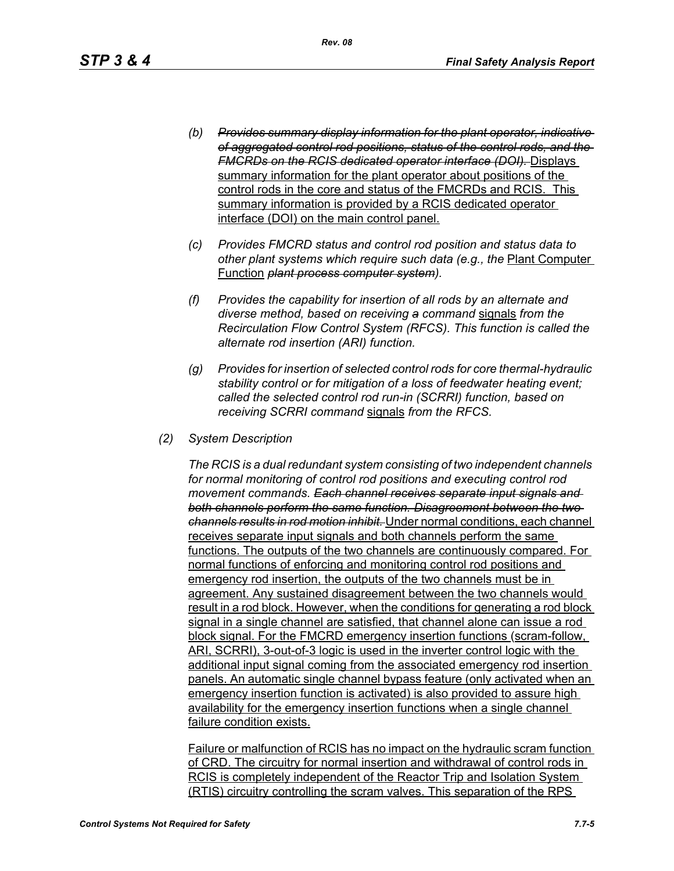- *(b) Provides summary display information for the plant operator, indicative of aggregated control rod positions, status of the control rods, and the FMCRDs on the RCIS dedicated operator interface (DOI).* Displays summary information for the plant operator about positions of the control rods in the core and status of the FMCRDs and RCIS. This summary information is provided by a RCIS dedicated operator interface (DOI) on the main control panel.
- *(c) Provides FMCRD status and control rod position and status data to other plant systems which require such data (e.g., the* Plant Computer Function *plant process computer system).*
- *(f) Provides the capability for insertion of all rods by an alternate and diverse method, based on receiving a command* signals *from the Recirculation Flow Control System (RFCS). This function is called the alternate rod insertion (ARI) function.*
- *(g) Provides for insertion of selected control rods for core thermal-hydraulic stability control or for mitigation of a loss of feedwater heating event; called the selected control rod run-in (SCRRI) function, based on receiving SCRRI command* signals *from the RFCS.*
- *(2) System Description*

*The RCIS is a dual redundant system consisting of two independent channels for normal monitoring of control rod positions and executing control rod movement commands. Each channel receives separate input signals and both channels perform the same function. Disagreement between the two channels results in rod motion inhibit.* Under normal conditions, each channel receives separate input signals and both channels perform the same functions. The outputs of the two channels are continuously compared. For normal functions of enforcing and monitoring control rod positions and emergency rod insertion, the outputs of the two channels must be in agreement. Any sustained disagreement between the two channels would result in a rod block. However, when the conditions for generating a rod block signal in a single channel are satisfied, that channel alone can issue a rod block signal. For the FMCRD emergency insertion functions (scram-follow, ARI, SCRRI), 3-out-of-3 logic is used in the inverter control logic with the additional input signal coming from the associated emergency rod insertion panels. An automatic single channel bypass feature (only activated when an emergency insertion function is activated) is also provided to assure high availability for the emergency insertion functions when a single channel failure condition exists.

Failure or malfunction of RCIS has no impact on the hydraulic scram function of CRD. The circuitry for normal insertion and withdrawal of control rods in RCIS is completely independent of the Reactor Trip and Isolation System (RTIS) circuitry controlling the scram valves. This separation of the RPS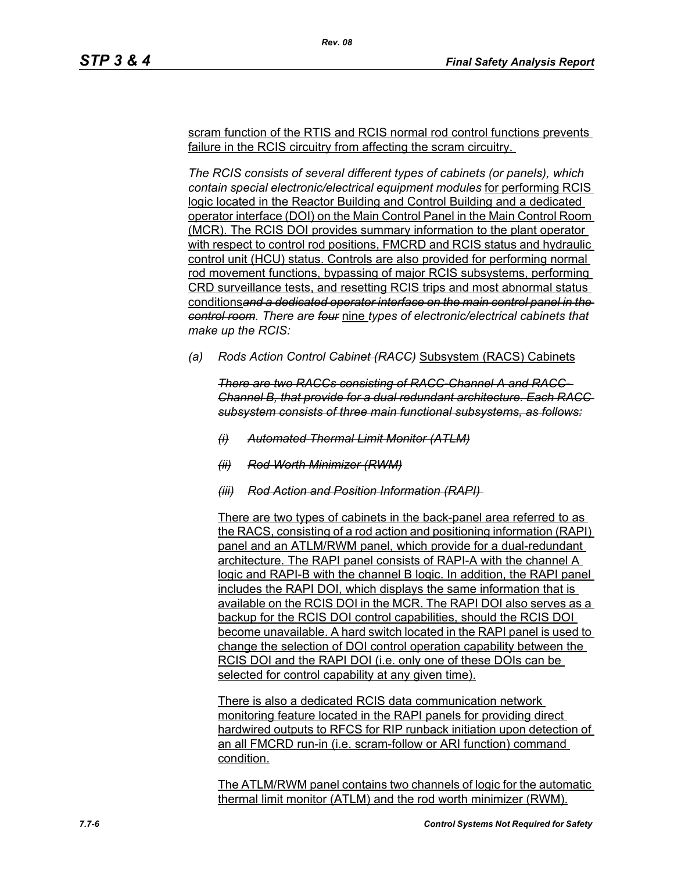scram function of the RTIS and RCIS normal rod control functions prevents failure in the RCIS circuitry from affecting the scram circuitry.

*Rev. 08*

*The RCIS consists of several different types of cabinets (or panels), which contain special electronic/electrical equipment modules* for performing RCIS logic located in the Reactor Building and Control Building and a dedicated operator interface (DOI) on the Main Control Panel in the Main Control Room (MCR). The RCIS DOI provides summary information to the plant operator with respect to control rod positions, FMCRD and RCIS status and hydraulic control unit (HCU) status. Controls are also provided for performing normal rod movement functions, bypassing of major RCIS subsystems, performing CRD surveillance tests, and resetting RCIS trips and most abnormal status conditions*and a dedicated operator interface on the main control panel in the control room. There are four* nine *types of electronic/electrical cabinets that make up the RCIS:*

*(a) Rods Action Control Cabinet (RACC)* Subsystem (RACS) Cabinets

*There are two RACCs consisting of RACC-Channel A and RACC-Channel B, that provide for a dual redundant architecture. Each RACC subsystem consists of three main functional subsystems, as follows:*

- *(i) Automated Thermal Limit Monitor (ATLM)*
- *(ii) Rod Worth Minimizer (RWM)*
- *(iii) Rod Action and Position Information (RAPI)*

There are two types of cabinets in the back-panel area referred to as the RACS, consisting of a rod action and positioning information (RAPI) panel and an ATLM/RWM panel, which provide for a dual-redundant architecture. The RAPI panel consists of RAPI-A with the channel A logic and RAPI-B with the channel B logic. In addition, the RAPI panel includes the RAPI DOI, which displays the same information that is available on the RCIS DOI in the MCR. The RAPI DOI also serves as a backup for the RCIS DOI control capabilities, should the RCIS DOI become unavailable. A hard switch located in the RAPI panel is used to change the selection of DOI control operation capability between the RCIS DOI and the RAPI DOI (i.e. only one of these DOIs can be selected for control capability at any given time).

There is also a dedicated RCIS data communication network monitoring feature located in the RAPI panels for providing direct hardwired outputs to RFCS for RIP runback initiation upon detection of an all FMCRD run-in (i.e. scram-follow or ARI function) command condition.

The ATLM/RWM panel contains two channels of logic for the automatic thermal limit monitor (ATLM) and the rod worth minimizer (RWM).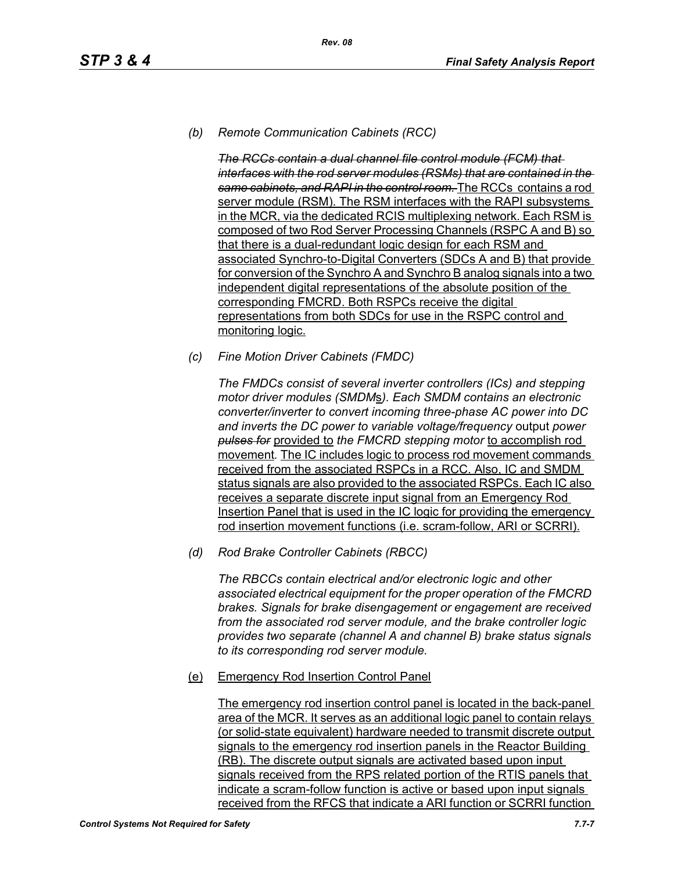# *(b) Remote Communication Cabinets (RCC)*

*The RCCs contain a dual channel file control module (FCM) that interfaces with the rod server modules (RSMs) that are contained in the same cabinets, and RAPI in the control room.* The RCCs contains a rod server module (RSM). The RSM interfaces with the RAPI subsystems in the MCR, via the dedicated RCIS multiplexing network. Each RSM is composed of two Rod Server Processing Channels (RSPC A and B) so that there is a dual-redundant logic design for each RSM and associated Synchro-to-Digital Converters (SDCs A and B) that provide for conversion of the Synchro A and Synchro B analog signals into a two independent digital representations of the absolute position of the corresponding FMCRD. Both RSPCs receive the digital representations from both SDCs for use in the RSPC control and monitoring logic.

*(c) Fine Motion Driver Cabinets (FMDC)* 

*The FMDCs consist of several inverter controllers (ICs) and stepping motor driver modules (SMDM*s*). Each SMDM contains an electronic converter/inverter to convert incoming three-phase AC power into DC and inverts the DC power to variable voltage/frequency* output *power pulses for* provided to *the FMCRD stepping motor* to accomplish rod movement*.* The IC includes logic to process rod movement commands received from the associated RSPCs in a RCC. Also, IC and SMDM status signals are also provided to the associated RSPCs. Each IC also receives a separate discrete input signal from an Emergency Rod Insertion Panel that is used in the IC logic for providing the emergency rod insertion movement functions (i.e. scram-follow, ARI or SCRRI).

*(d) Rod Brake Controller Cabinets (RBCC)*

*The RBCCs contain electrical and/or electronic logic and other associated electrical equipment for the proper operation of the FMCRD brakes. Signals for brake disengagement or engagement are received from the associated rod server module, and the brake controller logic provides two separate (channel A and channel B) brake status signals to its corresponding rod server module.*

(e) Emergency Rod Insertion Control Panel

The emergency rod insertion control panel is located in the back-panel area of the MCR. It serves as an additional logic panel to contain relays (or solid-state equivalent) hardware needed to transmit discrete output signals to the emergency rod insertion panels in the Reactor Building (RB). The discrete output signals are activated based upon input signals received from the RPS related portion of the RTIS panels that indicate a scram-follow function is active or based upon input signals received from the RFCS that indicate a ARI function or SCRRI function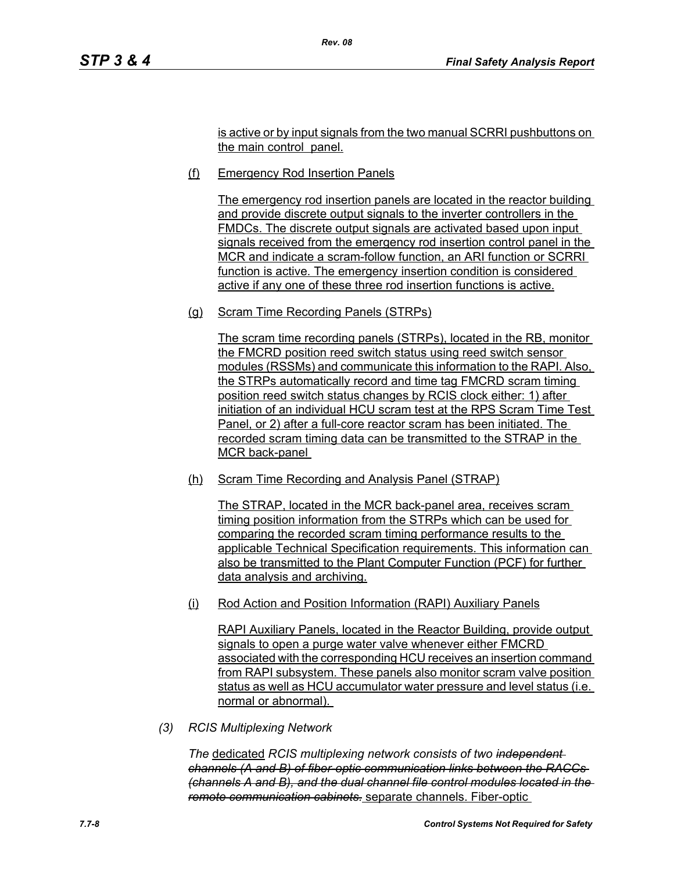is active or by input signals from the two manual SCRRI pushbuttons on the main control panel.

(f) Emergency Rod Insertion Panels

*Rev. 08*

The emergency rod insertion panels are located in the reactor building and provide discrete output signals to the inverter controllers in the FMDCs. The discrete output signals are activated based upon input signals received from the emergency rod insertion control panel in the MCR and indicate a scram-follow function, an ARI function or SCRRI function is active. The emergency insertion condition is considered active if any one of these three rod insertion functions is active.

(g) Scram Time Recording Panels (STRPs)

The scram time recording panels (STRPs), located in the RB, monitor the FMCRD position reed switch status using reed switch sensor modules (RSSMs) and communicate this information to the RAPI. Also, the STRPs automatically record and time tag FMCRD scram timing position reed switch status changes by RCIS clock either: 1) after initiation of an individual HCU scram test at the RPS Scram Time Test Panel, or 2) after a full-core reactor scram has been initiated. The recorded scram timing data can be transmitted to the STRAP in the MCR back-panel

(h) Scram Time Recording and Analysis Panel (STRAP)

The STRAP, located in the MCR back-panel area, receives scram timing position information from the STRPs which can be used for comparing the recorded scram timing performance results to the applicable Technical Specification requirements. This information can also be transmitted to the Plant Computer Function (PCF) for further data analysis and archiving.

(i) Rod Action and Position Information (RAPI) Auxiliary Panels

RAPI Auxiliary Panels, located in the Reactor Building, provide output signals to open a purge water valve whenever either FMCRD associated with the corresponding HCU receives an insertion command from RAPI subsystem. These panels also monitor scram valve position status as well as HCU accumulator water pressure and level status (i.e. normal or abnormal).

*(3) RCIS Multiplexing Network*

*The* dedicated *RCIS multiplexing network consists of two independent channels (A and B) of fiber-optic communication links between the RACCs (channels A and B), and the dual channel file control modules located in the remote communication cabinets.* separate channels. Fiber-optic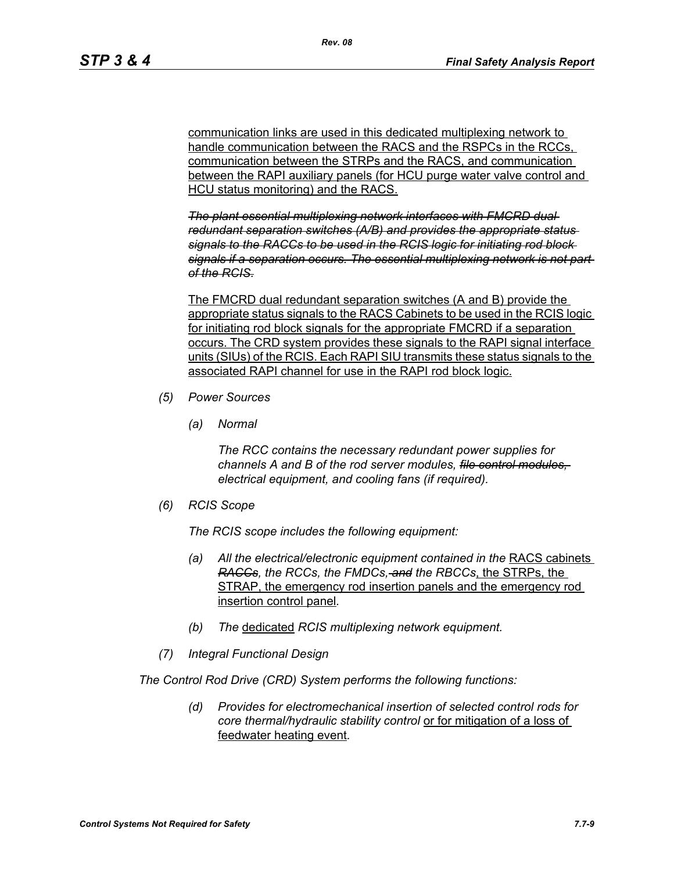communication links are used in this dedicated multiplexing network to handle communication between the RACS and the RSPCs in the RCCs. communication between the STRPs and the RACS, and communication between the RAPI auxiliary panels (for HCU purge water valve control and HCU status monitoring) and the RACS.

*The plant essential multiplexing network interfaces with FMCRD dual redundant separation switches (A/B) and provides the appropriate status signals to the RACCs to be used in the RCIS logic for initiating rod block signals if a separation occurs. The essential multiplexing network is not part of the RCIS.*

The FMCRD dual redundant separation switches (A and B) provide the appropriate status signals to the RACS Cabinets to be used in the RCIS logic for initiating rod block signals for the appropriate FMCRD if a separation occurs. The CRD system provides these signals to the RAPI signal interface units (SIUs) of the RCIS. Each RAPI SIU transmits these status signals to the associated RAPI channel for use in the RAPI rod block logic.

- *(5) Power Sources*
	- *(a) Normal*

*The RCC contains the necessary redundant power supplies for channels A and B of the rod server modules, file control modules, electrical equipment, and cooling fans (if required).*

*(6) RCIS Scope*

*The RCIS scope includes the following equipment:*

- *(a) All the electrical/electronic equipment contained in the* RACS cabinets *RACCs, the RCCs, the FMDCs, and the RBCCs*, the STRPs, the STRAP, the emergency rod insertion panels and the emergency rod insertion control panel*.*
- *(b) The* dedicated *RCIS multiplexing network equipment.*
- *(7) Integral Functional Design*

*The Control Rod Drive (CRD) System performs the following functions:*

*(d) Provides for electromechanical insertion of selected control rods for core thermal/hydraulic stability control* or for mitigation of a loss of feedwater heating event*.*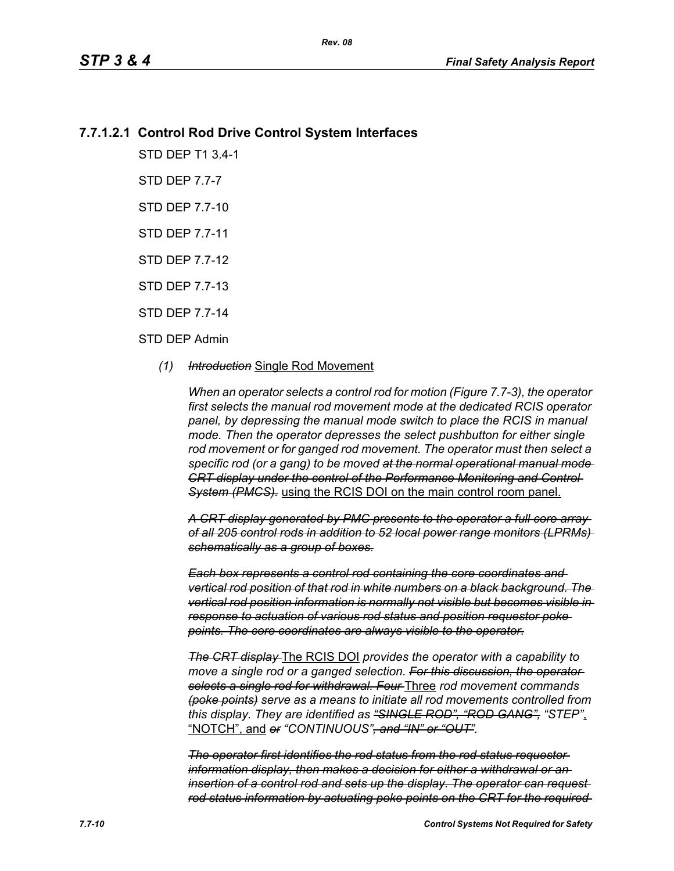# **7.7.1.2.1 Control Rod Drive Control System Interfaces**

STD DEP T1 3.4-1

STD DEP 7.7-7

STD DEP 7.7-10

STD DEP 7.7-11

STD DEP 7.7-12

STD DEP 7.7-13

STD DEP 7.7-14

#### STD DEP Admin

#### *(1) Introduction* Single Rod Movement

*When an operator selects a control rod for motion (Figure 7.7-3), the operator first selects the manual rod movement mode at the dedicated RCIS operator panel, by depressing the manual mode switch to place the RCIS in manual mode. Then the operator depresses the select pushbutton for either single rod movement or for ganged rod movement. The operator must then select a specific rod (or a gang) to be moved at the normal operational manual mode CRT display under the control of the Performance Monitoring and Control System (PMCS).* using the RCIS DOI on the main control room panel.

*A CRT display generated by PMC presents to the operator a full core array of all 205 control rods in addition to 52 local power range monitors (LPRMs) schematically as a group of boxes.*

*Each box represents a control rod containing the core coordinates and vertical rod position of that rod in white numbers on a black background. The vertical rod position information is normally not visible but becomes visible in response to actuation of various rod status and position requestor poke points. The core coordinates are always visible to the operator.*

*The CRT display* The RCIS DOI *provides the operator with a capability to*  move a single rod or a ganged selection. For this discussion, the operator*selects a single rod for withdrawal. Four* Three *rod movement commands (poke points) serve as a means to initiate all rod movements controlled from this display. They are identified as "SINGLE ROD", "ROD GANG", "STEP"*, "NOTCH", and *or "CONTINUOUS", and "IN" or "OUT".*

*The operator first identifies the rod status from the rod status requestor information display, then makes a decision for either a withdrawal or an insertion of a control rod and sets up the display. The operator can request rod status information by actuating poke points on the CRT for the required*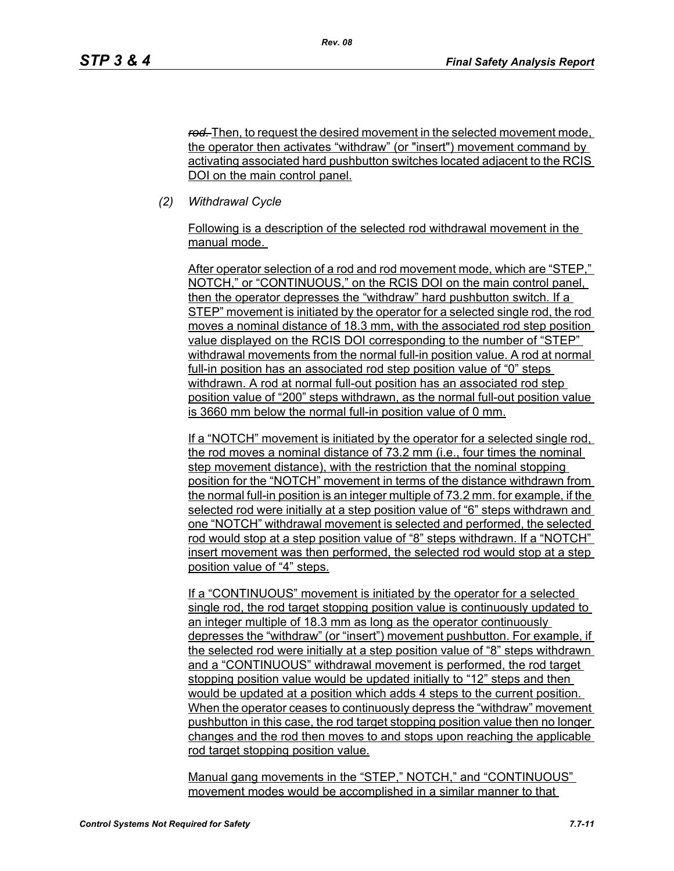*rod.* Then, to request the desired movement in the selected movement mode, the operator then activates "withdraw" (or "insert") movement command by activating associated hard pushbutton switches located adjacent to the RCIS DOI on the main control panel.

*(2) Withdrawal Cycle* 

Following is a description of the selected rod withdrawal movement in the manual mode.

After operator selection of a rod and rod movement mode, which are "STEP," NOTCH," or "CONTINUOUS," on the RCIS DOI on the main control panel, then the operator depresses the "withdraw" hard pushbutton switch. If a STEP" movement is initiated by the operator for a selected single rod, the rod moves a nominal distance of 18.3 mm, with the associated rod step position value displayed on the RCIS DOI corresponding to the number of "STEP" withdrawal movements from the normal full-in position value. A rod at normal full-in position has an associated rod step position value of "0" steps withdrawn. A rod at normal full-out position has an associated rod step position value of "200" steps withdrawn, as the normal full-out position value is 3660 mm below the normal full-in position value of 0 mm.

If a "NOTCH" movement is initiated by the operator for a selected single rod, the rod moves a nominal distance of 73.2 mm (i.e., four times the nominal step movement distance), with the restriction that the nominal stopping position for the "NOTCH" movement in terms of the distance withdrawn from the normal full-in position is an integer multiple of 73.2 mm. for example, if the selected rod were initially at a step position value of "6" steps withdrawn and one "NOTCH" withdrawal movement is selected and performed, the selected rod would stop at a step position value of "8" steps withdrawn. If a "NOTCH" insert movement was then performed, the selected rod would stop at a step position value of "4" steps.

If a "CONTINUOUS" movement is initiated by the operator for a selected single rod, the rod target stopping position value is continuously updated to an integer multiple of 18.3 mm as long as the operator continuously depresses the "withdraw" (or "insert") movement pushbutton. For example, if the selected rod were initially at a step position value of "8" steps withdrawn and a "CONTINUOUS" withdrawal movement is performed, the rod target stopping position value would be updated initially to "12" steps and then would be updated at a position which adds 4 steps to the current position. When the operator ceases to continuously depress the "withdraw" movement pushbutton in this case, the rod target stopping position value then no longer changes and the rod then moves to and stops upon reaching the applicable rod target stopping position value.

Manual gang movements in the "STEP," NOTCH," and "CONTINUOUS" movement modes would be accomplished in a similar manner to that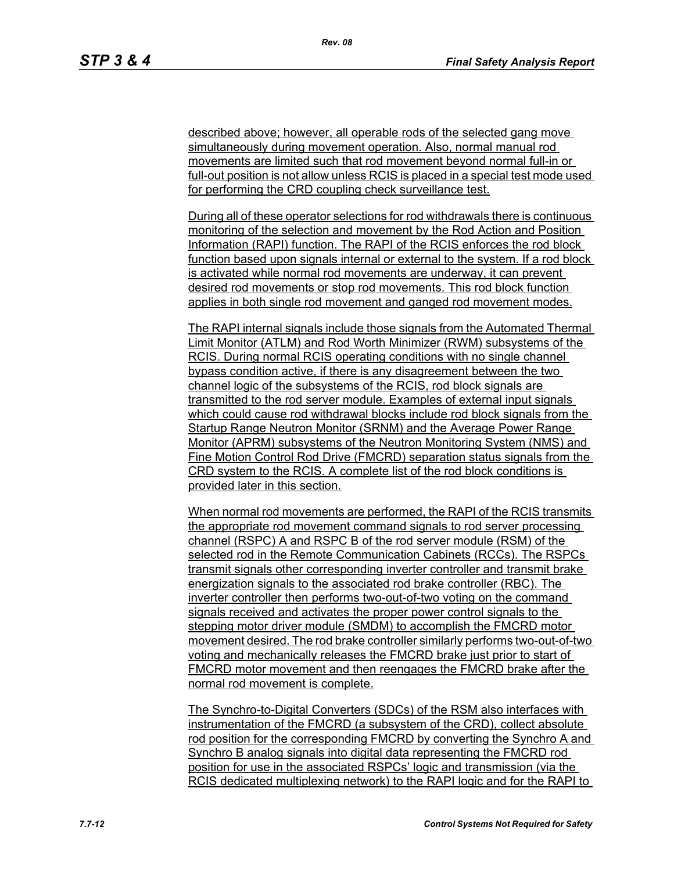described above; however, all operable rods of the selected gang move simultaneously during movement operation. Also, normal manual rod movements are limited such that rod movement beyond normal full-in or full-out position is not allow unless RCIS is placed in a special test mode used for performing the CRD coupling check surveillance test.

During all of these operator selections for rod withdrawals there is continuous monitoring of the selection and movement by the Rod Action and Position Information (RAPI) function. The RAPI of the RCIS enforces the rod block function based upon signals internal or external to the system. If a rod block is activated while normal rod movements are underway, it can prevent desired rod movements or stop rod movements. This rod block function applies in both single rod movement and ganged rod movement modes.

The RAPI internal signals include those signals from the Automated Thermal Limit Monitor (ATLM) and Rod Worth Minimizer (RWM) subsystems of the RCIS. During normal RCIS operating conditions with no single channel bypass condition active, if there is any disagreement between the two channel logic of the subsystems of the RCIS, rod block signals are transmitted to the rod server module. Examples of external input signals which could cause rod withdrawal blocks include rod block signals from the Startup Range Neutron Monitor (SRNM) and the Average Power Range Monitor (APRM) subsystems of the Neutron Monitoring System (NMS) and Fine Motion Control Rod Drive (FMCRD) separation status signals from the CRD system to the RCIS. A complete list of the rod block conditions is provided later in this section.

When normal rod movements are performed, the RAPI of the RCIS transmits the appropriate rod movement command signals to rod server processing channel (RSPC) A and RSPC B of the rod server module (RSM) of the selected rod in the Remote Communication Cabinets (RCCs). The RSPCs transmit signals other corresponding inverter controller and transmit brake energization signals to the associated rod brake controller (RBC). The inverter controller then performs two-out-of-two voting on the command signals received and activates the proper power control signals to the stepping motor driver module (SMDM) to accomplish the FMCRD motor movement desired. The rod brake controller similarly performs two-out-of-two voting and mechanically releases the FMCRD brake just prior to start of FMCRD motor movement and then reengages the FMCRD brake after the normal rod movement is complete.

The Synchro-to-Digital Converters (SDCs) of the RSM also interfaces with instrumentation of the FMCRD (a subsystem of the CRD), collect absolute rod position for the corresponding FMCRD by converting the Synchro A and Synchro B analog signals into digital data representing the FMCRD rod position for use in the associated RSPCs' logic and transmission (via the RCIS dedicated multiplexing network) to the RAPI logic and for the RAPI to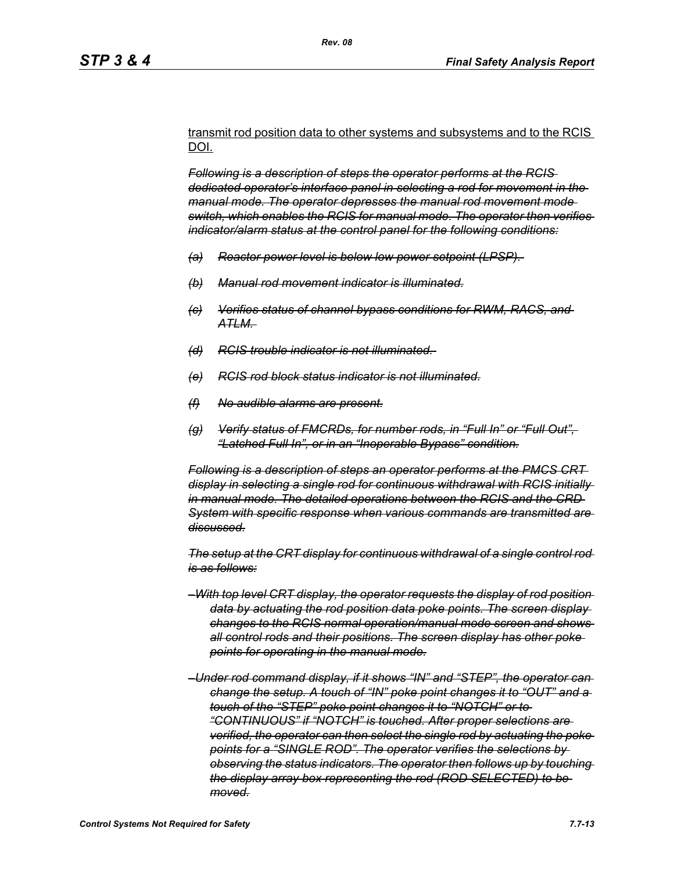transmit rod position data to other systems and subsystems and to the RCIS DOI.

*Following is a description of steps the operator performs at the RCIS dedicated operator's interface panel in selecting a rod for movement in the manual mode. The operator depresses the manual rod movement mode switch, which enables the RCIS for manual mode. The operator then verifies indicator/alarm status at the control panel for the following conditions:*

- *(a) Reactor power level is below low power setpoint (LPSP).*
- *(b) Manual rod movement indicator is illuminated.*
- *(c) Verifies status of channel bypass conditions for RWM, RACS, and ATLM.*
- *(d) RCIS trouble indicator is not illuminated.*
- *(e) RCIS rod block status indicator is not illuminated.*
- *(f) No audible alarms are present.*
- *(g) Verify status of FMCRDs, for number rods, in "Full In" or "Full Out", "Latched Full In", or in an "Inoperable Bypass" condition.*

*Following is a description of steps an operator performs at the PMCS CRT display in selecting a single rod for continuous withdrawal with RCIS initially in manual mode. The detailed operations between the RCIS and the CRD System with specific response when various commands are transmitted are discussed.*

*The setup at the CRT display for continuous withdrawal of a single control rod is as follows:*

- *–With top level CRT display, the operator requests the display of rod position data by actuating the rod position data poke points. The screen display changes to the RCIS normal operation/manual mode screen and shows all control rods and their positions. The screen display has other poke points for operating in the manual mode.*
- *–Under rod command display, if it shows "IN" and "STEP", the operator can change the setup. A touch of "IN" poke point changes it to "OUT" and a touch of the "STEP" poke point changes it to "NOTCH" or to "CONTINUOUS" if "NOTCH" is touched. After proper selections are verified, the operator can then select the single rod by actuating the poke points for a "SINGLE ROD". The operator verifies the selections by observing the status indicators. The operator then follows up by touching the display array box representing the rod (ROD SELECTED) to be moved.*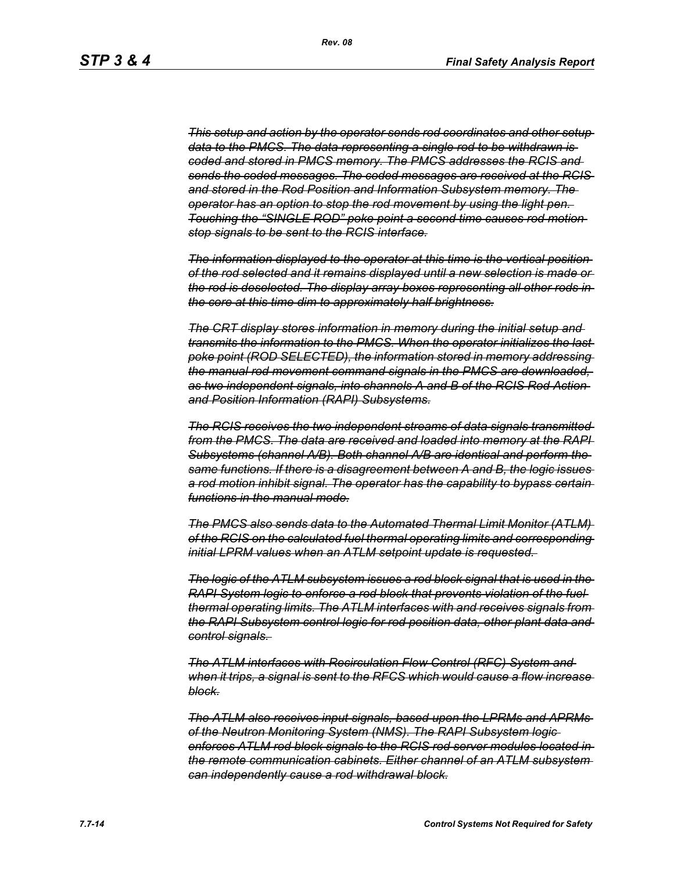*This setup and action by the operator sends rod coordinates and other setup data to the PMCS. The data representing a single rod to be withdrawn is coded and stored in PMCS memory. The PMCS addresses the RCIS and sends the coded messages. The coded messages are received at the RCIS and stored in the Rod Position and Information Subsystem memory. The operator has an option to stop the rod movement by using the light pen. Touching the "SINGLE ROD" poke point a second time causes rod motion stop signals to be sent to the RCIS interface.*

*The information displayed to the operator at this time is the vertical position of the rod selected and it remains displayed until a new selection is made or the rod is deselected. The display array boxes representing all other rods in the core at this time dim to approximately half brightness.*

*The CRT display stores information in memory during the initial setup and transmits the information to the PMCS. When the operator initializes the last poke point (ROD SELECTED), the information stored in memory addressing the manual rod movement command signals in the PMCS are downloaded, as two independent signals, into channels A and B of the RCIS Rod Action and Position Information (RAPI) Subsystems.*

*The RCIS receives the two independent streams of data signals transmitted from the PMCS. The data are received and loaded into memory at the RAPI Subsystems (channel A/B). Both channel A/B are identical and perform the same functions. If there is a disagreement between A and B, the logic issues a rod motion inhibit signal. The operator has the capability to bypass certain functions in the manual mode.*

*The PMCS also sends data to the Automated Thermal Limit Monitor (ATLM) of the RCIS on the calculated fuel thermal operating limits and corresponding initial LPRM values when an ATLM setpoint update is requested.* 

*The logic of the ATLM subsystem issues a rod block signal that is used in the RAPI System logic to enforce a rod block that prevents violation of the fuel thermal operating limits. The ATLM interfaces with and receives signals from the RAPI Subsystem control logic for rod position data, other plant data and control signals.* 

*The ATLM interfaces with Recirculation Flow Control (RFC) System and when it trips, a signal is sent to the RFCS which would cause a flow increase block.*

*The ATLM also receives input signals, based upon the LPRMs and APRMs of the Neutron Monitoring System (NMS). The RAPI Subsystem logic enforces ATLM rod block signals to the RCIS rod server modules located in the remote communication cabinets. Either channel of an ATLM subsystem can independently cause a rod withdrawal block.*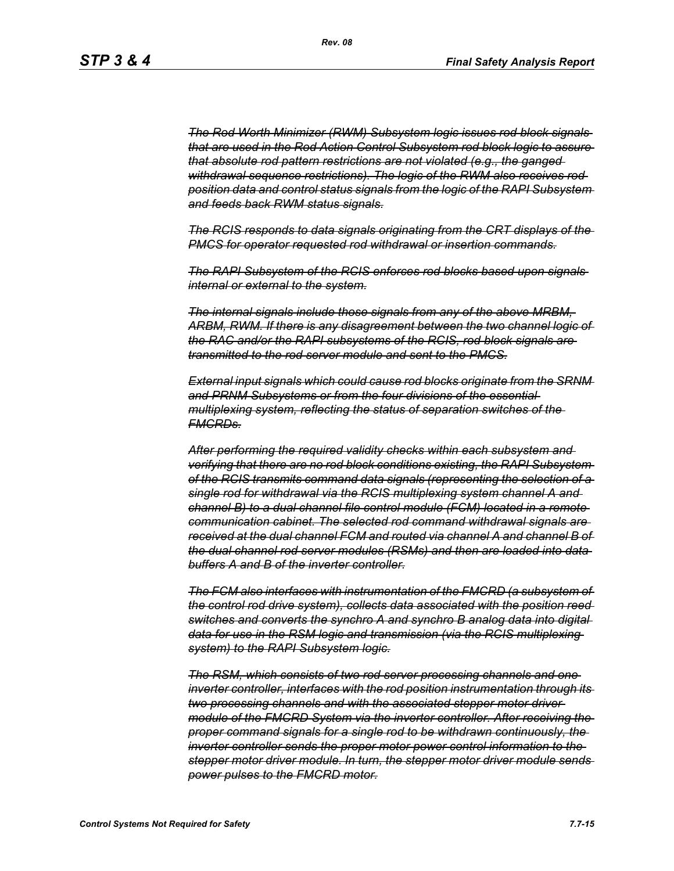*The Rod Worth Minimizer (RWM) Subsystem logic issues rod block signals that are used in the Rod Action Control Subsystem rod block logic to assure that absolute rod pattern restrictions are not violated (e.g., the ganged withdrawal sequence restrictions). The logic of the RWM also receives rod position data and control status signals from the logic of the RAPI Subsystem and feeds back RWM status signals.*

*The RCIS responds to data signals originating from the CRT displays of the PMCS for operator requested rod withdrawal or insertion commands.*

*The RAPI Subsystem of the RCIS enforces rod blocks based upon signals internal or external to the system.*

*The internal signals include those signals from any of the above MRBM, ARBM, RWM. If there is any disagreement between the two channel logic of the RAC and/or the RAPI subsystems of the RCIS, rod block signals are transmitted to the rod server module and sent to the PMCS.*

*External input signals which could cause rod blocks originate from the SRNM and PRNM Subsystems or from the four divisions of the essential multiplexing system, reflecting the status of separation switches of the FMCRDs.*

*After performing the required validity checks within each subsystem and verifying that there are no rod block conditions existing, the RAPI Subsystem of the RCIS transmits command data signals (representing the selection of a single rod for withdrawal via the RCIS multiplexing system channel A and channel B) to a dual channel file control module (FCM) located in a remote communication cabinet. The selected rod command withdrawal signals are received at the dual channel FCM and routed via channel A and channel B of the dual channel rod server modules (RSMs) and then are loaded into data buffers A and B of the inverter controller.*

*The FCM also interfaces with instrumentation of the FMCRD (a subsystem of the control rod drive system), collects data associated with the position reed switches and converts the synchro A and synchro B analog data into digital data for use in the RSM logic and transmission (via the RCIS multiplexing system) to the RAPI Subsystem logic.*

*The RSM, which consists of two rod server processing channels and one inverter controller, interfaces with the rod position instrumentation through its two processing channels and with the associated stepper motor driver module of the FMCRD System via the inverter controller. After receiving the proper command signals for a single rod to be withdrawn continuously, the inverter controller sends the proper motor power control information to the stepper motor driver module. In turn, the stepper motor driver module sends power pulses to the FMCRD motor.*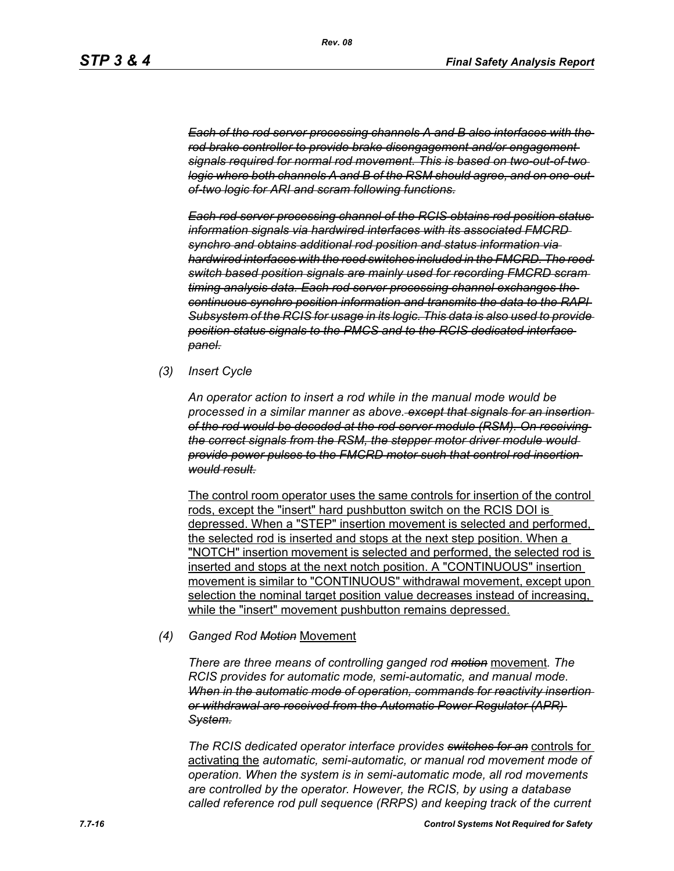*Each of the rod server processing channels A and B also interfaces with the rod brake controller to provide brake disengagement and/or engagement signals required for normal rod movement. This is based on two-out-of-two logic where both channels A and B of the RSM should agree, and on one-outof-two logic for ARI and scram following functions.*

*Each rod server processing channel of the RCIS obtains rod position status information signals via hardwired interfaces with its associated FMCRD synchro and obtains additional rod position and status information via hardwired interfaces with the reed switches included in the FMCRD. The reed switch based position signals are mainly used for recording FMCRD scram timing analysis data. Each rod server processing channel exchanges the continuous synchro position information and transmits the data to the RAPI Subsystem of the RCIS for usage in its logic. This data is also used to provide position status signals to the PMCS and to the RCIS dedicated interface panel.*

*(3) Insert Cycle*

*An operator action to insert a rod while in the manual mode would be processed in a similar manner as above. except that signals for an insertion of the rod would be decoded at the rod server module (RSM). On receiving the correct signals from the RSM, the stepper motor driver module would provide power pulses to the FMCRD motor such that control rod insertion would result.*

The control room operator uses the same controls for insertion of the control rods, except the "insert" hard pushbutton switch on the RCIS DOI is depressed. When a "STEP" insertion movement is selected and performed, the selected rod is inserted and stops at the next step position. When a "NOTCH" insertion movement is selected and performed, the selected rod is inserted and stops at the next notch position. A "CONTINUOUS" insertion movement is similar to "CONTINUOUS" withdrawal movement, except upon selection the nominal target position value decreases instead of increasing, while the "insert" movement pushbutton remains depressed.

#### *(4) Ganged Rod Motion* Movement

*There are three means of controlling ganged rod motion* movement*. The RCIS provides for automatic mode, semi-automatic, and manual mode. When in the automatic mode of operation, commands for reactivity insertion or withdrawal are received from the Automatic Power Regulator (APR) System.*

*The RCIS dedicated operator interface provides switches for an* controls for activating the *automatic, semi-automatic, or manual rod movement mode of operation. When the system is in semi-automatic mode, all rod movements are controlled by the operator. However, the RCIS, by using a database called reference rod pull sequence (RRPS) and keeping track of the current*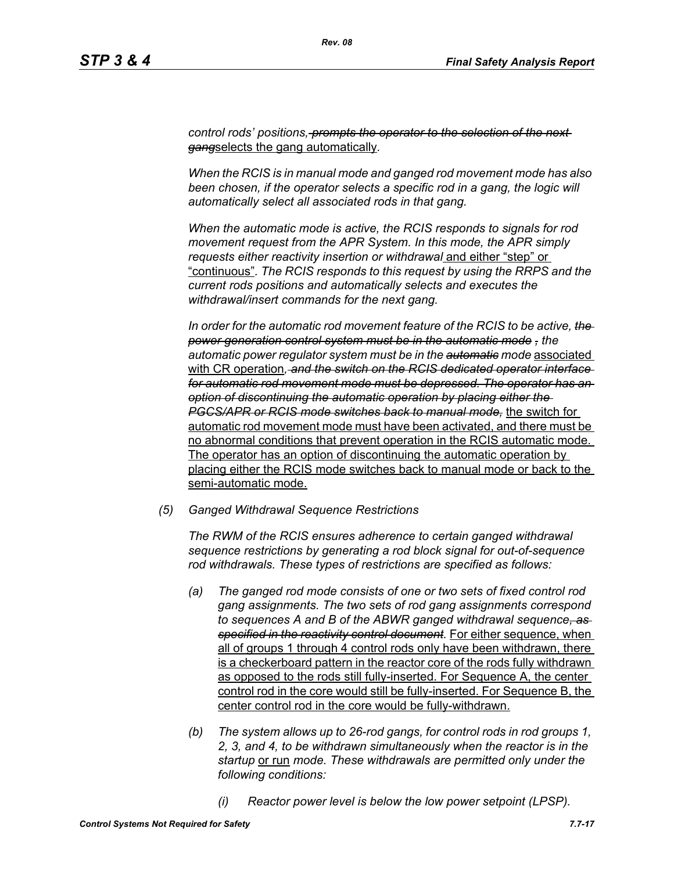*control rods' positions, prompts the operator to the selection of the next gang*selects the gang automatically*.*

*When the RCIS is in manual mode and ganged rod movement mode has also*  been chosen, if the operator selects a specific rod in a gang, the logic will *automatically select all associated rods in that gang.*

*When the automatic mode is active, the RCIS responds to signals for rod movement request from the APR System. In this mode, the APR simply requests either reactivity insertion or withdrawal* and either "step" or "continuous"*. The RCIS responds to this request by using the RRPS and the current rods positions and automatically selects and executes the withdrawal/insert commands for the next gang.*

*In order for the automatic rod movement feature of the RCIS to be active, the power generation control system must be in the automatic mode , the automatic power regulator system must be in the automatic mode* associated with CR operation*, and the switch on the RCIS dedicated operator interface for automatic rod movement mode must be depressed. The operator has an option of discontinuing the automatic operation by placing either the PGCS/APR or RCIS mode switches back to manual mode,* the switch for automatic rod movement mode must have been activated, and there must be no abnormal conditions that prevent operation in the RCIS automatic mode. The operator has an option of discontinuing the automatic operation by placing either the RCIS mode switches back to manual mode or back to the semi-automatic mode.

*(5) Ganged Withdrawal Sequence Restrictions*

*The RWM of the RCIS ensures adherence to certain ganged withdrawal sequence restrictions by generating a rod block signal for out-of-sequence rod withdrawals. These types of restrictions are specified as follows:*

- *(a) The ganged rod mode consists of one or two sets of fixed control rod gang assignments. The two sets of rod gang assignments correspond to sequences A and B of the ABWR ganged withdrawal sequence, as specified in the reactivity control document.* For either sequence, when all of groups 1 through 4 control rods only have been withdrawn, there is a checkerboard pattern in the reactor core of the rods fully withdrawn as opposed to the rods still fully-inserted. For Sequence A, the center control rod in the core would still be fully-inserted. For Sequence B, the center control rod in the core would be fully-withdrawn.
- *(b) The system allows up to 26-rod gangs, for control rods in rod groups 1, 2, 3, and 4, to be withdrawn simultaneously when the reactor is in the startup* or run *mode. These withdrawals are permitted only under the following conditions:*
	- *(i) Reactor power level is below the low power setpoint (LPSP).*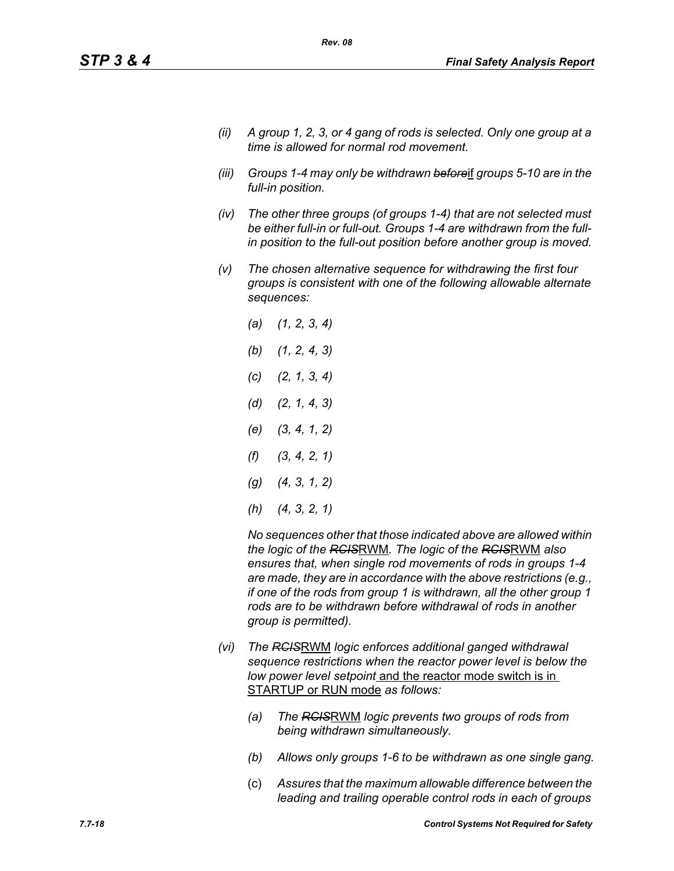- *(ii) A group 1, 2, 3, or 4 gang of rods is selected. Only one group at a time is allowed for normal rod movement.*
- *(iii) Groups 1-4 may only be withdrawn before*if *groups 5-10 are in the full-in position.*
- *(iv) The other three groups (of groups 1-4) that are not selected must be either full-in or full-out. Groups 1-4 are withdrawn from the fullin position to the full-out position before another group is moved.*
- *(v) The chosen alternative sequence for withdrawing the first four groups is consistent with one of the following allowable alternate sequences:*
	- *(a) (1, 2, 3, 4) (b) (1, 2, 4, 3) (c) (2, 1, 3, 4) (d) (2, 1, 4, 3) (e) (3, 4, 1, 2) (f) (3, 4, 2, 1) (g) (4, 3, 1, 2) (h) (4, 3, 2, 1)*

*No sequences other that those indicated above are allowed within the logic of the RCIS*RWM*. The logic of the RCIS*RWM *also ensures that, when single rod movements of rods in groups 1-4 are made, they are in accordance with the above restrictions (e.g., if one of the rods from group 1 is withdrawn, all the other group 1 rods are to be withdrawn before withdrawal of rods in another group is permitted).*

- *(vi) The RCIS*RWM *logic enforces additional ganged withdrawal sequence restrictions when the reactor power level is below the low power level setpoint* and the reactor mode switch is in STARTUP or RUN mode *as follows:*
	- *(a) The RCIS*RWM *logic prevents two groups of rods from being withdrawn simultaneously.*
	- *(b) Allows only groups 1-6 to be withdrawn as one single gang.*
	- (c) *Assures that the maximum allowable difference between the leading and trailing operable control rods in each of groups*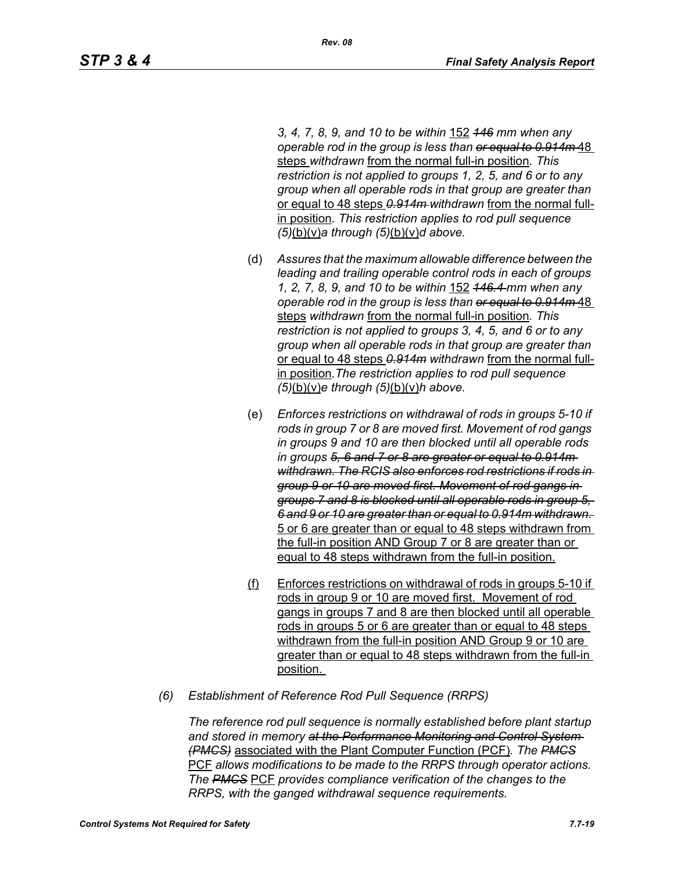*3, 4, 7, 8, 9, and 10 to be within* 152 *146 mm when any operable rod in the group is less than or equal to 0.914m* 48 steps *withdrawn* from the normal full-in position*. This restriction is not applied to groups 1, 2, 5, and 6 or to any group when all operable rods in that group are greater than*  or equal to 48 steps *0.914m withdrawn* from the normal fullin position*. This restriction applies to rod pull sequence (5)*(b)(v)*a through (5)*(b)(v)*d above.*

- (d) *Assures that the maximum allowable difference between the leading and trailing operable control rods in each of groups 1, 2, 7, 8, 9, and 10 to be within* 152 *146.4 mm when any operable rod in the group is less than or equal to 0.914m* 48 steps *withdrawn* from the normal full-in position*. This restriction is not applied to groups 3, 4, 5, and 6 or to any group when all operable rods in that group are greater than*  or equal to 48 steps *0.914m withdrawn* from the normal fullin position*.The restriction applies to rod pull sequence (5)*(b)(v)*e through (5)*(b)(v)*h above.*
- (e) *Enforces restrictions on withdrawal of rods in groups 5-10 if rods in group 7 or 8 are moved first. Movement of rod gangs in groups 9 and 10 are then blocked until all operable rods in groups 5, 6 and 7 or 8 are greater or equal to 0.914m withdrawn. The RCIS also enforces rod restrictions if rods in group 9 or 10 are moved first. Movement of rod gangs in groups 7 and 8 is blocked until all operable rods in group 5, 6 and 9 or 10 are greater than or equal to 0.914m withdrawn.*  5 or 6 are greater than or equal to 48 steps withdrawn from the full-in position AND Group 7 or 8 are greater than or equal to 48 steps withdrawn from the full-in position.
- (f) Enforces restrictions on withdrawal of rods in groups 5-10 if rods in group 9 or 10 are moved first. Movement of rod gangs in groups 7 and 8 are then blocked until all operable rods in groups 5 or 6 are greater than or equal to 48 steps withdrawn from the full-in position AND Group 9 or 10 are greater than or equal to 48 steps withdrawn from the full-in position.
- *(6) Establishment of Reference Rod Pull Sequence (RRPS)*

*The reference rod pull sequence is normally established before plant startup and stored in memory at the Performance Monitoring and Control System (PMCS)* associated with the Plant Computer Function (PCF)*. The PMCS* PCF *allows modifications to be made to the RRPS through operator actions. The PMCS* PCF *provides compliance verification of the changes to the RRPS, with the ganged withdrawal sequence requirements.*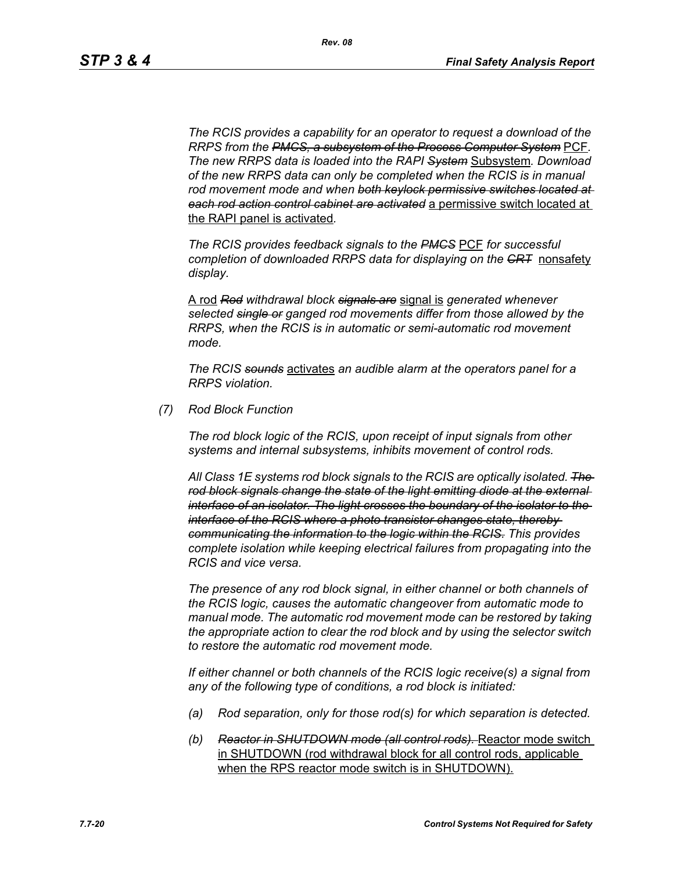*The RCIS provides a capability for an operator to request a download of the RRPS from the PMCS, a subsystem of the Process Computer System* PCF*. The new RRPS data is loaded into the RAPI System* Subsystem*. Download of the new RRPS data can only be completed when the RCIS is in manual rod movement mode and when both keylock permissive switches located at each rod action control cabinet are activated* a permissive switch located at the RAPI panel is activated*.*

*The RCIS provides feedback signals to the PMCS* PCF *for successful completion of downloaded RRPS data for displaying on the CRT* nonsafety *display.*

A rod *Rod withdrawal block signals are* signal is *generated whenever selected single or ganged rod movements differ from those allowed by the RRPS, when the RCIS is in automatic or semi-automatic rod movement mode.*

*The RCIS sounds* activates *an audible alarm at the operators panel for a RRPS violation.*

*(7) Rod Block Function*

*The rod block logic of the RCIS, upon receipt of input signals from other systems and internal subsystems, inhibits movement of control rods.*

*All Class 1E systems rod block signals to the RCIS are optically isolated. The rod block signals change the state of the light emitting diode at the external interface of an isolator. The light crosses the boundary of the isolator to the interface of the RCIS where a photo transistor changes state, thereby communicating the information to the logic within the RCIS. This provides complete isolation while keeping electrical failures from propagating into the RCIS and vice versa.*

*The presence of any rod block signal, in either channel or both channels of the RCIS logic, causes the automatic changeover from automatic mode to manual mode. The automatic rod movement mode can be restored by taking the appropriate action to clear the rod block and by using the selector switch to restore the automatic rod movement mode.*

*If either channel or both channels of the RCIS logic receive(s) a signal from any of the following type of conditions, a rod block is initiated:*

- *(a) Rod separation, only for those rod(s) for which separation is detected.*
- *(b) Reactor in SHUTDOWN mode (all control rods).* Reactor mode switch in SHUTDOWN (rod withdrawal block for all control rods, applicable when the RPS reactor mode switch is in SHUTDOWN).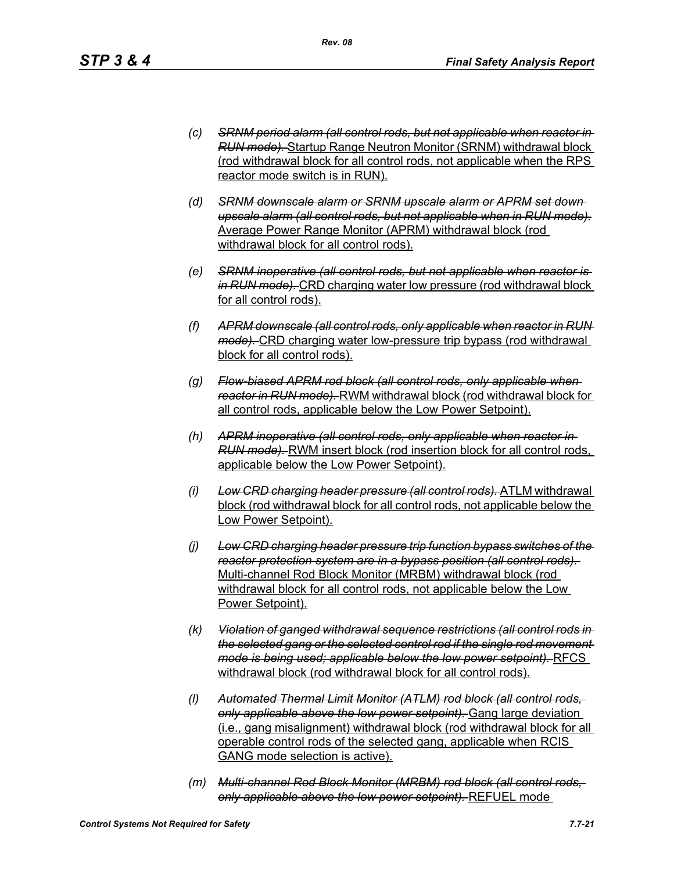- *(c) SRNM period alarm (all control rods, but not applicable when reactor in RUN mode).* Startup Range Neutron Monitor (SRNM) withdrawal block (rod withdrawal block for all control rods, not applicable when the RPS reactor mode switch is in RUN).
- *(d) SRNM downscale alarm or SRNM upscale alarm or APRM set down upscale alarm (all control rods, but not applicable when in RUN mode).* Average Power Range Monitor (APRM) withdrawal block (rod withdrawal block for all control rods).
- *(e) SRNM inoperative (all control rods, but not applicable when reactor is in RUN mode).* CRD charging water low pressure (rod withdrawal block for all control rods).
- *(f) APRM downscale (all control rods, only applicable when reactor in RUN mode).* CRD charging water low-pressure trip bypass (rod withdrawal block for all control rods).
- *(g) Flow-biased APRM rod block (all control rods, only applicable when reactor in RUN mode).* RWM withdrawal block (rod withdrawal block for all control rods, applicable below the Low Power Setpoint).
- *(h) APRM inoperative (all control rods, only applicable when reactor in RUN mode).* RWM insert block (rod insertion block for all control rods, applicable below the Low Power Setpoint).
- *(i) Low CRD charging header pressure (all control rods).* ATLM withdrawal block (rod withdrawal block for all control rods, not applicable below the Low Power Setpoint).
- *(j) Low CRD charging header pressure trip function bypass switches of the reactor protection system are in a bypass position (all control rods).*  Multi-channel Rod Block Monitor (MRBM) withdrawal block (rod withdrawal block for all control rods, not applicable below the Low Power Setpoint).
- *(k) Violation of ganged withdrawal sequence restrictions (all control rods in the selected gang or the selected control rod if the single rod movement mode is being used; applicable below the low power setpoint).* RFCS withdrawal block (rod withdrawal block for all control rods).
- *(l) Automated Thermal Limit Monitor (ATLM) rod block (all control rods, only applicable above the low power setpoint).* Gang large deviation (i.e., gang misalignment) withdrawal block (rod withdrawal block for all operable control rods of the selected gang, applicable when RCIS GANG mode selection is active).
- *(m) Multi-channel Rod Block Monitor (MRBM) rod block (all control rods, only applicable above the low power setpoint).* REFUEL mode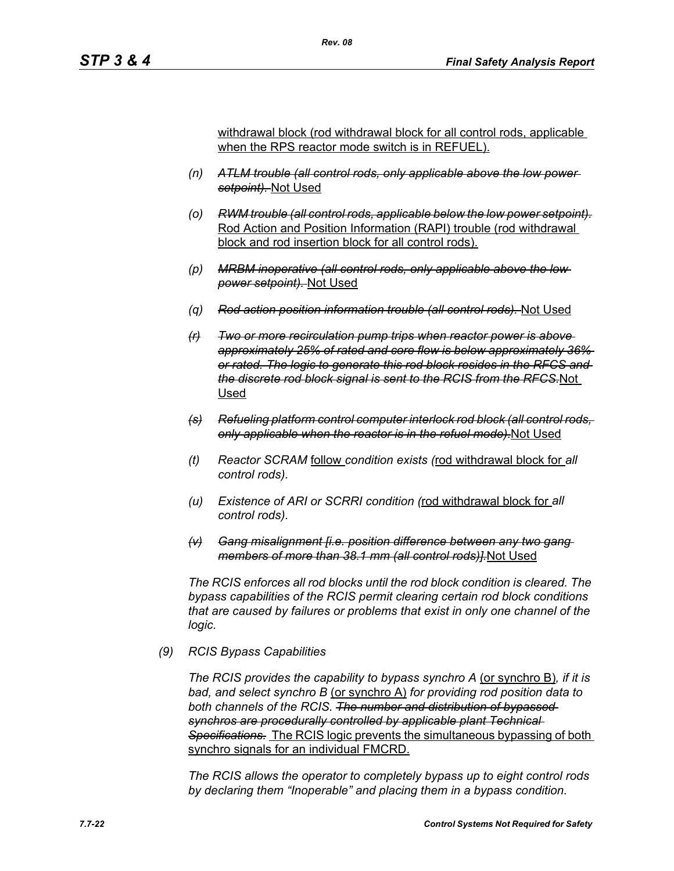withdrawal block (rod withdrawal block for all control rods, applicable when the RPS reactor mode switch is in REFUEL).

- *(n) ATLM trouble (all control rods, only applicable above the low power setpoint).* Not Used
- *(o) RWM trouble (all control rods, applicable below the low power setpoint).* Rod Action and Position Information (RAPI) trouble (rod withdrawal block and rod insertion block for all control rods).
- *(p) MRBM inoperative (all control rods, only applicable above the low power setpoint).* Not Used
- *(q) Rod action position information trouble (all control rods).* Not Used
- *(r) Two or more recirculation pump trips when reactor power is above approximately 25% of rated and core flow is below approximately 36% or rated. The logic to generate this rod block resides in the RFCS and the discrete rod block signal is sent to the RCIS from the RFCS.*Not Used
- *(s) Refueling platform control computer interlock rod block (all control rods, only applicable when the reactor is in the refuel mode).*Not Used
- *(t) Reactor SCRAM* follow *condition exists (*rod withdrawal block for *all control rods).*
- *(u) Existence of ARI or SCRRI condition (*rod withdrawal block for *all control rods).*
- *(v) Gang misalignment [i.e. position difference between any two gang members of more than 38.1 mm (all control rods)].*Not Used

*The RCIS enforces all rod blocks until the rod block condition is cleared. The bypass capabilities of the RCIS permit clearing certain rod block conditions that are caused by failures or problems that exist in only one channel of the logic.*

#### *(9) RCIS Bypass Capabilities*

*The RCIS provides the capability to bypass synchro A* (or synchro B)*, if it is bad, and select synchro B* (or synchro A) *for providing rod position data to both channels of the RCIS. The number and distribution of bypassed synchros are procedurally controlled by applicable plant Technical Specifications.* The RCIS logic prevents the simultaneous bypassing of both synchro signals for an individual FMCRD.

*The RCIS allows the operator to completely bypass up to eight control rods by declaring them "Inoperable" and placing them in a bypass condition.*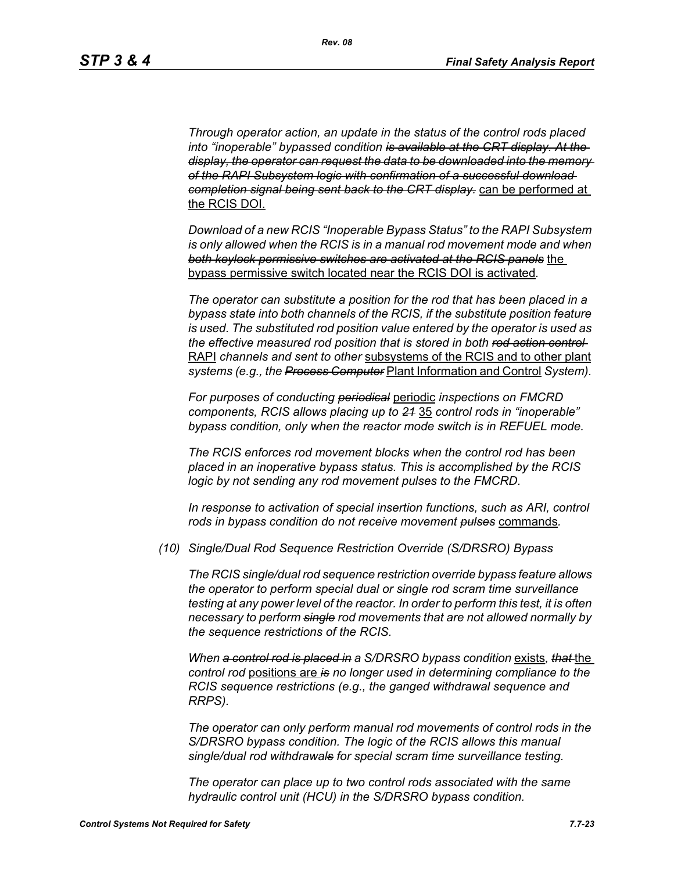*Through operator action, an update in the status of the control rods placed into "inoperable" bypassed condition is available at the CRT display. At the display, the operator can request the data to be downloaded into the memory of the RAPI Subsystem logic with confirmation of a successful download completion signal being sent back to the CRT display.* can be performed at the RCIS DOI.

*Download of a new RCIS "Inoperable Bypass Status" to the RAPI Subsystem is only allowed when the RCIS is in a manual rod movement mode and when both keylock permissive switches are activated at the RCIS panels* the bypass permissive switch located near the RCIS DOI is activated*.*

*The operator can substitute a position for the rod that has been placed in a bypass state into both channels of the RCIS, if the substitute position feature is used. The substituted rod position value entered by the operator is used as the effective measured rod position that is stored in both rod action control*  RAPI *channels and sent to other* subsystems of the RCIS and to other plant *systems (e.g., the Process Computer* Plant Information and Control *System).*

*For purposes of conducting periodical* periodic *inspections on FMCRD components, RCIS allows placing up to 21* 35 *control rods in "inoperable" bypass condition, only when the reactor mode switch is in REFUEL mode.*

*The RCIS enforces rod movement blocks when the control rod has been placed in an inoperative bypass status. This is accomplished by the RCIS logic by not sending any rod movement pulses to the FMCRD.*

In response to activation of special insertion functions, such as ARI, control *rods in bypass condition do not receive movement pulses* commands*.*

*(10) Single/Dual Rod Sequence Restriction Override (S/DRSRO) Bypass*

*The RCIS single/dual rod sequence restriction override bypass feature allows the operator to perform special dual or single rod scram time surveillance testing at any power level of the reactor. In order to perform this test, it is often necessary to perform single rod movements that are not allowed normally by the sequence restrictions of the RCIS.*

*When a control rod is placed in a S/DRSRO bypass condition* exists*, that* the *control rod* positions are *is no longer used in determining compliance to the RCIS sequence restrictions (e.g., the ganged withdrawal sequence and RRPS).*

*The operator can only perform manual rod movements of control rods in the S/DRSRO bypass condition. The logic of the RCIS allows this manual single/dual rod withdrawals for special scram time surveillance testing.*

*The operator can place up to two control rods associated with the same hydraulic control unit (HCU) in the S/DRSRO bypass condition.*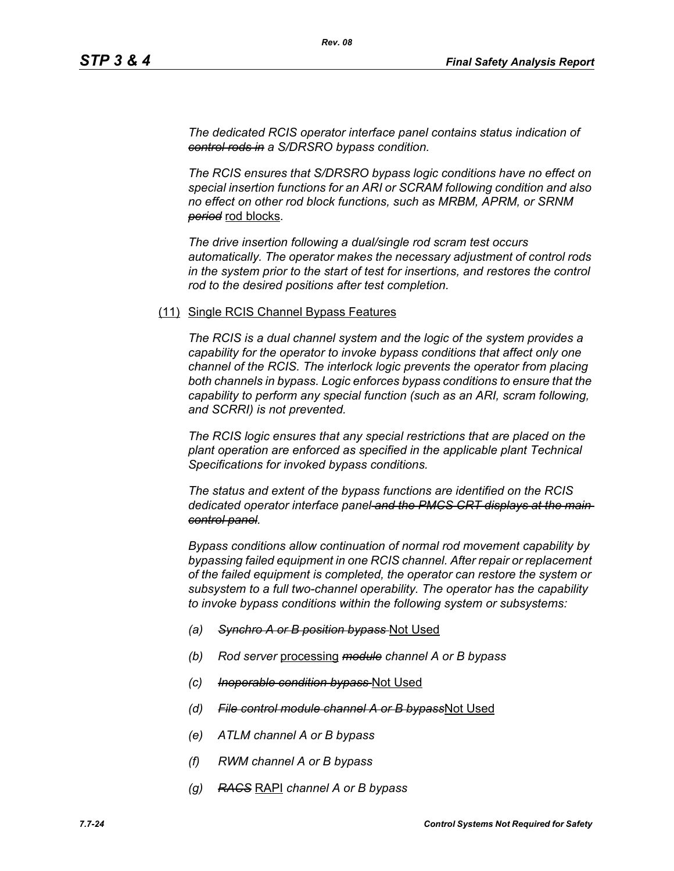*The dedicated RCIS operator interface panel contains status indication of control rods in a S/DRSRO bypass condition.*

*The RCIS ensures that S/DRSRO bypass logic conditions have no effect on special insertion functions for an ARI or SCRAM following condition and also no effect on other rod block functions, such as MRBM, APRM, or SRNM period* rod blocks*.*

*The drive insertion following a dual/single rod scram test occurs automatically. The operator makes the necessary adjustment of control rods in the system prior to the start of test for insertions, and restores the control rod to the desired positions after test completion.*

#### (11) Single RCIS Channel Bypass Features

*The RCIS is a dual channel system and the logic of the system provides a capability for the operator to invoke bypass conditions that affect only one channel of the RCIS. The interlock logic prevents the operator from placing both channels in bypass. Logic enforces bypass conditions to ensure that the capability to perform any special function (such as an ARI, scram following, and SCRRI) is not prevented.*

*The RCIS logic ensures that any special restrictions that are placed on the plant operation are enforced as specified in the applicable plant Technical Specifications for invoked bypass conditions.*

*The status and extent of the bypass functions are identified on the RCIS dedicated operator interface panel and the PMCS CRT displays at the main control panel.*

*Bypass conditions allow continuation of normal rod movement capability by bypassing failed equipment in one RCIS channel. After repair or replacement of the failed equipment is completed, the operator can restore the system or subsystem to a full two-channel operability. The operator has the capability to invoke bypass conditions within the following system or subsystems:*

- *(a) Synchro A or B position bypass* Not Used
- *(b) Rod server* processing *module channel A or B bypass*
- *(c) Inoperable condition bypass* Not Used
- *(d) File control module channel A or B bypass*Not Used
- *(e) ATLM channel A or B bypass*
- *(f) RWM channel A or B bypass*
- *(g) RACS* RAPI *channel A or B bypass*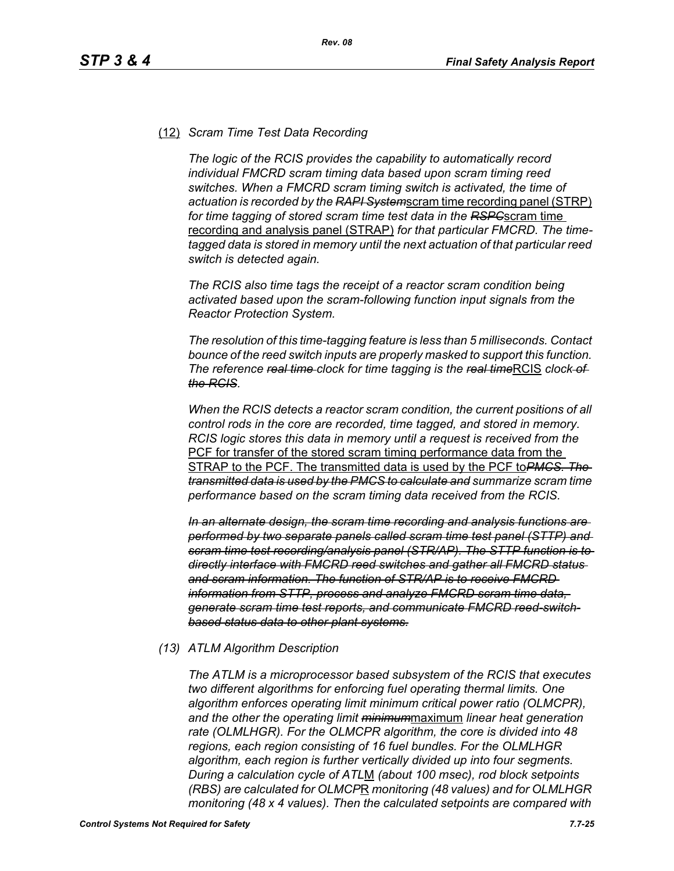#### (12) *Scram Time Test Data Recording*

*The logic of the RCIS provides the capability to automatically record individual FMCRD scram timing data based upon scram timing reed switches. When a FMCRD scram timing switch is activated, the time of actuation is recorded by the RAPI System*scram time recording panel (STRP) *for time tagging of stored scram time test data in the RSPC*scram time recording and analysis panel (STRAP) *for that particular FMCRD. The timetagged data is stored in memory until the next actuation of that particular reed switch is detected again.*

*The RCIS also time tags the receipt of a reactor scram condition being activated based upon the scram-following function input signals from the Reactor Protection System.*

*The resolution of this time-tagging feature is less than 5 milliseconds. Contact bounce of the reed switch inputs are properly masked to support this function. The reference <del>real time</del> clock for time tagging is the real timeRCIS clock of the RCIS.*

*When the RCIS detects a reactor scram condition, the current positions of all control rods in the core are recorded, time tagged, and stored in memory. RCIS logic stores this data in memory until a request is received from the*  PCF for transfer of the stored scram timing performance data from the STRAP to the PCF. The transmitted data is used by the PCF to*PMCS. The transmitted data is used by the PMCS to calculate and summarize scram time performance based on the scram timing data received from the RCIS.*

*In an alternate design, the scram time recording and analysis functions are performed by two separate panels called scram time test panel (STTP) and scram time test recording/analysis panel (STR/AP). The STTP function is to directly interface with FMCRD reed switches and gather all FMCRD status and scram information. The function of STR/AP is to receive FMCRD information from STTP, process and analyze FMCRD scram time data, generate scram time test reports, and communicate FMCRD reed-switchbased status data to other plant systems.*

#### *(13) ATLM Algorithm Description*

*The ATLM is a microprocessor based subsystem of the RCIS that executes two different algorithms for enforcing fuel operating thermal limits. One algorithm enforces operating limit minimum critical power ratio (OLMCPR), and the other the operating limit minimum*maximum *linear heat generation rate (OLMLHGR). For the OLMCPR algorithm, the core is divided into 48 regions, each region consisting of 16 fuel bundles. For the OLMLHGR algorithm, each region is further vertically divided up into four segments. During a calculation cycle of ATL*M *(about 100 msec), rod block setpoints (RBS) are calculated for OLMCP*R *monitoring (48 values) and for OLMLHGR monitoring (48 x 4 values). Then the calculated setpoints are compared with*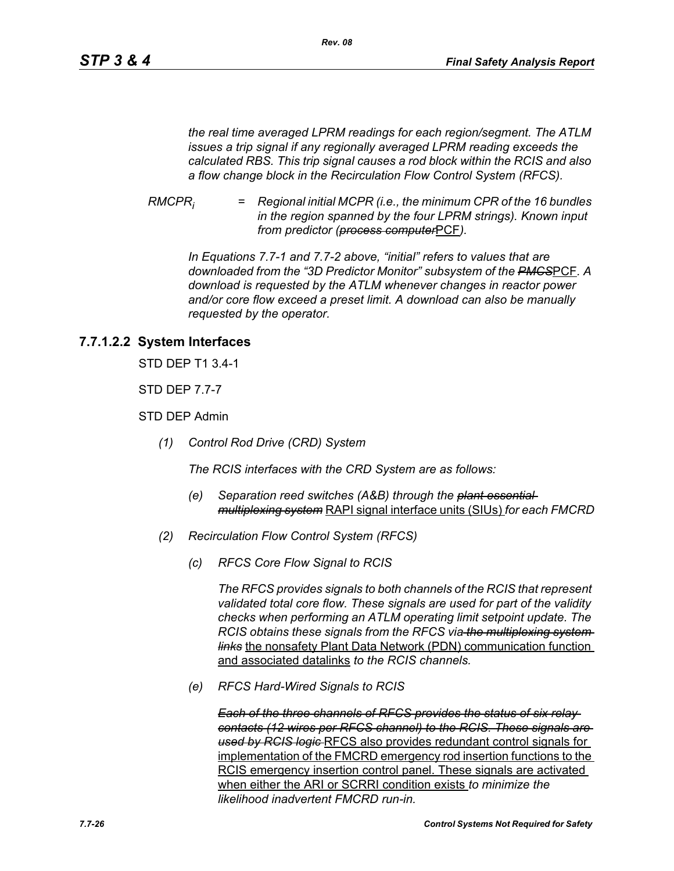*the real time averaged LPRM readings for each region/segment. The ATLM issues a trip signal if any regionally averaged LPRM reading exceeds the calculated RBS. This trip signal causes a rod block within the RCIS and also a flow change block in the Recirculation Flow Control System (RFCS).*

*RMCPRi = Regional initial MCPR (i.e., the minimum CPR of the 16 bundles in the region spanned by the four LPRM strings). Known input from predictor (process computer*PCF*).*

*In Equations 7.7-1 and 7.7-2 above, "initial" refers to values that are downloaded from the "3D Predictor Monitor" subsystem of the PMCS*PCF*. A download is requested by the ATLM whenever changes in reactor power and/or core flow exceed a preset limit. A download can also be manually requested by the operator.*

# **7.7.1.2.2 System Interfaces**

STD DEP T1 3.4-1

STD DEP 7.7-7

STD DEP Admin

*(1) Control Rod Drive (CRD) System*

*The RCIS interfaces with the CRD System are as follows:*

- *(e) Separation reed switches (A&B) through the plant essential multiplexing system* RAPI signal interface units (SIUs) *for each FMCRD*
- *(2) Recirculation Flow Control System (RFCS)*
	- *(c) RFCS Core Flow Signal to RCIS*

*The RFCS provides signals to both channels of the RCIS that represent validated total core flow. These signals are used for part of the validity checks when performing an ATLM operating limit setpoint update. The RCIS obtains these signals from the RFCS via the multiplexing system links* the nonsafety Plant Data Network (PDN) communication function and associated datalinks *to the RCIS channels.*

*(e) RFCS Hard-Wired Signals to RCIS*

*Each of the three channels of RFCS provides the status of six relay contacts (12 wires per RFCS channel) to the RCIS. These signals are used by RCIS logic* RFCS also provides redundant control signals for implementation of the FMCRD emergency rod insertion functions to the RCIS emergency insertion control panel. These signals are activated when either the ARI or SCRRI condition exists *to minimize the likelihood inadvertent FMCRD run-in.*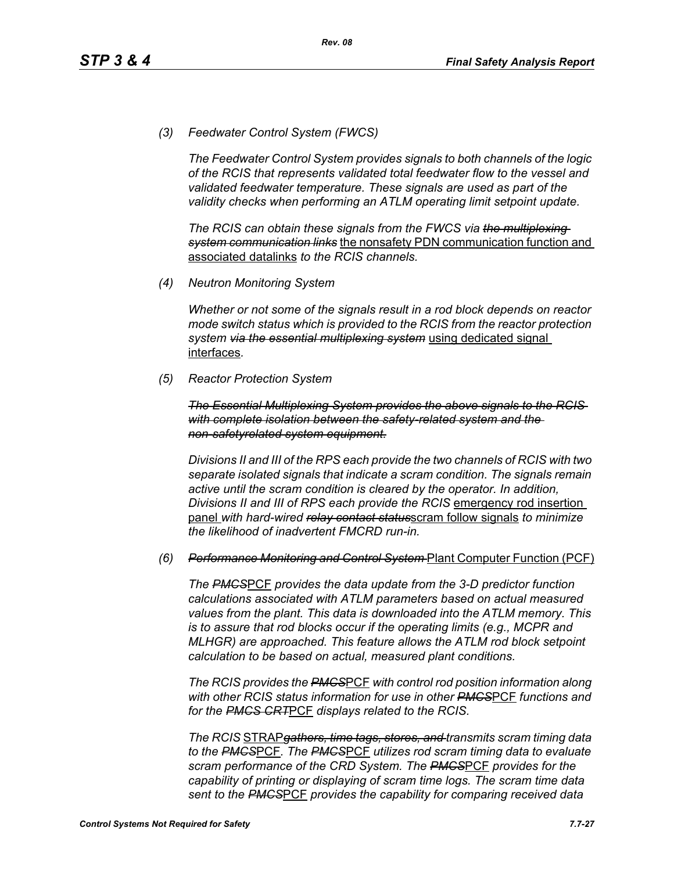*(3) Feedwater Control System (FWCS)*

*The Feedwater Control System provides signals to both channels of the logic of the RCIS that represents validated total feedwater flow to the vessel and validated feedwater temperature. These signals are used as part of the validity checks when performing an ATLM operating limit setpoint update.*

*The RCIS can obtain these signals from the FWCS via the multiplexing system communication links* the nonsafety PDN communication function and associated datalinks *to the RCIS channels.*

*(4) Neutron Monitoring System*

*Whether or not some of the signals result in a rod block depends on reactor mode switch status which is provided to the RCIS from the reactor protection system via the essential multiplexing system* using dedicated signal interfaces*.*

*(5) Reactor Protection System*

*The Essential Multiplexing System provides the above signals to the RCIS with complete isolation between the safety-related system and the non-safetyrelated system equipment.*

*Divisions II and III of the RPS each provide the two channels of RCIS with two separate isolated signals that indicate a scram condition. The signals remain active until the scram condition is cleared by the operator. In addition, Divisions II and III of RPS each provide the RCIS* emergency rod insertion panel *with hard-wired relay contact status*scram follow signals *to minimize the likelihood of inadvertent FMCRD run-in.*

#### *(6) Performance Monitoring and Control System* Plant Computer Function (PCF)

*The PMCS*PCF *provides the data update from the 3-D predictor function calculations associated with ATLM parameters based on actual measured values from the plant. This data is downloaded into the ATLM memory. This is to assure that rod blocks occur if the operating limits (e.g., MCPR and MLHGR) are approached. This feature allows the ATLM rod block setpoint calculation to be based on actual, measured plant conditions.*

*The RCIS provides the PMCS*PCF *with control rod position information along with other RCIS status information for use in other PMCS*PCF *functions and for the PMCS CRT*PCF *displays related to the RCIS.*

*The RCIS* STRAP*gathers, time tags, stores, and transmits scram timing data to the PMCS*PCF*. The PMCS*PCF *utilizes rod scram timing data to evaluate scram performance of the CRD System. The PMCS*PCF *provides for the capability of printing or displaying of scram time logs. The scram time data sent to the PMCS*PCF *provides the capability for comparing received data*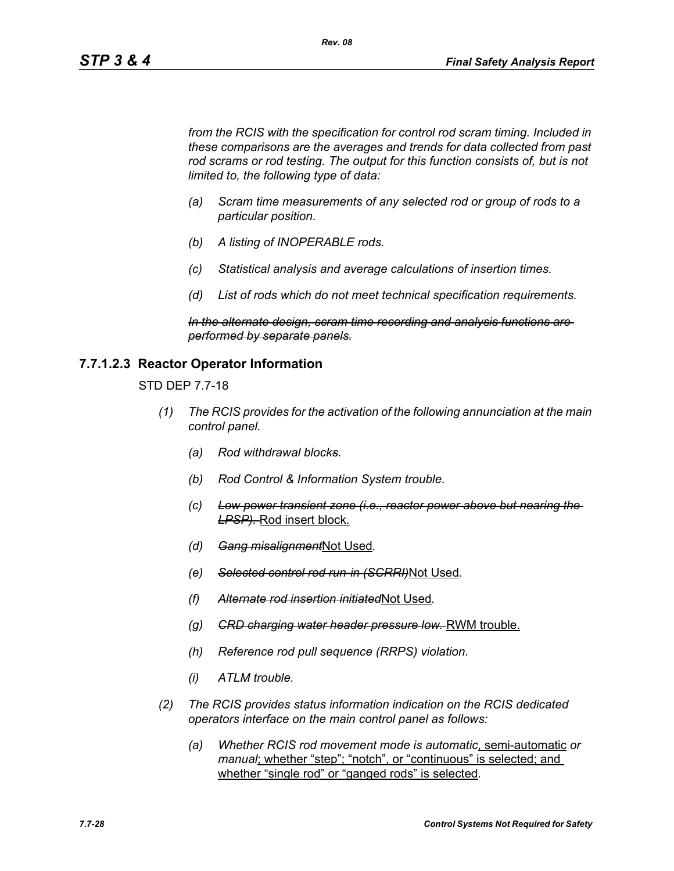*from the RCIS with the specification for control rod scram timing. Included in these comparisons are the averages and trends for data collected from past*  rod scrams or rod testing. The output for this function consists of, but is not *limited to, the following type of data:*

*Rev. 08*

- *(a) Scram time measurements of any selected rod or group of rods to a particular position.*
- *(b) A listing of INOPERABLE rods.*
- *(c) Statistical analysis and average calculations of insertion times.*
- *(d) List of rods which do not meet technical specification requirements.*

*In the alternate design, scram time recording and analysis functions are performed by separate panels.*

#### **7.7.1.2.3 Reactor Operator Information**

STD DEP 7.7-18

- *(1) The RCIS provides for the activation of the following annunciation at the main control panel.*
	- *(a) Rod withdrawal blocks.*
	- *(b) Rod Control & Information System trouble.*
	- *(c) Low power transient zone (i.e., reactor power above but nearing the LPSP).* Rod insert block.
	- *(d) Gang misalignment*Not Used*.*
	- *(e) Selected control rod run-in (SCRRI)*Not Used*.*
	- *(f) Alternate rod insertion initiated*Not Used*.*
	- *(g) CRD charging water header pressure low.* RWM trouble.
	- *(h) Reference rod pull sequence (RRPS) violation.*
	- *(i) ATLM trouble.*
- *(2) The RCIS provides status information indication on the RCIS dedicated operators interface on the main control panel as follows:*
	- *(a) Whether RCIS rod movement mode is automatic*, semi-automatic *or manual*; whether "step"; "notch", or "continuous" is selected; and whether "single rod" or "ganged rods" is selected*.*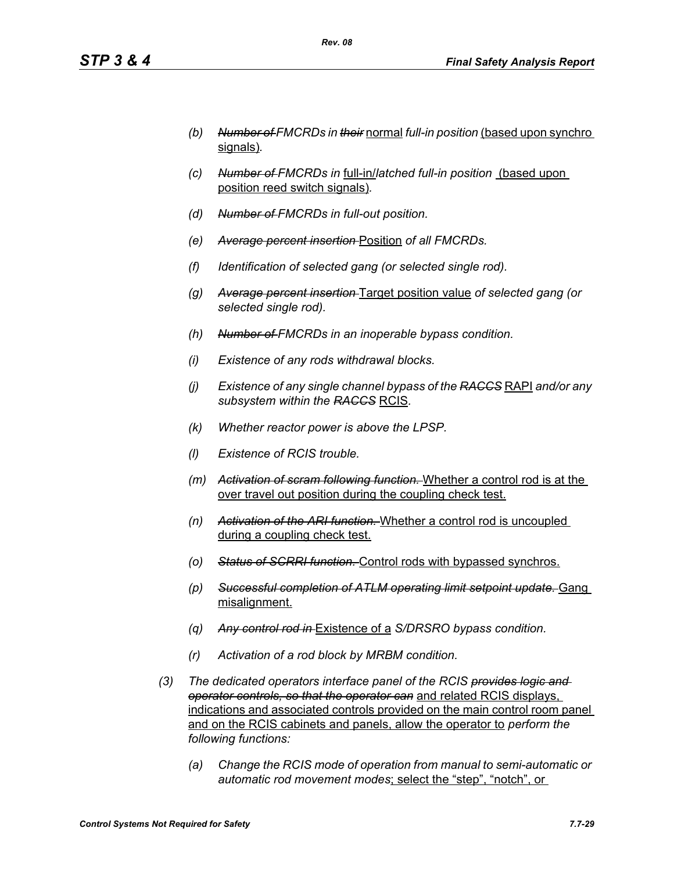- *(b) Number of FMCRDs in their* normal *full-in position* (based upon synchro signals)*.*
- *(c) Number of FMCRDs in* full-in/*latched full-in position* (based upon position reed switch signals)*.*
- *(d) Number of FMCRDs in full-out position.*
- *(e) Average percent insertion* Position *of all FMCRDs.*
- *(f) Identification of selected gang (or selected single rod).*
- *(g) Average percent insertion* Target position value *of selected gang (or selected single rod).*
- *(h) Number of FMCRDs in an inoperable bypass condition.*
- *(i) Existence of any rods withdrawal blocks.*
- *(j) Existence of any single channel bypass of the RACCS* RAPI *and/or any subsystem within the RACCS* RCIS*.*
- *(k) Whether reactor power is above the LPSP.*
- *(l) Existence of RCIS trouble.*
- *(m) Activation of scram following function.* Whether a control rod is at the over travel out position during the coupling check test.
- *(n) Activation of the ARI function.* Whether a control rod is uncoupled during a coupling check test.
- *(o) Status of SCRRI function.* Control rods with bypassed synchros.
- *(p) Successful completion of ATLM operating limit setpoint update.* Gang misalignment.
- *(q) Any control rod in* Existence of a *S/DRSRO bypass condition.*
- *(r) Activation of a rod block by MRBM condition.*
- *(3) The dedicated operators interface panel of the RCIS provides logic and operator controls, so that the operator can* and related RCIS displays, indications and associated controls provided on the main control room panel and on the RCIS cabinets and panels, allow the operator to *perform the following functions:*
	- *(a) Change the RCIS mode of operation from manual to semi-automatic or automatic rod movement modes*; select the "step", "notch", or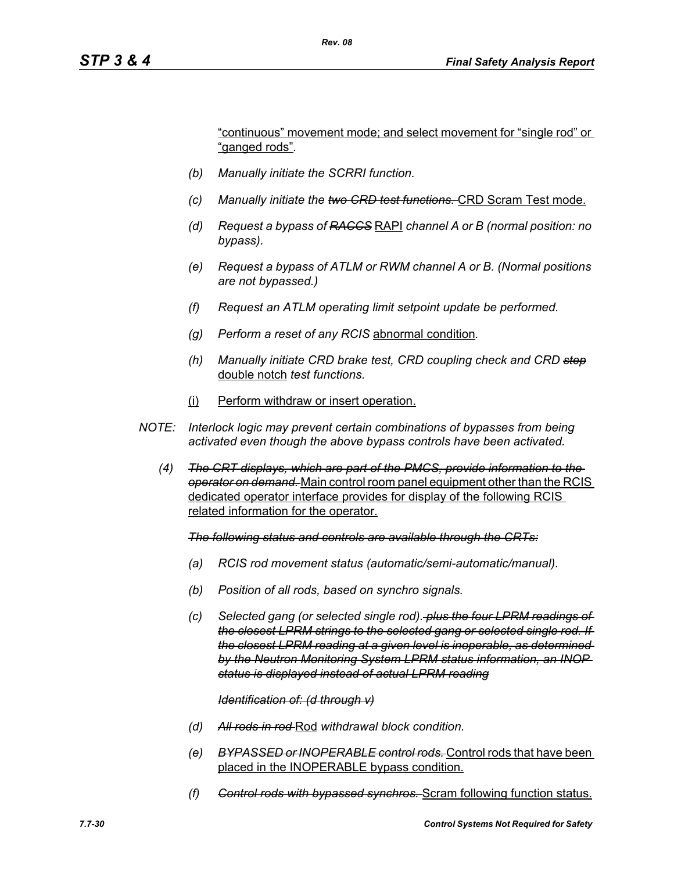"continuous" movement mode; and select movement for "single rod" or "ganged rods"*.*

- *(b) Manually initiate the SCRRI function.*
- *(c) Manually initiate the two CRD test functions.* CRD Scram Test mode.
- *(d) Request a bypass of RACCS* RAPI *channel A or B (normal position: no bypass).*
- *(e) Request a bypass of ATLM or RWM channel A or B. (Normal positions are not bypassed.)*
- *(f) Request an ATLM operating limit setpoint update be performed.*
- *(g) Perform a reset of any RCIS* abnormal condition*.*
- *(h) Manually initiate CRD brake test, CRD coupling check and CRD step* double notch *test functions.*
- (i) Perform withdraw or insert operation.
- *NOTE: Interlock logic may prevent certain combinations of bypasses from being activated even though the above bypass controls have been activated.*
	- *(4) The CRT displays, which are part of the PMCS, provide information to the operator on demand.* Main control room panel equipment other than the RCIS dedicated operator interface provides for display of the following RCIS related information for the operator.

*The following status and controls are available through the CRTs:*

- *(a) RCIS rod movement status (automatic/semi-automatic/manual).*
- *(b) Position of all rods, based on synchro signals.*
- *(c) Selected gang (or selected single rod). plus the four LPRM readings of the closest LPRM strings to the selected gang or selected single rod. If the closest LPRM reading at a given level is inoperable, as determined by the Neutron Monitoring System LPRM status information, an INOP status is displayed instead of actual LPRM reading*

#### *Identification of: (d through v)*

- *(d) All rods in rod* Rod *withdrawal block condition.*
- *(e) BYPASSED or INOPERABLE control rods.* Control rods that have been placed in the INOPERABLE bypass condition.
- *(f) Control rods with bypassed synchros.* Scram following function status.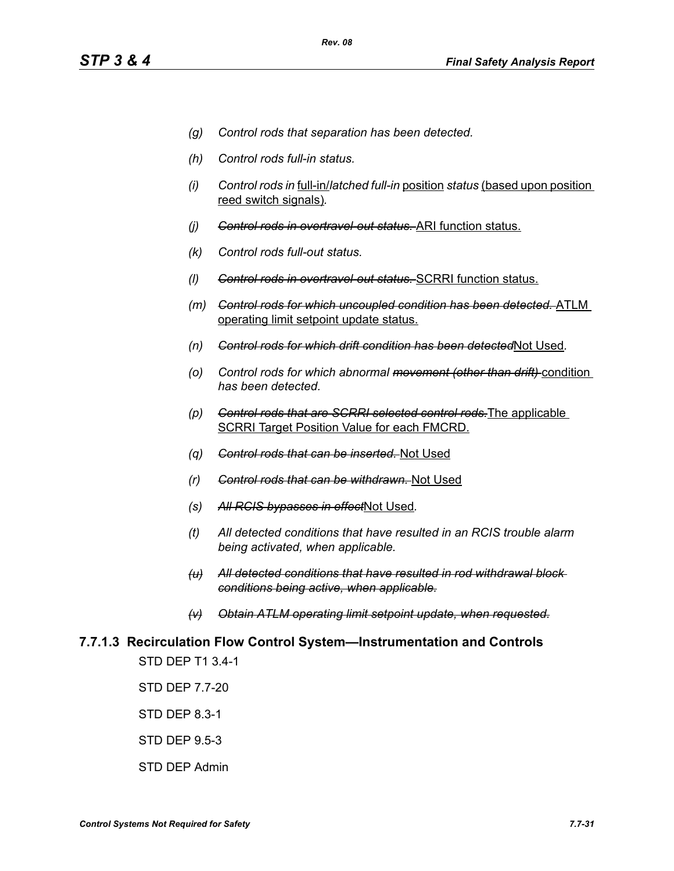- *(g) Control rods that separation has been detected.*
- *(h) Control rods full-in status.*
- *(i) Control rods in* full-in/*latched full-in* position *status* (based upon position reed switch signals)*.*
- *(j) Control rods in overtravel-out status.* ARI function status.
- *(k) Control rods full-out status.*
- *(l) Control rods in overtravel-out status.* SCRRI function status.
- *(m) Control rods for which uncoupled condition has been detected.* ATLM operating limit setpoint update status.
- *(n) Control rods for which drift condition has been detected*Not Used*.*
- *(o) Control rods for which abnormal movement (other than drift)* condition *has been detected.*
- *(p) Control rods that are SCRRI selected control rods.*The applicable SCRRI Target Position Value for each FMCRD.
- *(q) Control rods that can be inserted.* Not Used
- *(r) Control rods that can be withdrawn.* Not Used
- *(s) All RCIS bypasses in effect*Not Used*.*
- *(t) All detected conditions that have resulted in an RCIS trouble alarm being activated, when applicable.*
- *(u) All detected conditions that have resulted in rod withdrawal block conditions being active, when applicable.*
- *(v) Obtain ATLM operating limit setpoint update, when requested.*

# **7.7.1.3 Recirculation Flow Control System—Instrumentation and Controls**

STD DEP T1 3.4-1

STD DEP 7.7-20

STD DEP 8.3-1

STD DEP 9.5-3

STD DEP Admin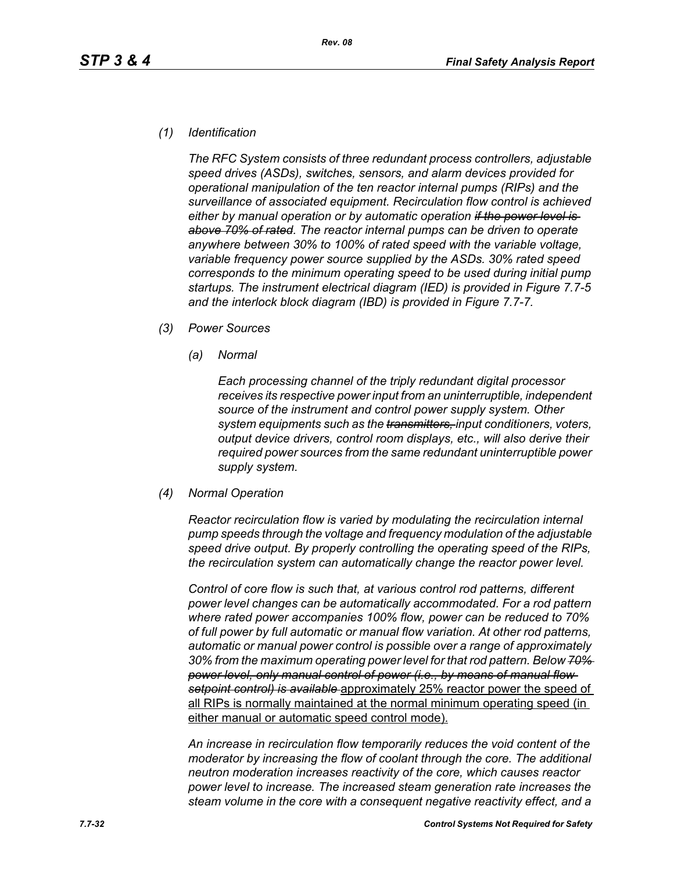#### *(1) Identification*

*The RFC System consists of three redundant process controllers, adjustable speed drives (ASDs), switches, sensors, and alarm devices provided for operational manipulation of the ten reactor internal pumps (RIPs) and the surveillance of associated equipment. Recirculation flow control is achieved either by manual operation or by automatic operation if the power level is above 70% of rated. The reactor internal pumps can be driven to operate anywhere between 30% to 100% of rated speed with the variable voltage, variable frequency power source supplied by the ASDs. 30% rated speed corresponds to the minimum operating speed to be used during initial pump startups. The instrument electrical diagram (IED) is provided in Figure 7.7-5 and the interlock block diagram (IBD) is provided in Figure 7.7-7.*

- *(3) Power Sources*
	- *(a) Normal*

*Each processing channel of the triply redundant digital processor receives its respective power input from an uninterruptible, independent source of the instrument and control power supply system. Other system equipments such as the transmitters, input conditioners, voters, output device drivers, control room displays, etc., will also derive their required power sources from the same redundant uninterruptible power supply system.*

*(4) Normal Operation*

*Reactor recirculation flow is varied by modulating the recirculation internal pump speeds through the voltage and frequency modulation of the adjustable speed drive output. By properly controlling the operating speed of the RIPs, the recirculation system can automatically change the reactor power level.*

*Control of core flow is such that, at various control rod patterns, different power level changes can be automatically accommodated. For a rod pattern where rated power accompanies 100% flow, power can be reduced to 70% of full power by full automatic or manual flow variation. At other rod patterns, automatic or manual power control is possible over a range of approximately 30% from the maximum operating power level for that rod pattern. Below 70% power level, only manual control of power (i.e., by means of manual flow setpoint control) is available* approximately 25% reactor power the speed of all RIPs is normally maintained at the normal minimum operating speed (in either manual or automatic speed control mode).

*An increase in recirculation flow temporarily reduces the void content of the moderator by increasing the flow of coolant through the core. The additional neutron moderation increases reactivity of the core, which causes reactor power level to increase. The increased steam generation rate increases the steam volume in the core with a consequent negative reactivity effect, and a*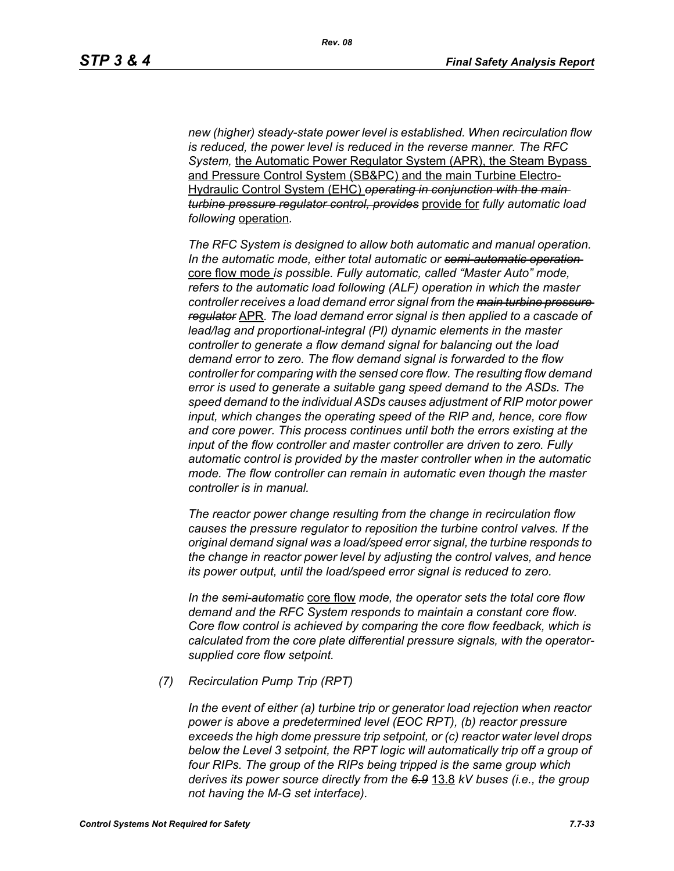*new (higher) steady-state power level is established. When recirculation flow is reduced, the power level is reduced in the reverse manner. The RFC System,* the Automatic Power Regulator System (APR), the Steam Bypass and Pressure Control System (SB&PC) and the main Turbine Electro-Hydraulic Control System (EHC) *operating in conjunction with the main turbine pressure regulator control, provides* provide for *fully automatic load following* operation*.* 

*The RFC System is designed to allow both automatic and manual operation. In the automatic mode, either total automatic or semi-automatic operation*  core flow mode *is possible. Fully automatic, called "Master Auto" mode, refers to the automatic load following (ALF) operation in which the master controller receives a load demand error signal from the main turbine pressure regulator* APR*. The load demand error signal is then applied to a cascade of lead/lag and proportional-integral (PI) dynamic elements in the master controller to generate a flow demand signal for balancing out the load demand error to zero. The flow demand signal is forwarded to the flow controller for comparing with the sensed core flow. The resulting flow demand error is used to generate a suitable gang speed demand to the ASDs. The speed demand to the individual ASDs causes adjustment of RIP motor power input, which changes the operating speed of the RIP and, hence, core flow and core power. This process continues until both the errors existing at the input of the flow controller and master controller are driven to zero. Fully automatic control is provided by the master controller when in the automatic mode. The flow controller can remain in automatic even though the master controller is in manual.*

*The reactor power change resulting from the change in recirculation flow causes the pressure regulator to reposition the turbine control valves. If the original demand signal was a load/speed error signal, the turbine responds to the change in reactor power level by adjusting the control valves, and hence its power output, until the load/speed error signal is reduced to zero.*

*In the semi-automatic* core flow *mode, the operator sets the total core flow demand and the RFC System responds to maintain a constant core flow. Core flow control is achieved by comparing the core flow feedback, which is calculated from the core plate differential pressure signals, with the operatorsupplied core flow setpoint.*

*(7) Recirculation Pump Trip (RPT)*

*In the event of either (a) turbine trip or generator load rejection when reactor power is above a predetermined level (EOC RPT), (b) reactor pressure exceeds the high dome pressure trip setpoint, or (c) reactor water level drops below the Level 3 setpoint, the RPT logic will automatically trip off a group of four RIPs. The group of the RIPs being tripped is the same group which derives its power source directly from the 6.9* 13.8 *kV buses (i.e., the group not having the M-G set interface).*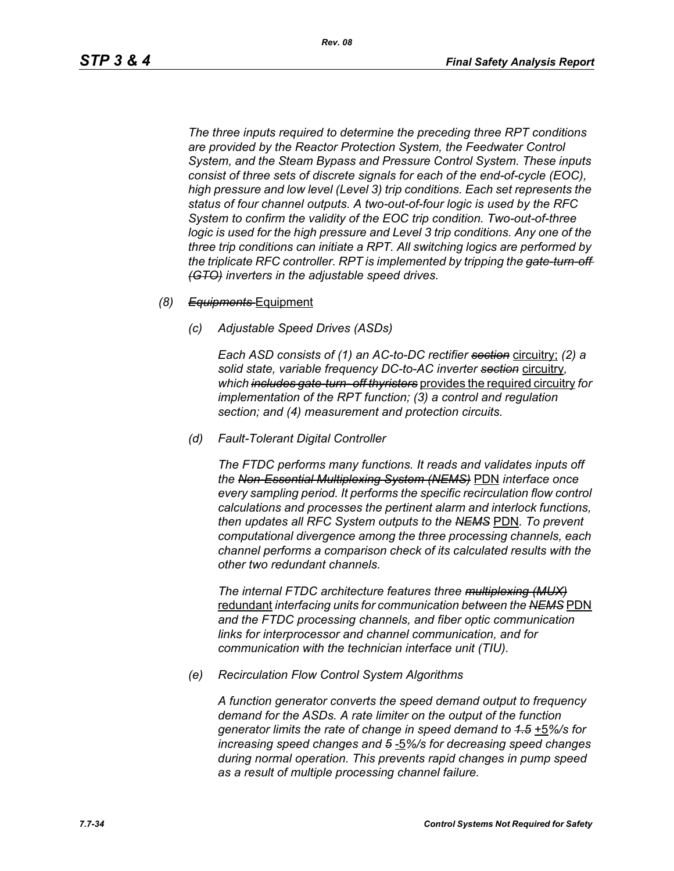*The three inputs required to determine the preceding three RPT conditions are provided by the Reactor Protection System, the Feedwater Control System, and the Steam Bypass and Pressure Control System. These inputs consist of three sets of discrete signals for each of the end-of-cycle (EOC), high pressure and low level (Level 3) trip conditions. Each set represents the status of four channel outputs. A two-out-of-four logic is used by the RFC System to confirm the validity of the EOC trip condition. Two-out-of-three logic is used for the high pressure and Level 3 trip conditions. Any one of the three trip conditions can initiate a RPT. All switching logics are performed by the triplicate RFC controller. RPT is implemented by tripping the gate-turn-off (GTO) inverters in the adjustable speed drives.*

#### *(8) Equipments* Equipment

*(c) Adjustable Speed Drives (ASDs)*

*Each ASD consists of (1) an AC-to-DC rectifier section* circuitry; *(2) a solid state, variable frequency DC-to-AC inverter section* circuitry*, which includes gate-turn- off thyristers* provides the required circuitry *for implementation of the RPT function; (3) a control and regulation section; and (4) measurement and protection circuits.*

*(d) Fault-Tolerant Digital Controller*

*The FTDC performs many functions. It reads and validates inputs off the Non-Essential Multiplexing System (NEMS)* PDN *interface once every sampling period. It performs the specific recirculation flow control calculations and processes the pertinent alarm and interlock functions, then updates all RFC System outputs to the NEMS* PDN*. To prevent computational divergence among the three processing channels, each channel performs a comparison check of its calculated results with the other two redundant channels.*

*The internal FTDC architecture features three multiplexing (MUX)* redundant *interfacing units for communication between the NEMS* PDN *and the FTDC processing channels, and fiber optic communication links for interprocessor and channel communication, and for communication with the technician interface unit (TIU).*

*(e) Recirculation Flow Control System Algorithms*

*A function generator converts the speed demand output to frequency demand for the ASDs. A rate limiter on the output of the function generator limits the rate of change in speed demand to 1.5* +5*%/s for increasing speed changes and 5* -5*%/s for decreasing speed changes during normal operation. This prevents rapid changes in pump speed as a result of multiple processing channel failure.*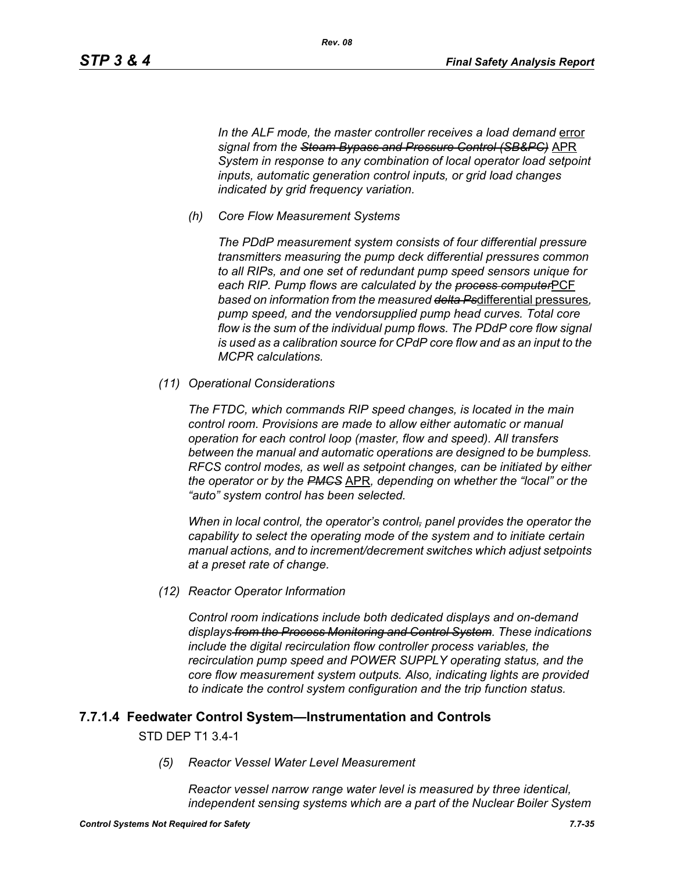In the ALF mode, the master controller receives a load demand error *signal from the Steam Bypass and Pressure Control (SB&PC)* APR *System in response to any combination of local operator load setpoint inputs, automatic generation control inputs, or grid load changes indicated by grid frequency variation.*

*(h) Core Flow Measurement Systems*

*The PDdP measurement system consists of four differential pressure transmitters measuring the pump deck differential pressures common to all RIPs, and one set of redundant pump speed sensors unique for each RIP. Pump flows are calculated by the process computer*PCF *based on information from the measured delta Ps*differential pressures*, pump speed, and the vendorsupplied pump head curves. Total core flow is the sum of the individual pump flows. The PDdP core flow signal is used as a calibration source for CPdP core flow and as an input to the MCPR calculations.*

*(11) Operational Considerations*

*The FTDC, which commands RIP speed changes, is located in the main control room. Provisions are made to allow either automatic or manual operation for each control loop (master, flow and speed). All transfers between the manual and automatic operations are designed to be bumpless. RFCS control modes, as well as setpoint changes, can be initiated by either the operator or by the PMCS* APR*, depending on whether the "local" or the "auto" system control has been selected.*

*When in local control, the operator's control, panel provides the operator the capability to select the operating mode of the system and to initiate certain manual actions, and to increment/decrement switches which adjust setpoints at a preset rate of change.*

*(12) Reactor Operator Information*

*Control room indications include both dedicated displays and on-demand displays from the Process Monitoring and Control System. These indications include the digital recirculation flow controller process variables, the recirculation pump speed and POWER SUPPLY operating status, and the core flow measurement system outputs. Also, indicating lights are provided to indicate the control system configuration and the trip function status.*

#### **7.7.1.4 Feedwater Control System—Instrumentation and Controls**

#### STD DEP T1 3.4-1

*(5) Reactor Vessel Water Level Measurement* 

*Reactor vessel narrow range water level is measured by three identical, independent sensing systems which are a part of the Nuclear Boiler System*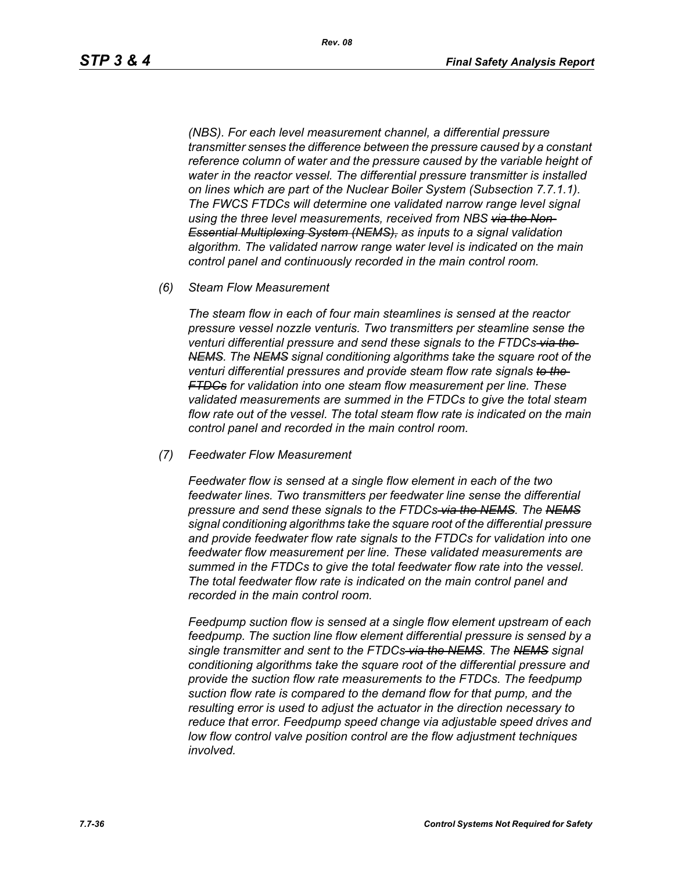*(NBS). For each level measurement channel, a differential pressure transmitter senses the difference between the pressure caused by a constant*  reference column of water and the pressure caused by the variable height of *water in the reactor vessel. The differential pressure transmitter is installed on lines which are part of the Nuclear Boiler System (Subsection 7.7.1.1). The FWCS FTDCs will determine one validated narrow range level signal using the three level measurements, received from NBS via the Non-Essential Multiplexing System (NEMS), as inputs to a signal validation algorithm. The validated narrow range water level is indicated on the main control panel and continuously recorded in the main control room.*

*(6) Steam Flow Measurement*

*The steam flow in each of four main steamlines is sensed at the reactor pressure vessel nozzle venturis. Two transmitters per steamline sense the venturi differential pressure and send these signals to the FTDCs via the NEMS. The NEMS signal conditioning algorithms take the square root of the venturi differential pressures and provide steam flow rate signals to the FTDCs for validation into one steam flow measurement per line. These validated measurements are summed in the FTDCs to give the total steam flow rate out of the vessel. The total steam flow rate is indicated on the main control panel and recorded in the main control room.*

*(7) Feedwater Flow Measurement*

*Feedwater flow is sensed at a single flow element in each of the two feedwater lines. Two transmitters per feedwater line sense the differential pressure and send these signals to the FTDCs via the NEMS. The NEMS signal conditioning algorithms take the square root of the differential pressure and provide feedwater flow rate signals to the FTDCs for validation into one feedwater flow measurement per line. These validated measurements are summed in the FTDCs to give the total feedwater flow rate into the vessel. The total feedwater flow rate is indicated on the main control panel and recorded in the main control room.*

*Feedpump suction flow is sensed at a single flow element upstream of each feedpump. The suction line flow element differential pressure is sensed by a single transmitter and sent to the FTDCs via the NEMS. The NEMS signal conditioning algorithms take the square root of the differential pressure and provide the suction flow rate measurements to the FTDCs. The feedpump suction flow rate is compared to the demand flow for that pump, and the resulting error is used to adjust the actuator in the direction necessary to reduce that error. Feedpump speed change via adjustable speed drives and low flow control valve position control are the flow adjustment techniques involved.*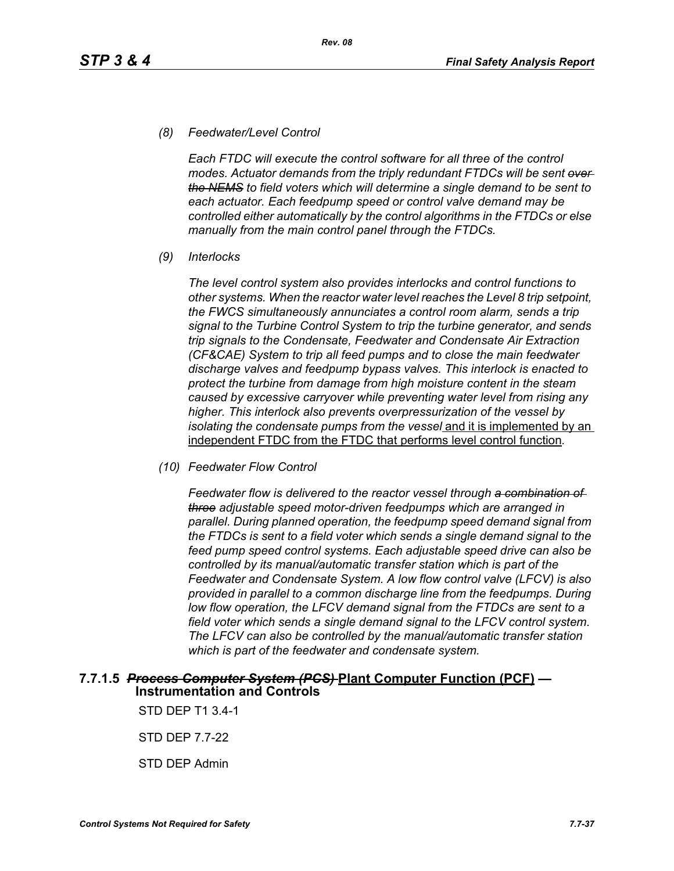#### *(8) Feedwater/Level Control*

*Each FTDC will execute the control software for all three of the control modes. Actuator demands from the triply redundant FTDCs will be sent over the NEMS to field voters which will determine a single demand to be sent to each actuator. Each feedpump speed or control valve demand may be controlled either automatically by the control algorithms in the FTDCs or else manually from the main control panel through the FTDCs.*

*(9) Interlocks*

*The level control system also provides interlocks and control functions to other systems. When the reactor water level reaches the Level 8 trip setpoint, the FWCS simultaneously annunciates a control room alarm, sends a trip signal to the Turbine Control System to trip the turbine generator, and sends trip signals to the Condensate, Feedwater and Condensate Air Extraction (CF&CAE) System to trip all feed pumps and to close the main feedwater discharge valves and feedpump bypass valves. This interlock is enacted to protect the turbine from damage from high moisture content in the steam caused by excessive carryover while preventing water level from rising any higher. This interlock also prevents overpressurization of the vessel by isolating the condensate pumps from the vessel* and it is implemented by an independent FTDC from the FTDC that performs level control function*.*

*(10) Feedwater Flow Control*

*Feedwater flow is delivered to the reactor vessel through a combination of three adjustable speed motor-driven feedpumps which are arranged in parallel. During planned operation, the feedpump speed demand signal from the FTDCs is sent to a field voter which sends a single demand signal to the feed pump speed control systems. Each adjustable speed drive can also be controlled by its manual/automatic transfer station which is part of the Feedwater and Condensate System. A low flow control valve (LFCV) is also provided in parallel to a common discharge line from the feedpumps. During low flow operation, the LFCV demand signal from the FTDCs are sent to a field voter which sends a single demand signal to the LFCV control system. The LFCV can also be controlled by the manual/automatic transfer station which is part of the feedwater and condensate system.*

#### **7.7.1.5** *Process Computer System (PCS)* **Plant Computer Function (PCF) — Instrumentation and Controls**

STD DEP T1 3.4-1

STD DEP 7.7-22

STD DEP Admin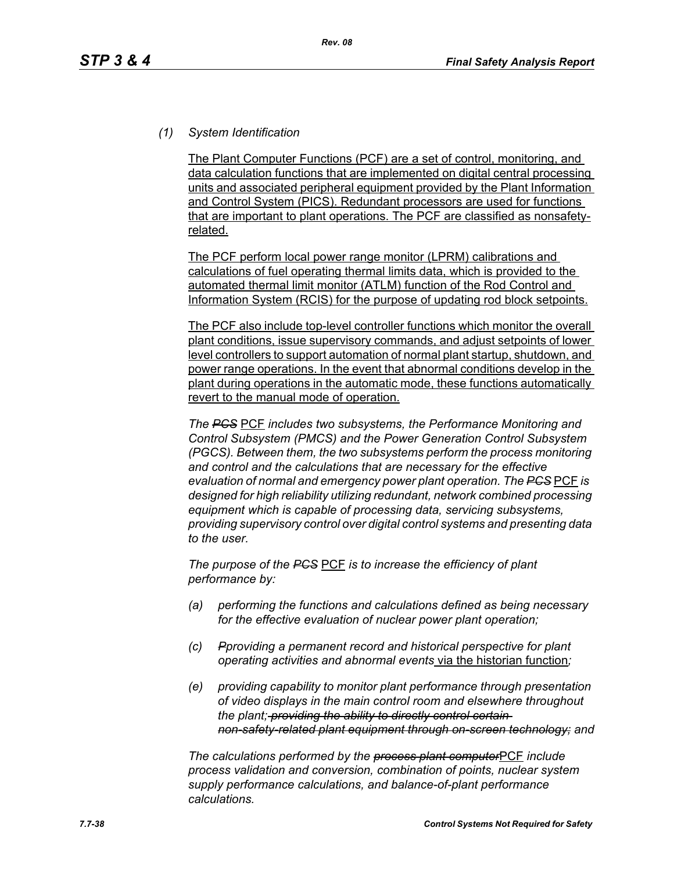# *(1) System Identification*

The Plant Computer Functions (PCF) are a set of control, monitoring, and data calculation functions that are implemented on digital central processing units and associated peripheral equipment provided by the Plant Information and Control System (PICS). Redundant processors are used for functions that are important to plant operations. The PCF are classified as nonsafetyrelated.

The PCF perform local power range monitor (LPRM) calibrations and calculations of fuel operating thermal limits data, which is provided to the automated thermal limit monitor (ATLM) function of the Rod Control and Information System (RCIS) for the purpose of updating rod block setpoints.

The PCF also include top-level controller functions which monitor the overall plant conditions, issue supervisory commands, and adjust setpoints of lower level controllers to support automation of normal plant startup, shutdown, and power range operations. In the event that abnormal conditions develop in the plant during operations in the automatic mode, these functions automatically revert to the manual mode of operation.

*The PCS* PCF *includes two subsystems, the Performance Monitoring and Control Subsystem (PMCS) and the Power Generation Control Subsystem (PGCS). Between them, the two subsystems perform the process monitoring and control and the calculations that are necessary for the effective evaluation of normal and emergency power plant operation. The PCS* PCF *is designed for high reliability utilizing redundant, network combined processing equipment which is capable of processing data, servicing subsystems, providing supervisory control over digital control systems and presenting data to the user.*

*The purpose of the PCS* PCF *is to increase the efficiency of plant performance by:*

- *(a) performing the functions and calculations defined as being necessary for the effective evaluation of nuclear power plant operation;*
- *(c) Pproviding a permanent record and historical perspective for plant operating activities and abnormal events* via the historian function*;*
- *(e) providing capability to monitor plant performance through presentation of video displays in the main control room and elsewhere throughout the plant; providing the ability to directly control certain non-safety-related plant equipment through on-screen technology; and*

*The calculations performed by the process plant computer*PCF *include process validation and conversion, combination of points, nuclear system supply performance calculations, and balance-of-plant performance calculations.*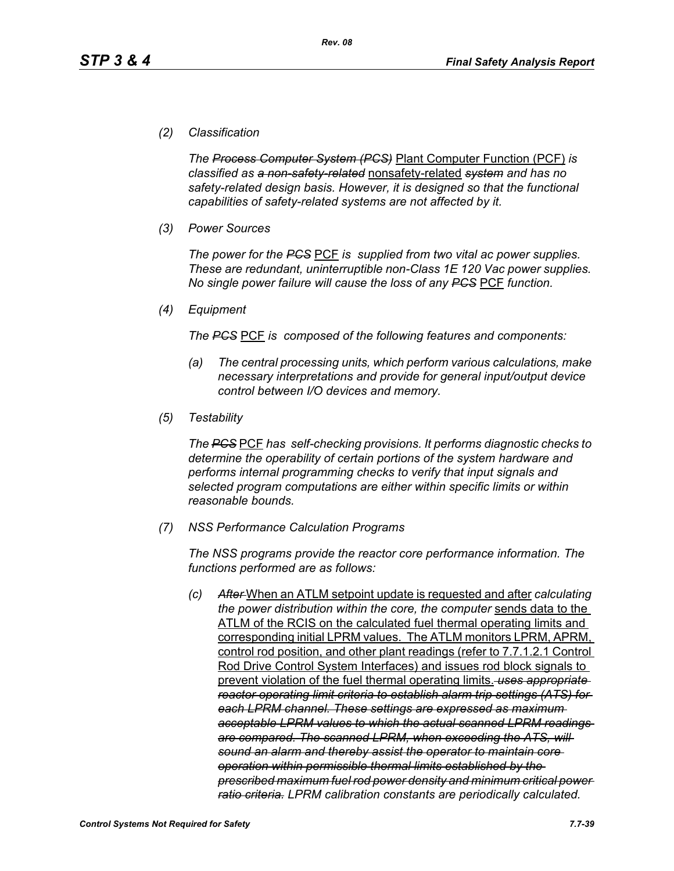#### *(2) Classification*

*The Process Computer System (PCS)* Plant Computer Function (PCF) *is classified as a non-safety-related* nonsafety-related *system and has no safety-related design basis. However, it is designed so that the functional capabilities of safety-related systems are not affected by it.*

*(3) Power Sources*

*The power for the PCS* PCF *is supplied from two vital ac power supplies. These are redundant, uninterruptible non-Class 1E 120 Vac power supplies. No single power failure will cause the loss of any PCS* PCF *function.*

*(4) Equipment*

*The PCS* PCF *is composed of the following features and components:*

- *(a) The central processing units, which perform various calculations, make necessary interpretations and provide for general input/output device control between I/O devices and memory.*
- *(5) Testability*

*The PCS* PCF *has self-checking provisions. It performs diagnostic checks to determine the operability of certain portions of the system hardware and performs internal programming checks to verify that input signals and selected program computations are either within specific limits or within reasonable bounds.*

*(7) NSS Performance Calculation Programs*

*The NSS programs provide the reactor core performance information. The functions performed are as follows:*

*(c) After* When an ATLM setpoint update is requested and after *calculating the power distribution within the core, the computer* sends data to the ATLM of the RCIS on the calculated fuel thermal operating limits and corresponding initial LPRM values. The ATLM monitors LPRM, APRM, control rod position, and other plant readings (refer to 7.7.1.2.1 Control Rod Drive Control System Interfaces) and issues rod block signals to prevent violation of the fuel thermal operating limits. *uses appropriate reactor operating limit criteria to establish alarm trip settings (ATS) for each LPRM channel. These settings are expressed as maximum acceptable LPRM values to which the actual scanned LPRM readings are compared. The scanned LPRM, when exceeding the ATS, will sound an alarm and thereby assist the operator to maintain core operation within permissible thermal limits established by the prescribed maximum fuel rod power density and minimum critical power ratio criteria. LPRM calibration constants are periodically calculated.*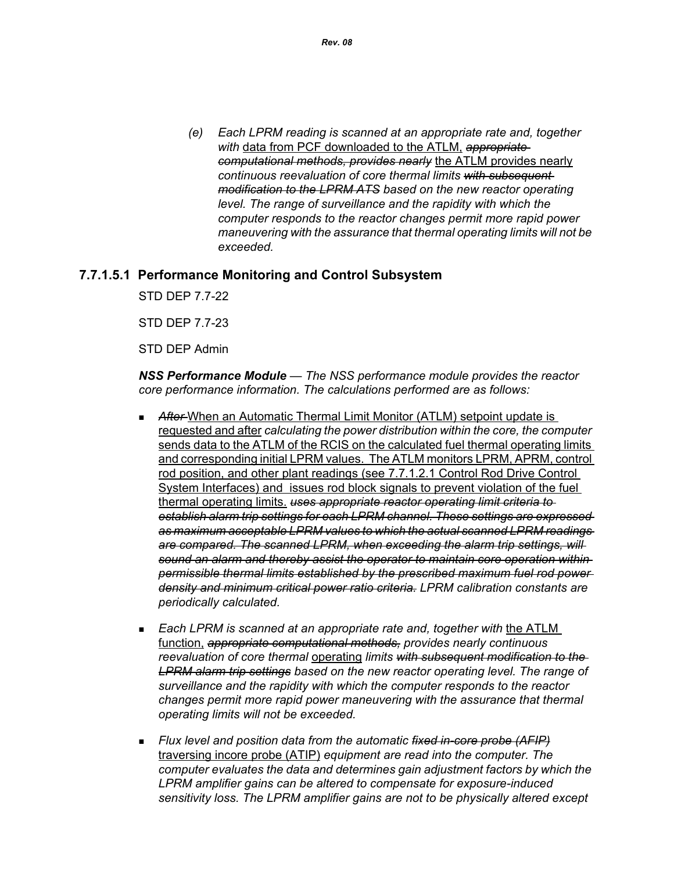*(e) Each LPRM reading is scanned at an appropriate rate and, together with* data from PCF downloaded to the ATLM, *appropriate computational methods, provides nearly* the ATLM provides nearly *continuous reevaluation of core thermal limits with subsequent modification to the LPRM ATS based on the new reactor operating level. The range of surveillance and the rapidity with which the computer responds to the reactor changes permit more rapid power maneuvering with the assurance that thermal operating limits will not be exceeded.*

## **7.7.1.5.1 Performance Monitoring and Control Subsystem**

STD DEP 7.7-22

STD DEP 7.7-23

STD DEP Admin

*NSS Performance Module — The NSS performance module provides the reactor core performance information. The calculations performed are as follows:*

- After-When an Automatic Thermal Limit Monitor (ATLM) setpoint update is requested and after *calculating the power distribution within the core, the computer*  sends data to the ATLM of the RCIS on the calculated fuel thermal operating limits and corresponding initial LPRM values. The ATLM monitors LPRM, APRM, control rod position, and other plant readings (see 7.7.1.2.1 Control Rod Drive Control System Interfaces) and issues rod block signals to prevent violation of the fuel thermal operating limits. *uses appropriate reactor operating limit criteria to establish alarm trip settings for each LPRM channel. These settings are expressed as maximum acceptable LPRM values to which the actual scanned LPRM readings are compared. The scanned LPRM, when exceeding the alarm trip settings, will sound an alarm and thereby assist the operator to maintain core operation within permissible thermal limits established by the prescribed maximum fuel rod power density and minimum critical power ratio criteria. LPRM calibration constants are periodically calculated.*
- *Each LPRM is scanned at an appropriate rate and, together with* the ATLM function, *appropriate computational methods, provides nearly continuous reevaluation of core thermal* operating *limits with subsequent modification to the LPRM alarm trip settings based on the new reactor operating level. The range of surveillance and the rapidity with which the computer responds to the reactor changes permit more rapid power maneuvering with the assurance that thermal operating limits will not be exceeded.*
- *Flux level and position data from the automatic fixed in-core probe (AFIP)* traversing incore probe (ATIP) *equipment are read into the computer. The computer evaluates the data and determines gain adjustment factors by which the LPRM amplifier gains can be altered to compensate for exposure-induced sensitivity loss. The LPRM amplifier gains are not to be physically altered except*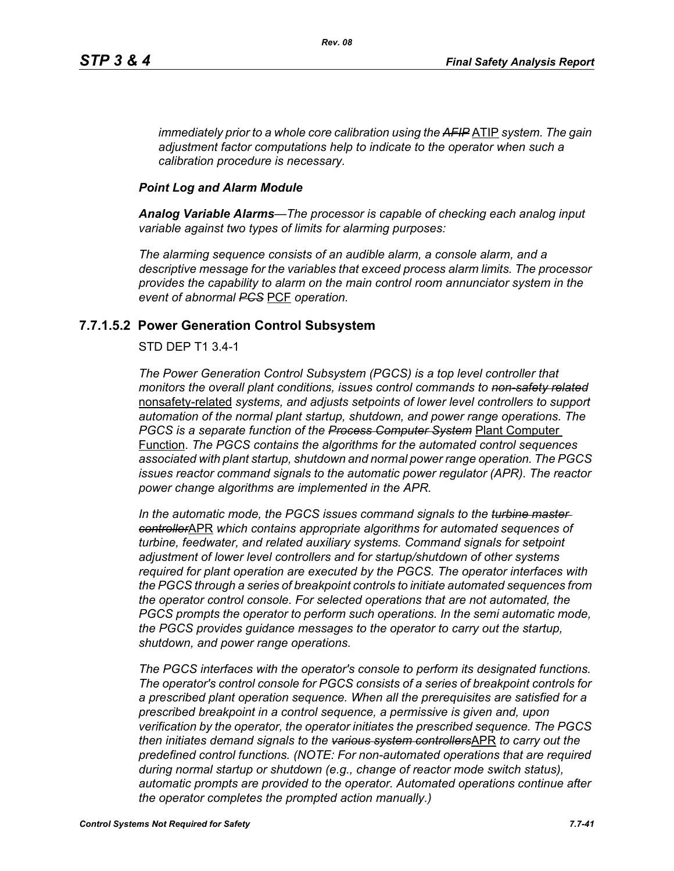*immediately prior to a whole core calibration using the AFIP* ATIP *system. The gain adjustment factor computations help to indicate to the operator when such a calibration procedure is necessary.*

#### *Point Log and Alarm Module*

*Analog Variable Alarms—The processor is capable of checking each analog input variable against two types of limits for alarming purposes:*

*The alarming sequence consists of an audible alarm, a console alarm, and a descriptive message for the variables that exceed process alarm limits. The processor provides the capability to alarm on the main control room annunciator system in the event of abnormal PCS* PCF *operation.*

## **7.7.1.5.2 Power Generation Control Subsystem**

#### STD DEP T1 3.4-1

*The Power Generation Control Subsystem (PGCS) is a top level controller that monitors the overall plant conditions, issues control commands to non-safety related* nonsafety-related *systems, and adjusts setpoints of lower level controllers to support automation of the normal plant startup, shutdown, and power range operations. The PGCS is a separate function of the Process Computer System* Plant Computer Function. *The PGCS contains the algorithms for the automated control sequences associated with plant startup, shutdown and normal power range operation. The PGCS issues reactor command signals to the automatic power regulator (APR). The reactor power change algorithms are implemented in the APR.*

*In the automatic mode, the PGCS issues command signals to the turbine master controller*APR *which contains appropriate algorithms for automated sequences of turbine, feedwater, and related auxiliary systems. Command signals for setpoint adjustment of lower level controllers and for startup/shutdown of other systems required for plant operation are executed by the PGCS. The operator interfaces with the PGCS through a series of breakpoint controls to initiate automated sequences from the operator control console. For selected operations that are not automated, the PGCS prompts the operator to perform such operations. In the semi automatic mode, the PGCS provides guidance messages to the operator to carry out the startup, shutdown, and power range operations.*

*The PGCS interfaces with the operator's console to perform its designated functions. The operator's control console for PGCS consists of a series of breakpoint controls for a prescribed plant operation sequence. When all the prerequisites are satisfied for a prescribed breakpoint in a control sequence, a permissive is given and, upon verification by the operator, the operator initiates the prescribed sequence. The PGCS then initiates demand signals to the various system controllers*APR *to carry out the predefined control functions. (NOTE: For non-automated operations that are required during normal startup or shutdown (e.g., change of reactor mode switch status), automatic prompts are provided to the operator. Automated operations continue after the operator completes the prompted action manually.)*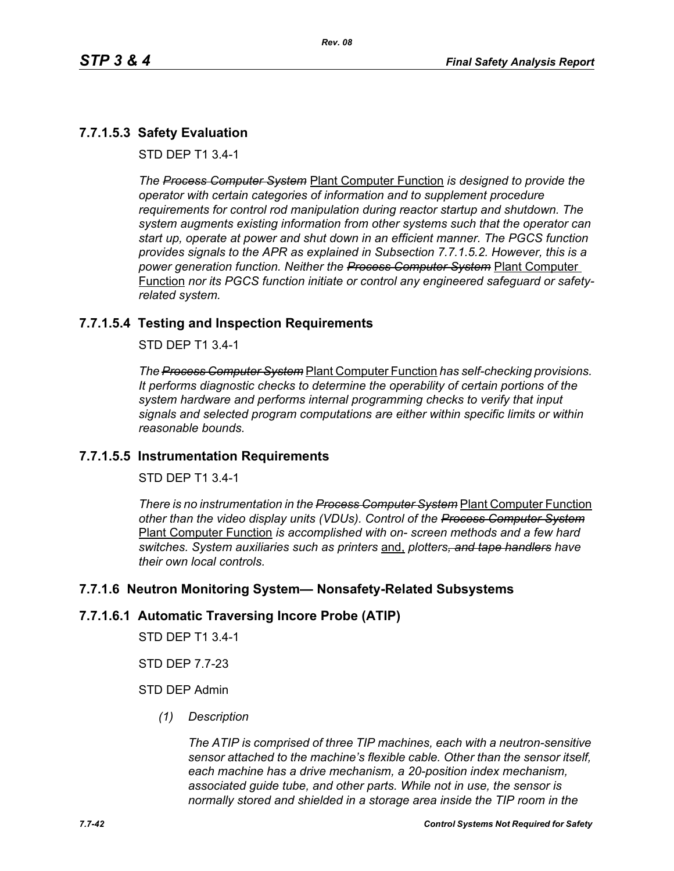# **7.7.1.5.3 Safety Evaluation**

STD DEP T1 3.4-1

*The Process Computer System* Plant Computer Function *is designed to provide the operator with certain categories of information and to supplement procedure requirements for control rod manipulation during reactor startup and shutdown. The system augments existing information from other systems such that the operator can start up, operate at power and shut down in an efficient manner. The PGCS function provides signals to the APR as explained in Subsection 7.7.1.5.2. However, this is a power generation function. Neither the Process Computer System* Plant Computer Function *nor its PGCS function initiate or control any engineered safeguard or safetyrelated system.*

# **7.7.1.5.4 Testing and Inspection Requirements**

STD DEP T1 3.4-1

*The Process Computer System* Plant Computer Function *has self-checking provisions. It performs diagnostic checks to determine the operability of certain portions of the system hardware and performs internal programming checks to verify that input signals and selected program computations are either within specific limits or within reasonable bounds.*

# **7.7.1.5.5 Instrumentation Requirements**

STD DEP T1 3.4-1

*There is no instrumentation in the Process Computer System* Plant Computer Function *other than the video display units (VDUs). Control of the Process Computer System* Plant Computer Function *is accomplished with on- screen methods and a few hard switches. System auxiliaries such as printers* and, *plotters, and tape handlers have their own local controls.*

# **7.7.1.6 Neutron Monitoring System— Nonsafety-Related Subsystems**

#### **7.7.1.6.1 Automatic Traversing Incore Probe (ATIP)**

STD DEP T1 3.4-1

STD DEP 7.7-23

#### STD DEP Admin

*(1) Description*

*The ATIP is comprised of three TIP machines, each with a neutron-sensitive sensor attached to the machine's flexible cable. Other than the sensor itself, each machine has a drive mechanism, a 20-position index mechanism, associated guide tube, and other parts. While not in use, the sensor is normally stored and shielded in a storage area inside the TIP room in the*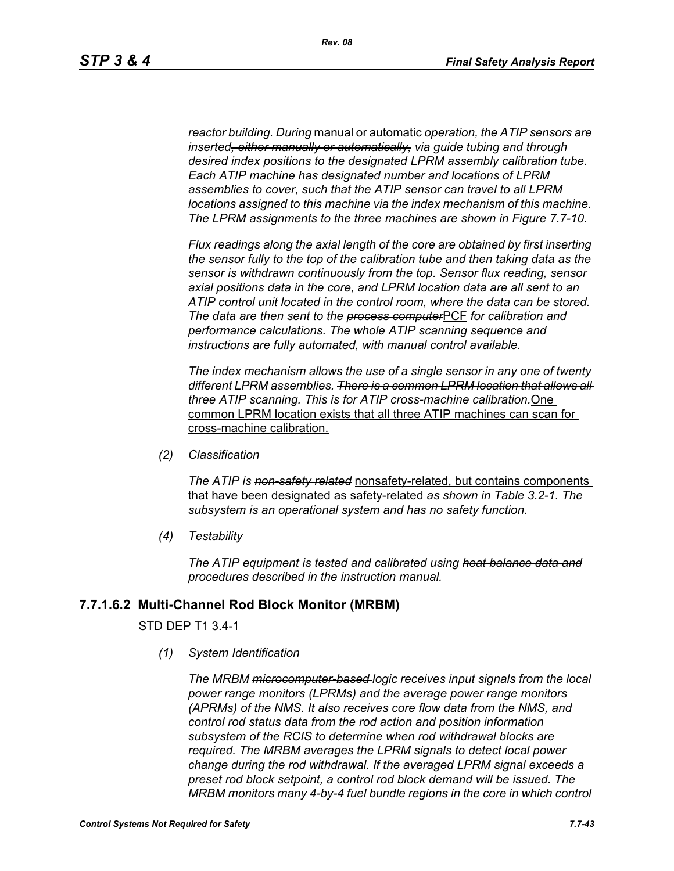*reactor building. During* manual or automatic *operation, the ATIP sensors are inserted, either manually or automatically, via guide tubing and through desired index positions to the designated LPRM assembly calibration tube. Each ATIP machine has designated number and locations of LPRM assemblies to cover, such that the ATIP sensor can travel to all LPRM locations assigned to this machine via the index mechanism of this machine. The LPRM assignments to the three machines are shown in Figure 7.7-10.*

*Flux readings along the axial length of the core are obtained by first inserting the sensor fully to the top of the calibration tube and then taking data as the sensor is withdrawn continuously from the top. Sensor flux reading, sensor axial positions data in the core, and LPRM location data are all sent to an ATIP control unit located in the control room, where the data can be stored. The data are then sent to the process computer*PCF *for calibration and performance calculations. The whole ATIP scanning sequence and instructions are fully automated, with manual control available.*

*The index mechanism allows the use of a single sensor in any one of twenty different LPRM assemblies. There is a common LPRM location that allows all three ATIP scanning. This is for ATIP cross-machine calibration.*One common LPRM location exists that all three ATIP machines can scan for cross-machine calibration.

*(2) Classification*

*The ATIP is non-safety related* nonsafety-related, but contains components that have been designated as safety-related *as shown in Table 3.2-1. The subsystem is an operational system and has no safety function.*

*(4) Testability*

*The ATIP equipment is tested and calibrated using heat balance data and procedures described in the instruction manual.*

# **7.7.1.6.2 Multi-Channel Rod Block Monitor (MRBM)**

#### STD DEP T1 3.4-1

*(1) System Identification*

*The MRBM microcomputer-based logic receives input signals from the local power range monitors (LPRMs) and the average power range monitors (APRMs) of the NMS. It also receives core flow data from the NMS, and control rod status data from the rod action and position information subsystem of the RCIS to determine when rod withdrawal blocks are required. The MRBM averages the LPRM signals to detect local power change during the rod withdrawal. If the averaged LPRM signal exceeds a preset rod block setpoint, a control rod block demand will be issued. The MRBM monitors many 4-by-4 fuel bundle regions in the core in which control*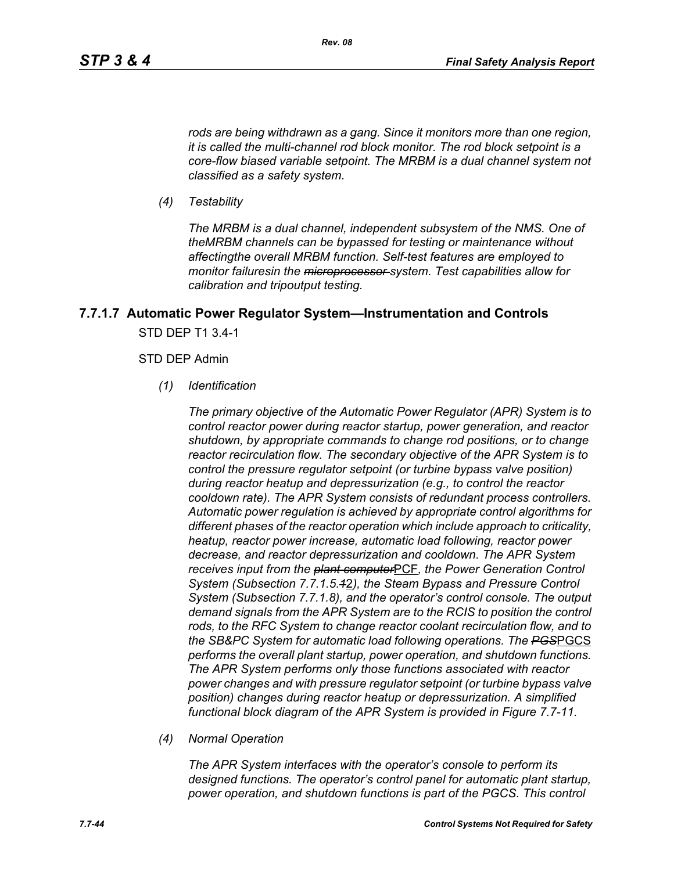*rods are being withdrawn as a gang. Since it monitors more than one region, it is called the multi-channel rod block monitor. The rod block setpoint is a core-flow biased variable setpoint. The MRBM is a dual channel system not classified as a safety system.*

*(4) Testability*

*The MRBM is a dual channel, independent subsystem of the NMS. One of theMRBM channels can be bypassed for testing or maintenance without affectingthe overall MRBM function. Self-test features are employed to monitor failuresin the microprocessor system. Test capabilities allow for calibration and tripoutput testing.*

# **7.7.1.7 Automatic Power Regulator System—Instrumentation and Controls** STD DEP T1 3.4-1

#### STD DEP Admin

*(1) Identification*

*The primary objective of the Automatic Power Regulator (APR) System is to control reactor power during reactor startup, power generation, and reactor shutdown, by appropriate commands to change rod positions, or to change reactor recirculation flow. The secondary objective of the APR System is to control the pressure regulator setpoint (or turbine bypass valve position) during reactor heatup and depressurization (e.g., to control the reactor cooldown rate). The APR System consists of redundant process controllers. Automatic power regulation is achieved by appropriate control algorithms for different phases of the reactor operation which include approach to criticality, heatup, reactor power increase, automatic load following, reactor power decrease, and reactor depressurization and cooldown. The APR System receives input from the plant computer*PCF*, the Power Generation Control System (Subsection 7.7.1.5.1*2*), the Steam Bypass and Pressure Control System (Subsection 7.7.1.8), and the operator's control console. The output demand signals from the APR System are to the RCIS to position the control rods, to the RFC System to change reactor coolant recirculation flow, and to the SB&PC System for automatic load following operations. The PGS*PGCS *performs the overall plant startup, power operation, and shutdown functions. The APR System performs only those functions associated with reactor power changes and with pressure regulator setpoint (or turbine bypass valve position) changes during reactor heatup or depressurization. A simplified functional block diagram of the APR System is provided in Figure 7.7-11.*

*(4) Normal Operation*

*The APR System interfaces with the operator's console to perform its designed functions. The operator's control panel for automatic plant startup, power operation, and shutdown functions is part of the PGCS. This control*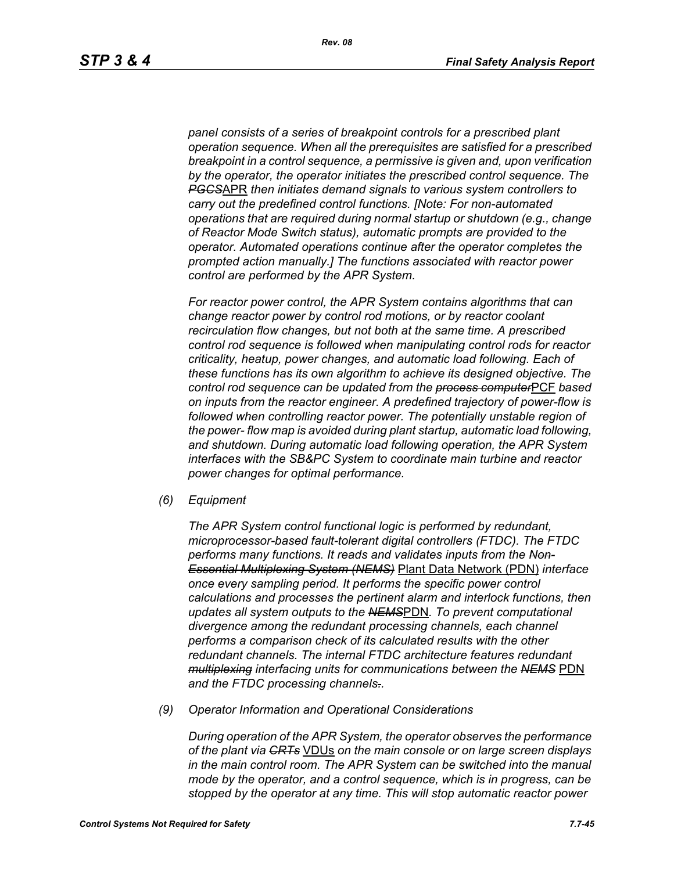*panel consists of a series of breakpoint controls for a prescribed plant operation sequence. When all the prerequisites are satisfied for a prescribed breakpoint in a control sequence, a permissive is given and, upon verification by the operator, the operator initiates the prescribed control sequence. The PGCS*APR *then initiates demand signals to various system controllers to carry out the predefined control functions. [Note: For non-automated operations that are required during normal startup or shutdown (e.g., change of Reactor Mode Switch status), automatic prompts are provided to the operator. Automated operations continue after the operator completes the prompted action manually.] The functions associated with reactor power control are performed by the APR System.*

*For reactor power control, the APR System contains algorithms that can change reactor power by control rod motions, or by reactor coolant recirculation flow changes, but not both at the same time. A prescribed control rod sequence is followed when manipulating control rods for reactor criticality, heatup, power changes, and automatic load following. Each of these functions has its own algorithm to achieve its designed objective. The control rod sequence can be updated from the process computer*PCF *based on inputs from the reactor engineer. A predefined trajectory of power-flow is followed when controlling reactor power. The potentially unstable region of the power- flow map is avoided during plant startup, automatic load following, and shutdown. During automatic load following operation, the APR System interfaces with the SB&PC System to coordinate main turbine and reactor power changes for optimal performance.*

*(6) Equipment*

*The APR System control functional logic is performed by redundant, microprocessor-based fault-tolerant digital controllers (FTDC). The FTDC performs many functions. It reads and validates inputs from the Non-Essential Multiplexing System (NEMS)* Plant Data Network (PDN) *interface once every sampling period. It performs the specific power control calculations and processes the pertinent alarm and interlock functions, then updates all system outputs to the NEMS*PDN*. To prevent computational divergence among the redundant processing channels, each channel performs a comparison check of its calculated results with the other redundant channels. The internal FTDC architecture features redundant multiplexing interfacing units for communications between the NEMS* PDN *and the FTDC processing channels..*

*(9) Operator Information and Operational Considerations*

*During operation of the APR System, the operator observes the performance of the plant via CRTs* VDUs *on the main console or on large screen displays in the main control room. The APR System can be switched into the manual mode by the operator, and a control sequence, which is in progress, can be stopped by the operator at any time. This will stop automatic reactor power*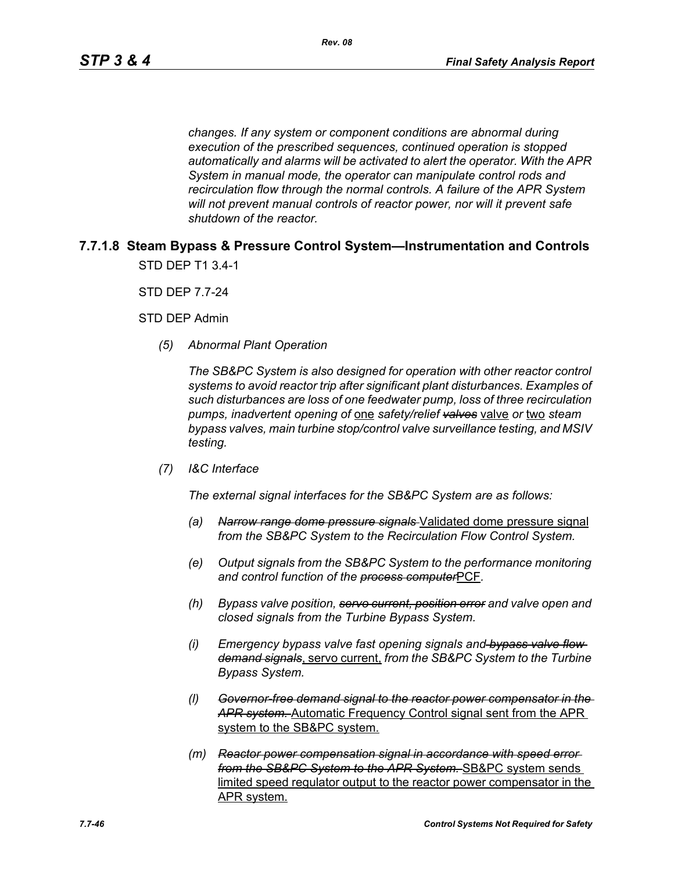*changes. If any system or component conditions are abnormal during execution of the prescribed sequences, continued operation is stopped automatically and alarms will be activated to alert the operator. With the APR System in manual mode, the operator can manipulate control rods and recirculation flow through the normal controls. A failure of the APR System will not prevent manual controls of reactor power, nor will it prevent safe shutdown of the reactor.*

# **7.7.1.8 Steam Bypass & Pressure Control System—Instrumentation and Controls** STD DEP T1 3.4-1

STD DEP 7.7-24

STD DEP Admin

*(5) Abnormal Plant Operation*

*The SB&PC System is also designed for operation with other reactor control systems to avoid reactor trip after significant plant disturbances. Examples of such disturbances are loss of one feedwater pump, loss of three recirculation pumps, inadvertent opening of* one *safety/relief valves* valve *or* two *steam bypass valves, main turbine stop/control valve surveillance testing, and MSIV testing.*

*(7) I&C Interface*

*The external signal interfaces for the SB&PC System are as follows:*

- *(a) Narrow range dome pressure signals* Validated dome pressure signal *from the SB&PC System to the Recirculation Flow Control System.*
- *(e) Output signals from the SB&PC System to the performance monitoring and control function of the process computer*PCF*.*
- *(h) Bypass valve position, servo current, position error and valve open and closed signals from the Turbine Bypass System.*
- *(i) Emergency bypass valve fast opening signals and bypass valve flow demand signals*, servo current, *from the SB&PC System to the Turbine Bypass System.*
- *(l) Governor-free demand signal to the reactor power compensator in the APR system.* Automatic Frequency Control signal sent from the APR system to the SB&PC system.
- *(m) Reactor power compensation signal in accordance with speed error from the SB&PC System to the APR System.* SB&PC system sends limited speed regulator output to the reactor power compensator in the APR system.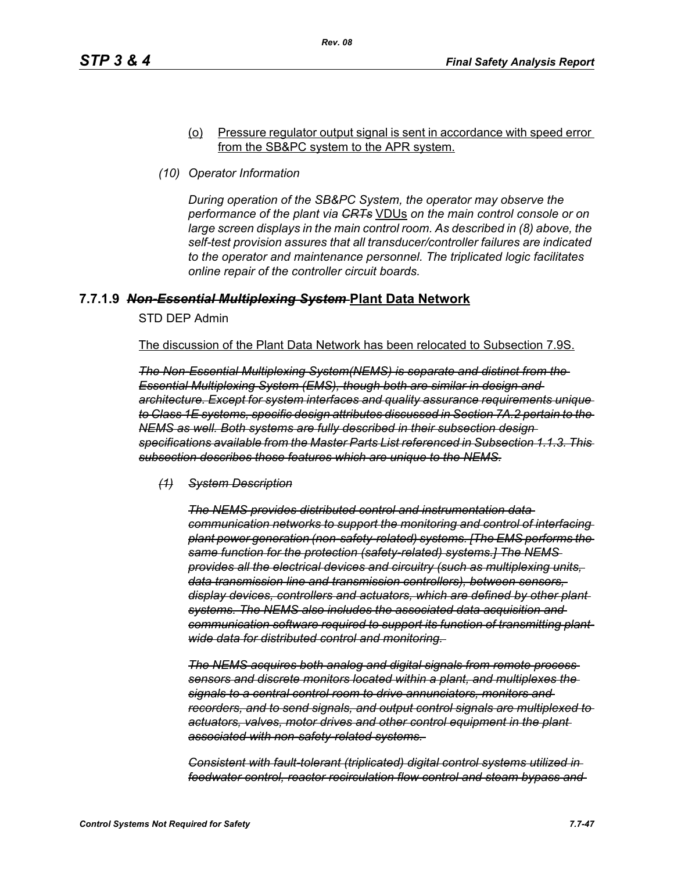#### (o) Pressure regulator output signal is sent in accordance with speed error from the SB&PC system to the APR system.

*(10) Operator Information*

*During operation of the SB&PC System, the operator may observe the performance of the plant via CRTs* VDUs *on the main control console or on*  large screen displays in the main control room. As described in (8) above, the *self-test provision assures that all transducer/controller failures are indicated to the operator and maintenance personnel. The triplicated logic facilitates online repair of the controller circuit boards.*

## **7.7.1.9** *Non-Essential Multiplexing System* **Plant Data Network**

STD DEP Admin

The discussion of the Plant Data Network has been relocated to Subsection 7.9S.

*The Non-Essential Multiplexing System(NEMS) is separate and distinct from the Essential Multiplexing System (EMS), though both are similar in design and architecture. Except for system interfaces and quality assurance requirements unique to Class 1E systems, specific design attributes discussed in Section 7A.2 pertain to the NEMS as well. Both systems are fully described in their subsection design specifications available from the Master Parts List referenced in Subsection 1.1.3. This subsection describes those features which are unique to the NEMS.*

*(1) System Description*

*The NEMS provides distributed control and instrumentation data communication networks to support the monitoring and control of interfacing plant power generation (non-safety-related) systems. [The EMS performs the same function for the protection (safety-related) systems.] The NEMS provides all the electrical devices and circuitry (such as multiplexing units, data transmission line and transmission controllers), between sensors, display devices, controllers and actuators, which are defined by other plant systems. The NEMS also includes the associated data acquisition and communication software required to support its function of transmitting plantwide data for distributed control and monitoring.* 

*The NEMS acquires both analog and digital signals from remote process sensors and discrete monitors located within a plant, and multiplexes the signals to a central control room to drive annunciators, monitors and recorders, and to send signals, and output control signals are multiplexed to actuators, valves, motor drives and other control equipment in the plant associated with non-safety-related systems.* 

*Consistent with fault-tolerant (triplicated) digital control systems utilized in feedwater control, reactor recirculation flow control and steam bypass and*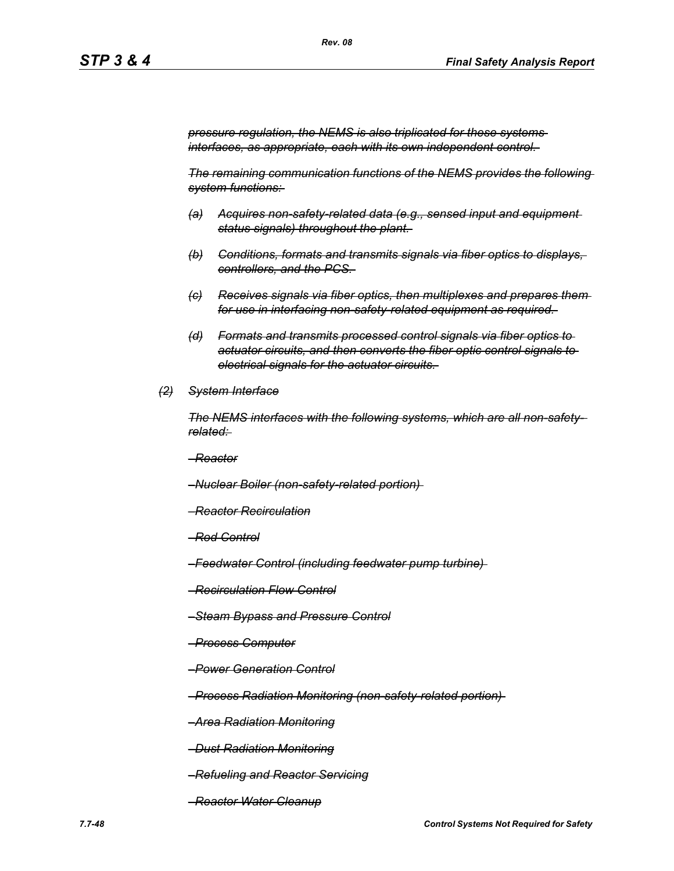*pressure regulation, the NEMS is also triplicated for these systems interfaces, as appropriate, each with its own independent control.* 

*The remaining communication functions of the NEMS provides the following system functions:* 

- *(a) Acquires non-safety-related data (e.g., sensed input and equipment status signals) throughout the plant.*
- *(b) Conditions, formats and transmits signals via fiber optics to displays, controllers, and the PCS.*
- *(c) Receives signals via fiber optics, then multiplexes and prepares them for use in interfacing non-safety-related equipment as required.*
- *(d) Formats and transmits processed control signals via fiber optics to actuator circuits, and then converts the fiber optic control signals to electrical signals for the actuator circuits.*
- *(2) System Interface*

*The NEMS interfaces with the following systems, which are all non-safetyrelated:* 

*–Reactor*

*–Nuclear Boiler (non-safety-related portion)* 

- *–Reactor Recirculation*
- *–Rod Control*
- *–Feedwater Control (including feedwater pump turbine)*
- *–Recirculation Flow Control*
- *–Steam Bypass and Pressure Control*
- *–Process Computer*
- *–Power Generation Control*

*–Process Radiation Monitoring (non-safety-related portion)* 

*–Area Radiation Monitoring*

*–Dust Radiation Monitoring*

*–Refueling and Reactor Servicing*

*–Reactor Water Cleanup*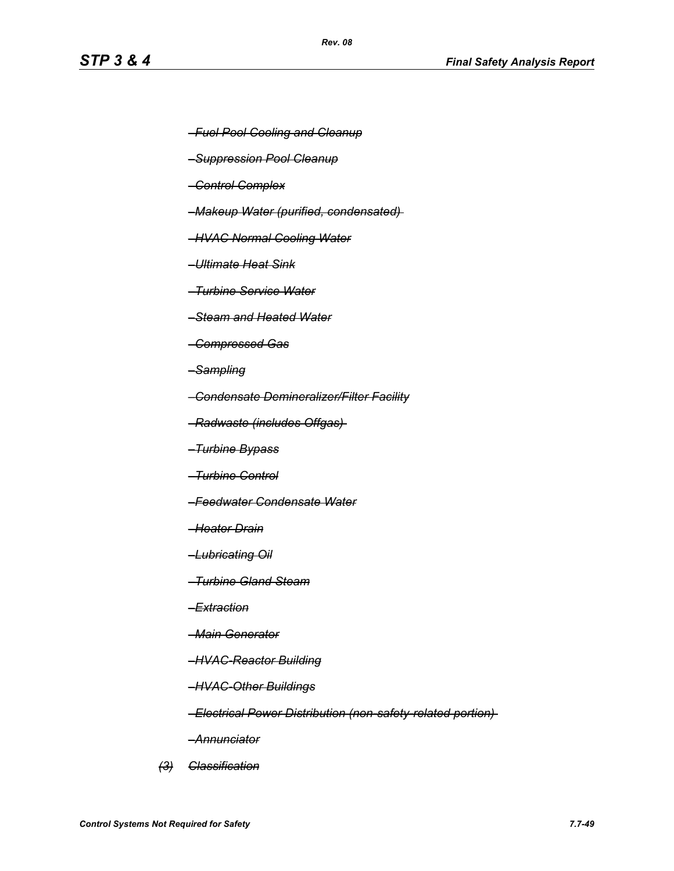- *–Fuel Pool Cooling and Cleanup*
- *–Suppression Pool Cleanup*
- *–Control Complex*
- *–Makeup Water (purified, condensated)*
- *–HVAC Normal Cooling Water*
- *–Ultimate Heat Sink*
- *–Turbine Service Water*
- *–Steam and Heated Water*
- *–Compressed Gas*
- *–Sampling*
- *–Condensate Demineralizer/Filter Facility*
- *–Radwaste (includes Offgas)*
- *–Turbine Bypass*
- *–Turbine Control*
- *–Feedwater Condensate Water*
- *–Heater Drain*
- *–Lubricating Oil*
- *–Turbine Gland Steam*
- *–Extraction*
- *–Main Generator*
- *–HVAC-Reactor Building*
- *–HVAC-Other Buildings*
- *–Electrical Power Distribution (non-safety-related portion)*
- *–Annunciator*
- *(3) Classification*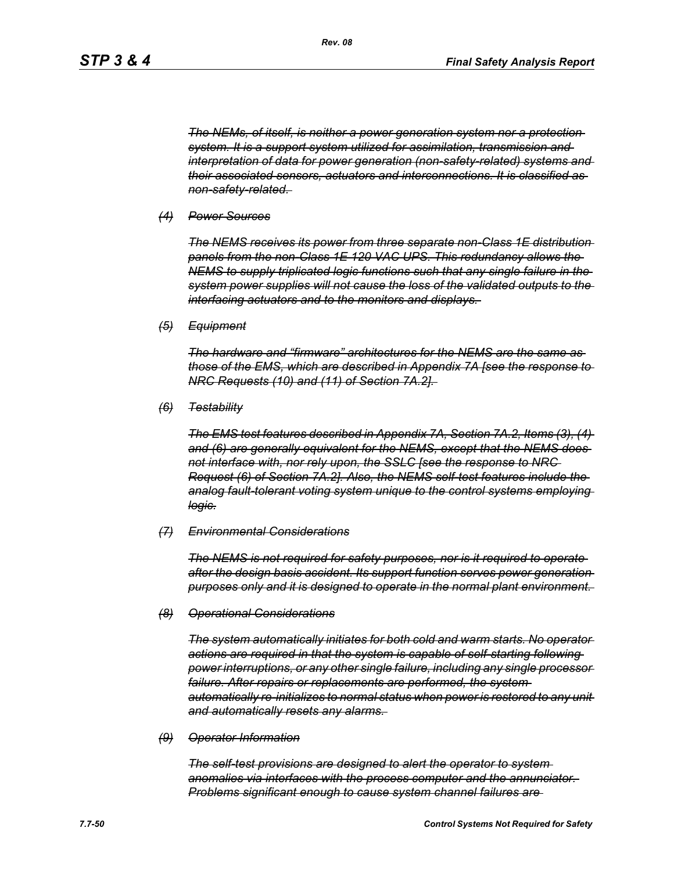*The NEMs, of itself, is neither a power generation system nor a protection system. It is a support system utilized for assimilation, transmission and interpretation of data for power generation (non-safety-related) systems and their associated sensors, actuators and interconnections. It is classified as non-safety-related.* 

#### *(4) Power Sources*

*The NEMS receives its power from three separate non-Class 1E distribution panels from the non-Class 1E 120 VAC UPS. This redundancy allows the NEMS to supply triplicated logic functions such that any single failure in the system power supplies will not cause the loss of the validated outputs to the interfacing actuators and to the monitors and displays.* 

*(5) Equipment*

*The hardware and "firmware" architectures for the NEMS are the same as those of the EMS, which are described in Appendix 7A [see the response to NRC Requests (10) and (11) of Section 7A.2].* 

*(6) Testability*

*The EMS test features described in Appendix 7A, Section 7A.2, Items (3), (4) and (6) are generally equivalent for the NEMS, except that the NEMS does not interface with, nor rely upon, the SSLC [see the response to NRC Request (6) of Section 7A.2]. Also, the NEMS self-test features include the analog fault-tolerant voting system unique to the control systems employing logic.*

#### *(7) Environmental Considerations*

*The NEMS is not required for safety purposes, nor is it required to operate after the design basis accident. Its support function serves power generation purposes only and it is designed to operate in the normal plant environment.* 

#### *(8) Operational Considerations*

*The system automatically initiates for both cold and warm starts. No operator actions are required in that the system is capable of self-starting following power interruptions, or any other single failure, including any single processor failure. After repairs or replacements are performed, the system automatically re-initializes to normal status when power is restored to any unit and automatically resets any alarms.* 

#### *(9) Operator Information*

*The self-test provisions are designed to alert the operator to system anomalies via interfaces with the process computer and the annunciator. Problems significant enough to cause system channel failures are*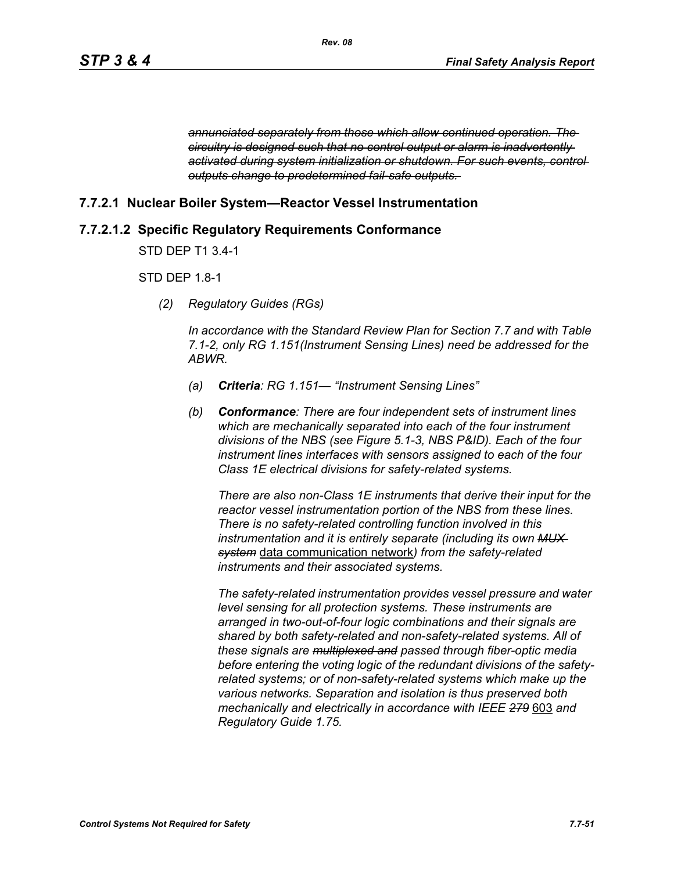*annunciated separately from those which allow continued operation. The circuitry is designed such that no control output or alarm is inadvertently activated during system initialization or shutdown. For such events, control outputs change to predetermined fail-safe outputs.* 

# **7.7.2.1 Nuclear Boiler System—Reactor Vessel Instrumentation**

# **7.7.2.1.2 Specific Regulatory Requirements Conformance**

STD DEP T1 3.4-1

## STD DEP 1.8-1

*(2) Regulatory Guides (RGs)*

*In accordance with the Standard Review Plan for Section 7.7 and with Table 7.1-2, only RG 1.151(Instrument Sensing Lines) need be addressed for the ABWR.*

- *(a) Criteria: RG 1.151— "Instrument Sensing Lines"*
- *(b) Conformance: There are four independent sets of instrument lines which are mechanically separated into each of the four instrument divisions of the NBS (see Figure 5.1-3, NBS P&ID). Each of the four instrument lines interfaces with sensors assigned to each of the four Class 1E electrical divisions for safety-related systems.*

*There are also non-Class 1E instruments that derive their input for the reactor vessel instrumentation portion of the NBS from these lines. There is no safety-related controlling function involved in this instrumentation and it is entirely separate (including its own MUX system* data communication network*) from the safety-related instruments and their associated systems.*

*The safety-related instrumentation provides vessel pressure and water level sensing for all protection systems. These instruments are arranged in two-out-of-four logic combinations and their signals are shared by both safety-related and non-safety-related systems. All of these signals are multiplexed and passed through fiber-optic media before entering the voting logic of the redundant divisions of the safetyrelated systems; or of non-safety-related systems which make up the various networks. Separation and isolation is thus preserved both mechanically and electrically in accordance with IEEE 279* 603 *and Regulatory Guide 1.75.*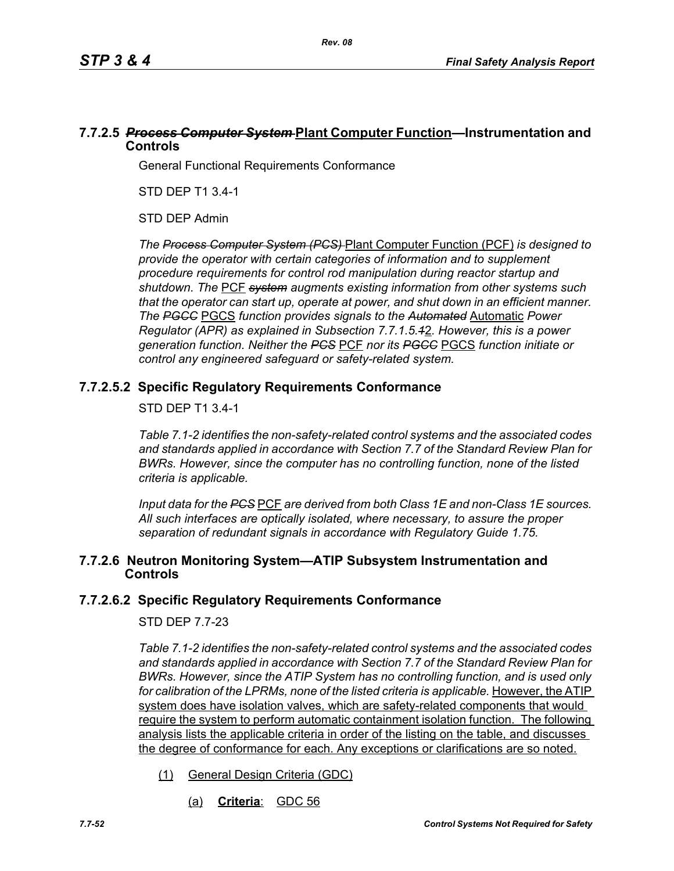# **7.7.2.5** *Process Computer System* **Plant Computer Function—Instrumentation and Controls**

General Functional Requirements Conformance

STD DEP T1 3.4-1

STD DEP Admin

*The Process Computer System (PCS)* Plant Computer Function (PCF) *is designed to provide the operator with certain categories of information and to supplement procedure requirements for control rod manipulation during reactor startup and shutdown. The* PCF *system augments existing information from other systems such that the operator can start up, operate at power, and shut down in an efficient manner. The PGCC* PGCS *function provides signals to the Automated* Automatic *Power Regulator (APR) as explained in Subsection 7.7.1.5.1*2*. However, this is a power generation function. Neither the PCS* PCF *nor its PGCC* PGCS *function initiate or control any engineered safeguard or safety-related system.*

# **7.7.2.5.2 Specific Regulatory Requirements Conformance**

## STD DEP T1 3.4-1

*Table 7.1-2 identifies the non-safety-related control systems and the associated codes and standards applied in accordance with Section 7.7 of the Standard Review Plan for BWRs. However, since the computer has no controlling function, none of the listed criteria is applicable.*

*Input data for the PCS* PCF *are derived from both Class 1E and non-Class 1E sources. All such interfaces are optically isolated, where necessary, to assure the proper separation of redundant signals in accordance with Regulatory Guide 1.75.*

## **7.7.2.6 Neutron Monitoring System—ATIP Subsystem Instrumentation and Controls**

# **7.7.2.6.2 Specific Regulatory Requirements Conformance**

# STD DEP 7.7-23

*Table 7.1-2 identifies the non-safety-related control systems and the associated codes and standards applied in accordance with Section 7.7 of the Standard Review Plan for BWRs. However, since the ATIP System has no controlling function, and is used only*  for calibration of the LPRMs, none of the listed criteria is applicable. However, the ATIP system does have isolation valves, which are safety-related components that would require the system to perform automatic containment isolation function. The following analysis lists the applicable criteria in order of the listing on the table, and discusses the degree of conformance for each. Any exceptions or clarifications are so noted.

- (1) General Design Criteria (GDC)
	- (a) **Criteria**: GDC 56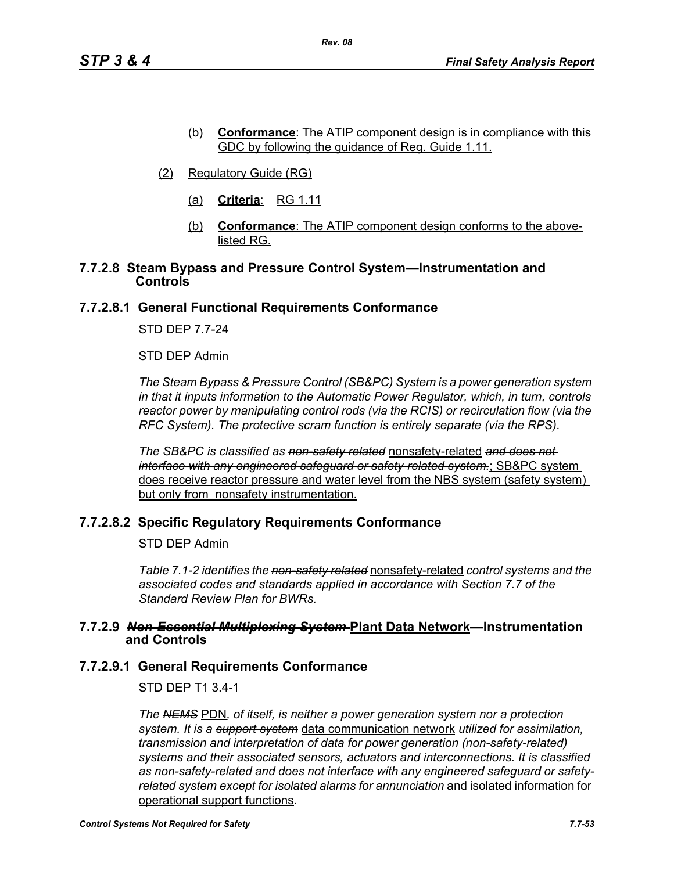- (b) **Conformance**: The ATIP component design is in compliance with this GDC by following the guidance of Reg. Guide 1.11.
- (2) Regulatory Guide (RG)
	- (a) **Criteria**: RG 1.11
	- (b) **Conformance**: The ATIP component design conforms to the abovelisted RG.

#### **7.7.2.8 Steam Bypass and Pressure Control System—Instrumentation and Controls**

## **7.7.2.8.1 General Functional Requirements Conformance**

STD DEP 7.7-24

STD DEP Admin

*The Steam Bypass & Pressure Control (SB&PC) System is a power generation system in that it inputs information to the Automatic Power Regulator, which, in turn, controls reactor power by manipulating control rods (via the RCIS) or recirculation flow (via the RFC System). The protective scram function is entirely separate (via the RPS).*

*The SB&PC is classified as non-safety related* nonsafety-related *and does not interface with any engineered safeguard or safety-related system.*; SB&PC system does receive reactor pressure and water level from the NBS system (safety system) but only from nonsafety instrumentation.

# **7.7.2.8.2 Specific Regulatory Requirements Conformance**

STD DEP Admin

*Table 7.1-2 identifies the non-safety related* nonsafety-related *control systems and the associated codes and standards applied in accordance with Section 7.7 of the Standard Review Plan for BWRs.* 

#### **7.7.2.9** *Non-Essential Multiplexing System* **Plant Data Network—Instrumentation and Controls**

#### **7.7.2.9.1 General Requirements Conformance**

STD DEP T1 3.4-1

*The NEMS* PDN*, of itself, is neither a power generation system nor a protection system. It is a support system* data communication network *utilized for assimilation, transmission and interpretation of data for power generation (non-safety-related) systems and their associated sensors, actuators and interconnections. It is classified as non-safety-related and does not interface with any engineered safeguard or safetyrelated system except for isolated alarms for annunciation* and isolated information for operational support functions*.*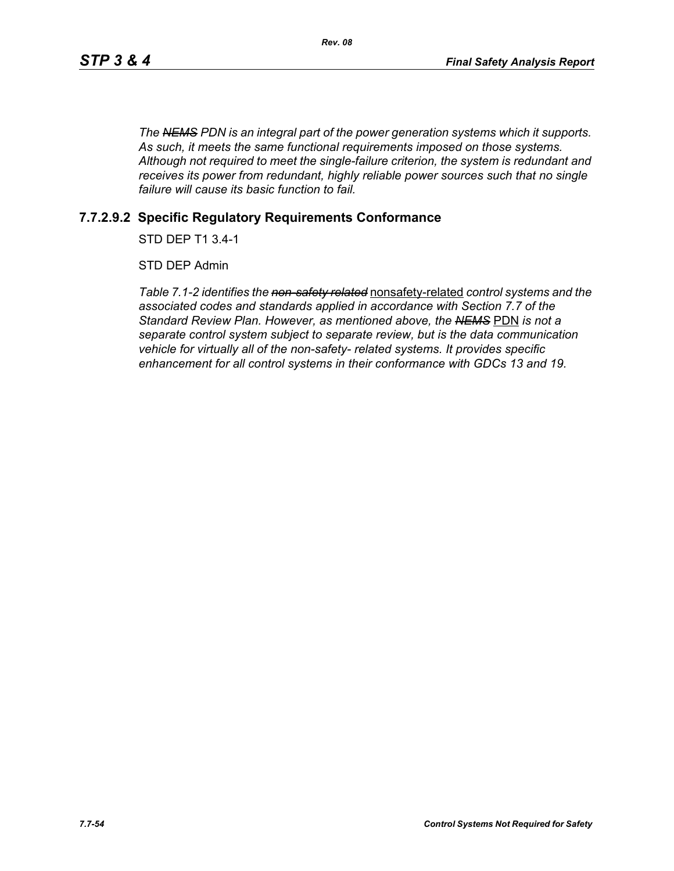*The NEMS PDN is an integral part of the power generation systems which it supports. As such, it meets the same functional requirements imposed on those systems. Although not required to meet the single-failure criterion, the system is redundant and receives its power from redundant, highly reliable power sources such that no single failure will cause its basic function to fail.*

## **7.7.2.9.2 Specific Regulatory Requirements Conformance**

STD DEP T1 3.4-1

STD DEP Admin

*Table 7.1-2 identifies the non-safety related* nonsafety-related *control systems and the associated codes and standards applied in accordance with Section 7.7 of the Standard Review Plan. However, as mentioned above, the NEMS* PDN *is not a separate control system subject to separate review, but is the data communication vehicle for virtually all of the non-safety- related systems. It provides specific enhancement for all control systems in their conformance with GDCs 13 and 19.*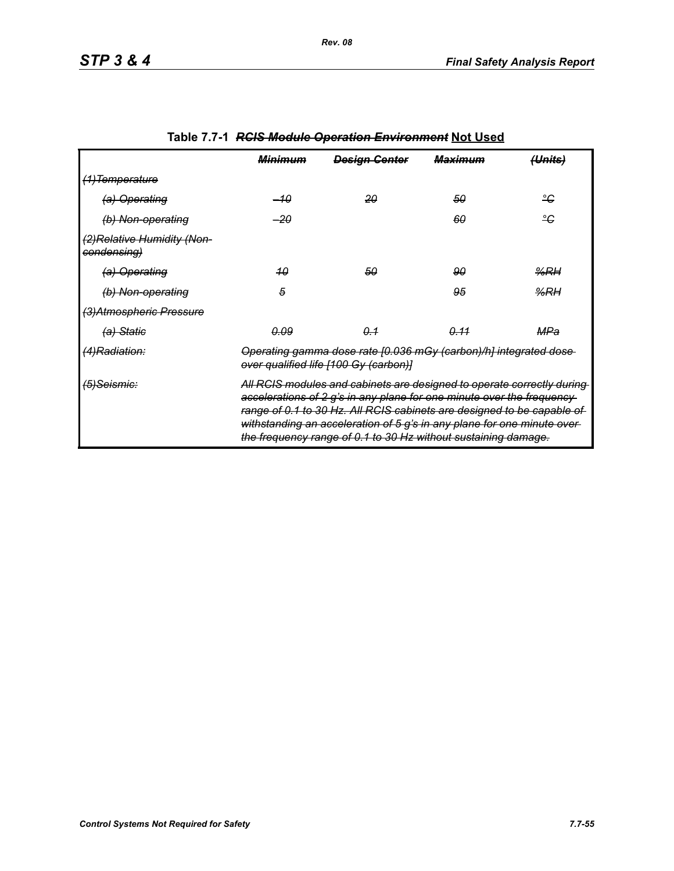|                                            | <b>Minimum</b>                                                                                                                                                                                                                                                                                                                                                           | <b>Design Genter</b> | <del>Maximum</del> | <del>(Units)</del> |
|--------------------------------------------|--------------------------------------------------------------------------------------------------------------------------------------------------------------------------------------------------------------------------------------------------------------------------------------------------------------------------------------------------------------------------|----------------------|--------------------|--------------------|
| <del>(1)Temperature</del>                  |                                                                                                                                                                                                                                                                                                                                                                          |                      |                    |                    |
| (a) Operating                              | –10                                                                                                                                                                                                                                                                                                                                                                      | 20                   | 50                 | ீ                  |
| (b) Non-operating                          | -20                                                                                                                                                                                                                                                                                                                                                                      |                      | 60                 | ٩ĉ                 |
| (2) Relative Humidity (Non-<br>condensing) |                                                                                                                                                                                                                                                                                                                                                                          |                      |                    |                    |
| (a) Operating                              | 40                                                                                                                                                                                                                                                                                                                                                                       | 50                   | 90                 | %RH                |
| (b) Non-operating                          | 5                                                                                                                                                                                                                                                                                                                                                                        |                      | 95                 | %RH                |
| (3) Atmospheric Pressure                   |                                                                                                                                                                                                                                                                                                                                                                          |                      |                    |                    |
| <del>(a) Static</del>                      | <u>0.09</u>                                                                                                                                                                                                                                                                                                                                                              | $\theta - 1$         | 0.11               | MPa                |
| (4)Radiation:                              | Operating gamma dose rate [0.036 mGy (carbon)/h] integrated dose<br>over qualified life [100 Gy (carbon)]                                                                                                                                                                                                                                                                |                      |                    |                    |
| <del>(5)Seismic:</del>                     | All RCIS modules and cabinets are designed to operate correctly during-<br>accelerations of 2 g's in any plane for one minute over the frequency-<br>range of 0.1 to 30 Hz. All RCIS cabinets are designed to be capable of<br>withstanding an acceleration of 5 g's in any plane for one minute over-<br>the frequency range of 0.1 to 30 Hz without sustaining damage. |                      |                    |                    |

# **Table 7.7-1** *RCIS Module Operation Environment* **Not Used**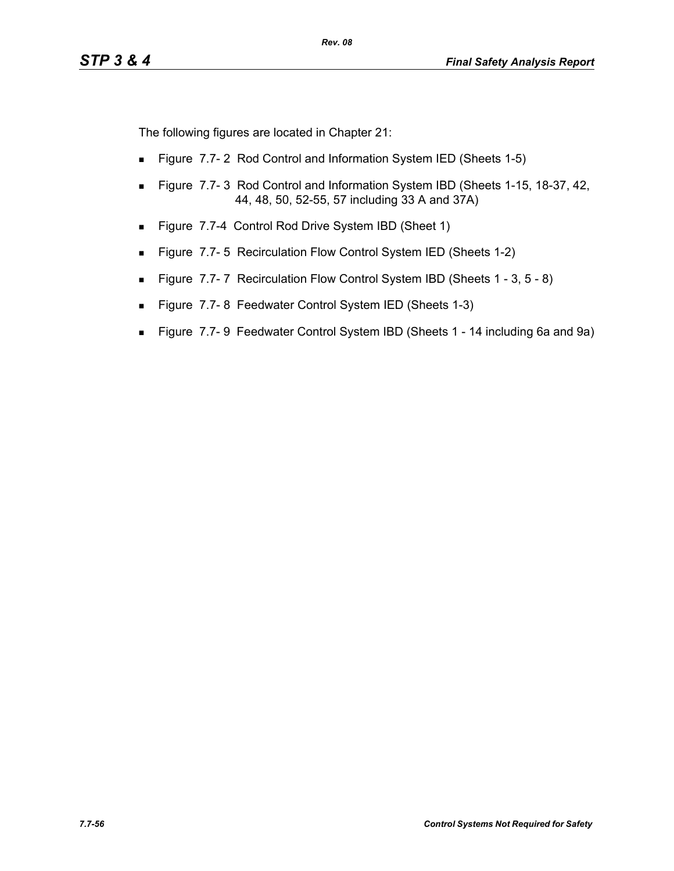The following figures are located in Chapter 21:

- **Figure 7.7-2 Rod Control and Information System IED (Sheets 1-5)**
- **Figure 7.7-3 Rod Control and Information System IBD (Sheets 1-15, 18-37, 42, 40)** 44, 48, 50, 52-55, 57 including 33 A and 37A)
- Figure 7.7-4 Control Rod Drive System IBD (Sheet 1)
- **Figure 7.7-5 Recirculation Flow Control System IED (Sheets 1-2)**
- Figure 7.7-7 Recirculation Flow Control System IBD (Sheets 1 3, 5 8)
- Figure 7.7-8 Feedwater Control System IED (Sheets 1-3)
- Figure 7.7- 9 Feedwater Control System IBD (Sheets 1 14 including 6a and 9a)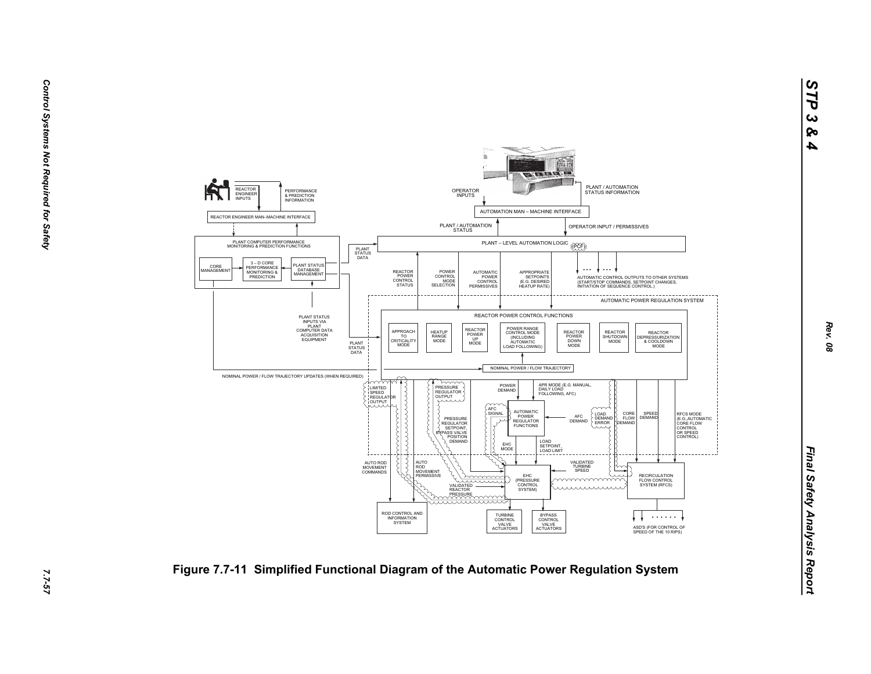

*Rev. 08*

*STP 3 & 4*